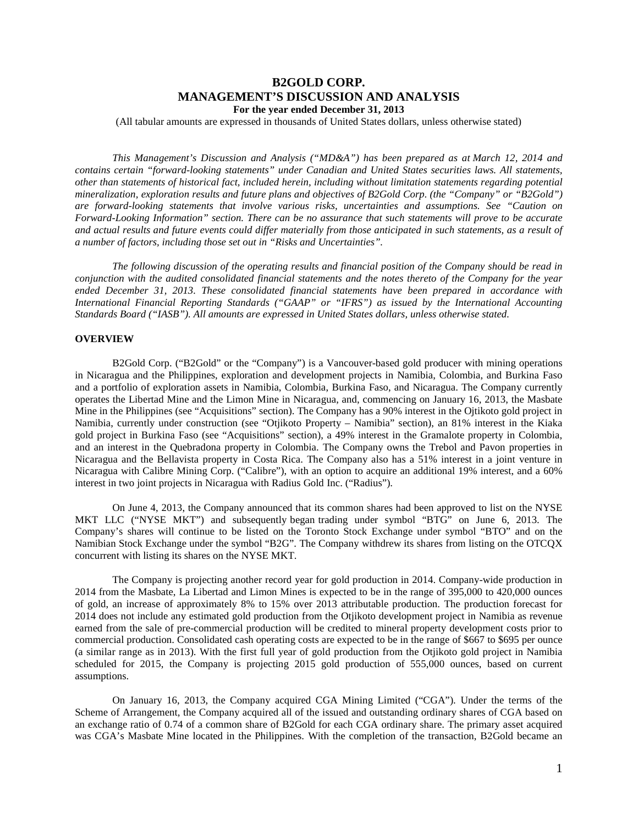# **B2GOLD CORP. MANAGEMENT'S DISCUSSION AND ANALYSIS For the year ended December 31, 2013**

(All tabular amounts are expressed in thousands of United States dollars, unless otherwise stated)

*This Management's Discussion and Analysis ("MD&A") has been prepared as at March 12, 2014 and contains certain "forward-looking statements" under Canadian and United States securities laws. All statements, other than statements of historical fact, included herein, including without limitation statements regarding potential mineralization, exploration results and future plans and objectives of B2Gold Corp. (the "Company" or "B2Gold") are forward-looking statements that involve various risks, uncertainties and assumptions. See "Caution on Forward-Looking Information" section. There can be no assurance that such statements will prove to be accurate and actual results and future events could differ materially from those anticipated in such statements, as a result of a number of factors, including those set out in "Risks and Uncertainties".*

*The following discussion of the operating results and financial position of the Company should be read in conjunction with the audited consolidated financial statements and the notes thereto of the Company for the year ended December 31, 2013. These consolidated financial statements have been prepared in accordance with International Financial Reporting Standards ("GAAP" or "IFRS") as issued by the International Accounting Standards Board ("IASB"). All amounts are expressed in United States dollars, unless otherwise stated.*

### **OVERVIEW**

B2Gold Corp. ("B2Gold" or the "Company") is a Vancouver-based gold producer with mining operations in Nicaragua and the Philippines, exploration and development projects in Namibia, Colombia, and Burkina Faso and a portfolio of exploration assets in Namibia, Colombia, Burkina Faso, and Nicaragua. The Company currently operates the Libertad Mine and the Limon Mine in Nicaragua, and, commencing on January 16, 2013, the Masbate Mine in the Philippines (see "Acquisitions" section). The Company has a 90% interest in the Ojtikoto gold project in Namibia, currently under construction (see "Otjikoto Property – Namibia" section), an 81% interest in the Kiaka gold project in Burkina Faso (see "Acquisitions" section), a 49% interest in the Gramalote property in Colombia, and an interest in the Quebradona property in Colombia. The Company owns the Trebol and Pavon properties in Nicaragua and the Bellavista property in Costa Rica. The Company also has a 51% interest in a joint venture in Nicaragua with Calibre Mining Corp. ("Calibre"), with an option to acquire an additional 19% interest, and a 60% interest in two joint projects in Nicaragua with Radius Gold Inc. ("Radius").

On June 4, 2013, the Company announced that its common shares had been approved to list on the NYSE MKT LLC ("NYSE MKT") and subsequently began trading under symbol "BTG" on June 6, 2013. The Company's shares will continue to be listed on the Toronto Stock Exchange under symbol "BTO" and on the Namibian Stock Exchange under the symbol "B2G". The Company withdrew its shares from listing on the OTCQX concurrent with listing its shares on the NYSE MKT.

The Company is projecting another record year for gold production in 2014. Company-wide production in 2014 from the Masbate, La Libertad and Limon Mines is expected to be in the range of 395,000 to 420,000 ounces of gold, an increase of approximately 8% to 15% over 2013 attributable production. The production forecast for 2014 does not include any estimated gold production from the Otjikoto development project in Namibia as revenue earned from the sale of pre-commercial production will be credited to mineral property development costs prior to commercial production. Consolidated cash operating costs are expected to be in the range of \$667 to \$695 per ounce (a similar range as in 2013). With the first full year of gold production from the Otjikoto gold project in Namibia scheduled for 2015, the Company is projecting 2015 gold production of 555,000 ounces, based on current assumptions.

<span id="page-0-0"></span>On January 16, 2013, the Company acquired CGA Mining Limited ("CGA"). Under the terms of the Scheme of Arrangement, the Company acquired all of the issued and outstanding ordinary shares of CGA based on an exchange ratio of 0.74 of a common share of B2Gold for each CGA ordinary share. The primary asset acquired was CGA's Masbate Mine located in the Philippines. With the completion of the transaction, B2Gold became an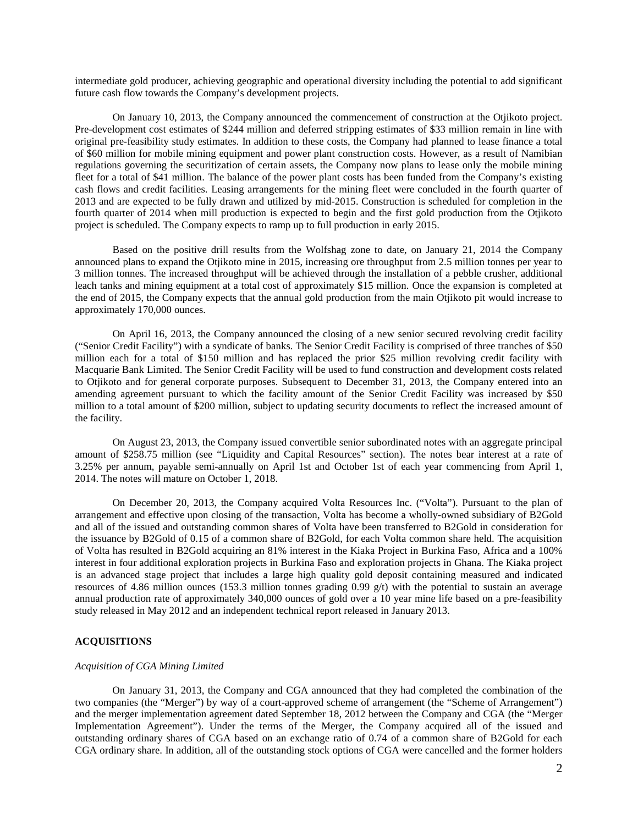intermediate gold producer, achieving geographic and operational diversity including the potential to add significant future cash flow towards the Company's development projects.

On January 10, 2013, the Company announced the commencement of construction at the Otjikoto project. Pre-development cost estimates of \$244 million and deferred stripping estimates of \$33 million remain in line with original pre-feasibility study estimates. In addition to these costs, the Company had planned to lease finance a total of \$60 million for mobile mining equipment and power plant construction costs. However, as a result of Namibian regulations governing the securitization of certain assets, the Company now plans to lease only the mobile mining fleet for a total of \$41 million. The balance of the power plant costs has been funded from the Company's existing cash flows and credit facilities. Leasing arrangements for the mining fleet were concluded in the fourth quarter of 2013 and are expected to be fully drawn and utilized by mid-2015. Construction is scheduled for completion in the fourth quarter of 2014 when mill production is expected to begin and the first gold production from the Otjikoto project is scheduled. The Company expects to ramp up to full production in early 2015.

Based on the positive drill results from the Wolfshag zone to date, on January 21, 2014 the Company announced plans to expand the Otjikoto mine in 2015, increasing ore throughput from 2.5 million tonnes per year to 3 million tonnes. The increased throughput will be achieved through the installation of a pebble crusher, additional leach tanks and mining equipment at a total cost of approximately \$15 million. Once the expansion is completed at the end of 2015, the Company expects that the annual gold production from the main Otjikoto pit would increase to approximately 170,000 ounces.

On April 16, 2013, the Company announced the closing of a new senior secured revolving credit facility ("Senior Credit Facility") with a syndicate of banks. The Senior Credit Facility is comprised of three tranches of \$50 million each for a total of \$150 million and has replaced the prior \$25 million revolving credit facility with Macquarie Bank Limited. The Senior Credit Facility will be used to fund construction and development costs related to Otjikoto and for general corporate purposes. Subsequent to December 31, 2013, the Company entered into an amending agreement pursuant to which the facility amount of the Senior Credit Facility was increased by \$50 million to a total amount of \$200 million, subject to updating security documents to reflect the increased amount of the facility.

On August 23, 2013, the Company issued convertible senior subordinated notes with an aggregate principal amount of \$258.75 million (see "Liquidity and Capital Resources" section). The notes bear interest at a rate of 3.25% per annum, payable semi-annually on April 1st and October 1st of each year commencing from April 1, 2014. The notes will mature on October 1, 2018.

On December 20, 2013, the Company acquired Volta Resources Inc. ("Volta"). Pursuant to the plan of arrangement and effective upon closing of the transaction, Volta has become a wholly-owned subsidiary of B2Gold and all of the issued and outstanding common shares of Volta have been transferred to B2Gold in consideration for the issuance by B2Gold of 0.15 of a common share of B2Gold, for each Volta common share held. The acquisition of Volta has resulted in B2Gold acquiring an 81% interest in the Kiaka Project in Burkina Faso, Africa and a 100% interest in four additional exploration projects in Burkina Faso and exploration projects in Ghana. The Kiaka project is an advanced stage project that includes a large high quality gold deposit containing measured and indicated resources of 4.86 million ounces (153.3 million tonnes grading 0.99 g/t) with the potential to sustain an average annual production rate of approximately 340,000 ounces of gold over a 10 year mine life based on a pre-feasibility study released in May 2012 and an independent technical report released in January 2013.

# **ACQUISITIONS**

#### *Acquisition of CGA Mining Limited*

On January 31, 2013, the Company and CGA announced that they had completed the combination of the two companies (the "Merger") by way of a court-approved scheme of arrangement (the "Scheme of Arrangement") and the merger implementation agreement dated September 18, 2012 between the Company and CGA (the "Merger Implementation Agreement"). Under the terms of the Merger, the Company acquired all of the issued and outstanding ordinary shares of CGA based on an exchange ratio of 0.74 of a common share of B2Gold for each CGA ordinary share. In addition, all of the outstanding stock options of CGA were cancelled and the former holders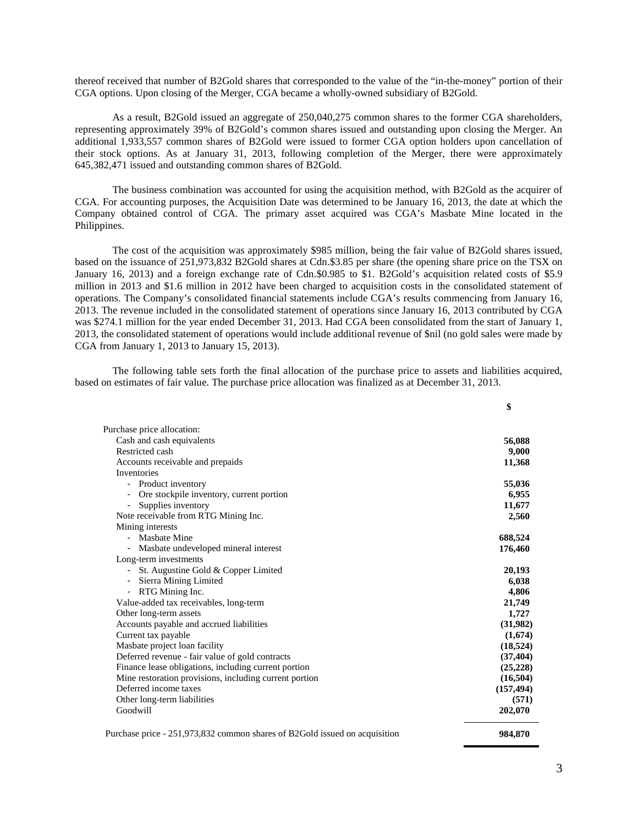thereof received that number of B2Gold shares that corresponded to the value of the "in-the-money" portion of their CGA options. Upon closing of the Merger, CGA became a wholly-owned subsidiary of B2Gold.

As a result, B2Gold issued an aggregate of 250,040,275 common shares to the former CGA shareholders, representing approximately 39% of B2Gold's common shares issued and outstanding upon closing the Merger. An additional 1,933,557 common shares of B2Gold were issued to former CGA option holders upon cancellation of their stock options. As at January 31, 2013, following completion of the Merger, there were approximately 645,382,471 issued and outstanding common shares of B2Gold.

The business combination was accounted for using the acquisition method, with B2Gold as the acquirer of CGA. For accounting purposes, the Acquisition Date was determined to be January 16, 2013, the date at which the Company obtained control of CGA. The primary asset acquired was CGA's Masbate Mine located in the Philippines.

The cost of the acquisition was approximately \$985 million, being the fair value of B2Gold shares issued, based on the issuance of 251,973,832 B2Gold shares at Cdn.\$3.85 per share (the opening share price on the TSX on January 16, 2013) and a foreign exchange rate of Cdn.\$0.985 to \$1. B2Gold's acquisition related costs of \$5.9 million in 2013 and \$1.6 million in 2012 have been charged to acquisition costs in the consolidated statement of operations. The Company's consolidated financial statements include CGA's results commencing from January 16, 2013. The revenue included in the consolidated statement of operations since January 16, 2013 contributed by CGA was \$274.1 million for the year ended December 31, 2013. Had CGA been consolidated from the start of January 1, 2013, the consolidated statement of operations would include additional revenue of \$nil (no gold sales were made by CGA from January 1, 2013 to January 15, 2013).

The following table sets forth the final allocation of the purchase price to assets and liabilities acquired, based on estimates of fair value. The purchase price allocation was finalized as at December 31, 2013.

|                                                                            | \$         |
|----------------------------------------------------------------------------|------------|
| Purchase price allocation:                                                 |            |
| Cash and cash equivalents                                                  | 56,088     |
| Restricted cash                                                            | 9,000      |
| Accounts receivable and prepaids                                           | 11,368     |
| Inventories                                                                |            |
| - Product inventory                                                        | 55,036     |
| Ore stockpile inventory, current portion<br>۰                              | 6,955      |
| Supplies inventory<br>-                                                    | 11,677     |
| Note receivable from RTG Mining Inc.                                       | 2,560      |
| Mining interests                                                           |            |
| - Masbate Mine                                                             | 688,524    |
| Masbate undeveloped mineral interest<br>$\overline{\phantom{0}}$           | 176,460    |
| Long-term investments                                                      |            |
| St. Augustine Gold & Copper Limited                                        | 20,193     |
| Sierra Mining Limited<br>$\overline{\phantom{a}}$                          | 6,038      |
| - RTG Mining Inc.                                                          | 4,806      |
| Value-added tax receivables, long-term                                     | 21,749     |
| Other long-term assets                                                     | 1,727      |
| Accounts payable and accrued liabilities                                   | (31,982)   |
| Current tax payable                                                        | (1,674)    |
| Masbate project loan facility                                              | (18, 524)  |
| Deferred revenue - fair value of gold contracts                            | (37, 404)  |
| Finance lease obligations, including current portion                       | (25, 228)  |
| Mine restoration provisions, including current portion                     | (16,504)   |
| Deferred income taxes                                                      | (157, 494) |
| Other long-term liabilities                                                | (571)      |
| Goodwill                                                                   | 202,070    |
|                                                                            |            |
| Purchase price - 251,973,832 common shares of B2Gold issued on acquisition | 984.870    |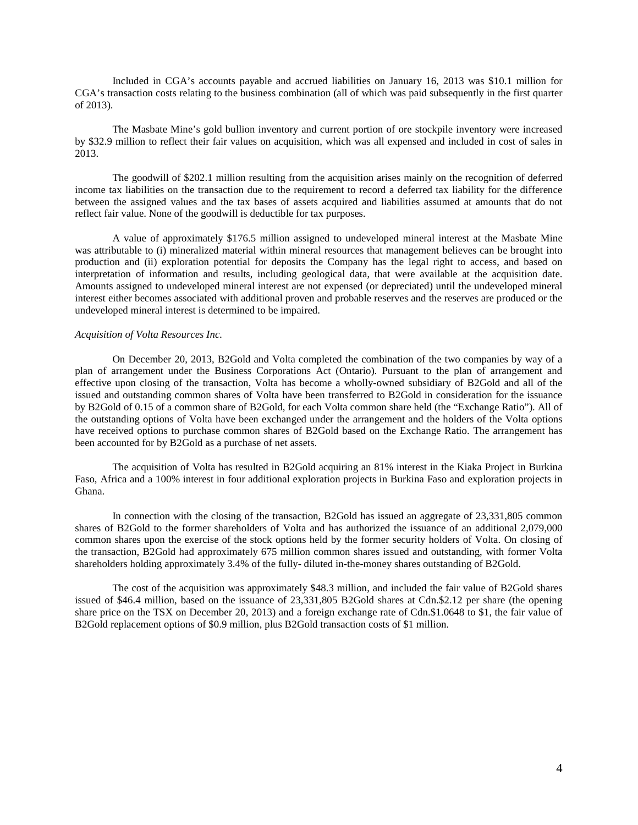Included in CGA's accounts payable and accrued liabilities on January 16, 2013 was \$10.1 million for CGA's transaction costs relating to the business combination (all of which was paid subsequently in the first quarter of 2013).

The Masbate Mine's gold bullion inventory and current portion of ore stockpile inventory were increased by \$32.9 million to reflect their fair values on acquisition, which was all expensed and included in cost of sales in 2013.

The goodwill of \$202.1 million resulting from the acquisition arises mainly on the recognition of deferred income tax liabilities on the transaction due to the requirement to record a deferred tax liability for the difference between the assigned values and the tax bases of assets acquired and liabilities assumed at amounts that do not reflect fair value. None of the goodwill is deductible for tax purposes.

A value of approximately \$176.5 million assigned to undeveloped mineral interest at the Masbate Mine was attributable to (i) mineralized material within mineral resources that management believes can be brought into production and (ii) exploration potential for deposits the Company has the legal right to access, and based on interpretation of information and results, including geological data, that were available at the acquisition date. Amounts assigned to undeveloped mineral interest are not expensed (or depreciated) until the undeveloped mineral interest either becomes associated with additional proven and probable reserves and the reserves are produced or the undeveloped mineral interest is determined to be impaired.

#### *Acquisition of Volta Resources Inc.*

On December 20, 2013, B2Gold and Volta completed the combination of the two companies by way of a plan of arrangement under the Business Corporations Act (Ontario). Pursuant to the plan of arrangement and effective upon closing of the transaction, Volta has become a wholly-owned subsidiary of B2Gold and all of the issued and outstanding common shares of Volta have been transferred to B2Gold in consideration for the issuance by B2Gold of 0.15 of a common share of B2Gold, for each Volta common share held (the "Exchange Ratio"). All of the outstanding options of Volta have been exchanged under the arrangement and the holders of the Volta options have received options to purchase common shares of B2Gold based on the Exchange Ratio. The arrangement has been accounted for by B2Gold as a purchase of net assets.

The acquisition of Volta has resulted in B2Gold acquiring an 81% interest in the Kiaka Project in Burkina Faso, Africa and a 100% interest in four additional exploration projects in Burkina Faso and exploration projects in Ghana.

In connection with the closing of the transaction, B2Gold has issued an aggregate of 23,331,805 common shares of B2Gold to the former shareholders of Volta and has authorized the issuance of an additional 2,079,000 common shares upon the exercise of the stock options held by the former security holders of Volta. On closing of the transaction, B2Gold had approximately 675 million common shares issued and outstanding, with former Volta shareholders holding approximately 3.4% of the fully- diluted in-the-money shares outstanding of B2Gold.

The cost of the acquisition was approximately \$48.3 million, and included the fair value of B2Gold shares issued of \$46.4 million, based on the issuance of 23,331,805 B2Gold shares at Cdn.\$2.12 per share (the opening share price on the TSX on December 20, 2013) and a foreign exchange rate of Cdn.\$1.0648 to \$1, the fair value of B2Gold replacement options of \$0.9 million, plus B2Gold transaction costs of \$1 million.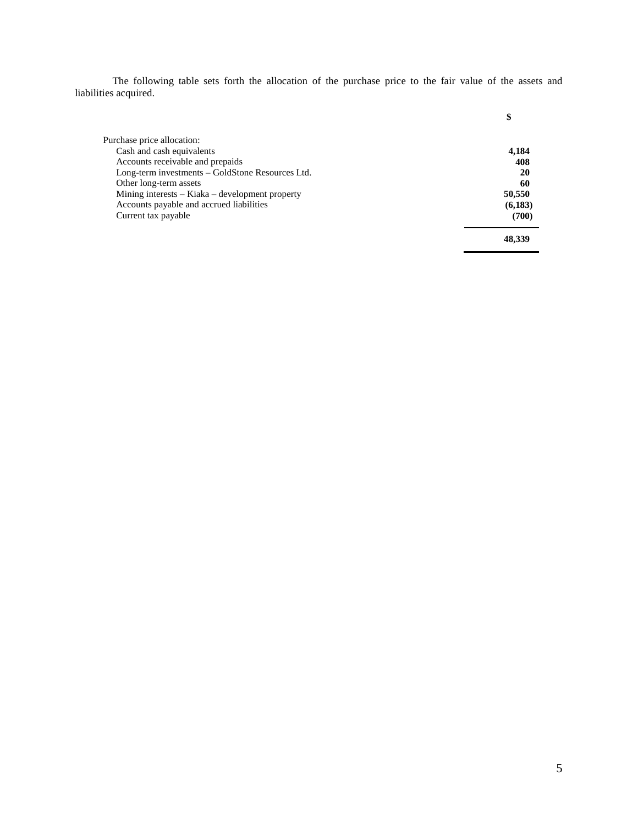The following table sets forth the allocation of the purchase price to the fair value of the assets and liabilities acquired.

| Purchase price allocation:                       |          |
|--------------------------------------------------|----------|
| Cash and cash equivalents                        | 4,184    |
| Accounts receivable and prepaids                 | 408      |
| Long-term investments - GoldStone Resources Ltd. | 20       |
| Other long-term assets                           | 60       |
| Mining interests - Kiaka - development property  | 50,550   |
| Accounts payable and accrued liabilities         | (6, 183) |
| Current tax payable                              | (700)    |
|                                                  | 48.339   |

**\$**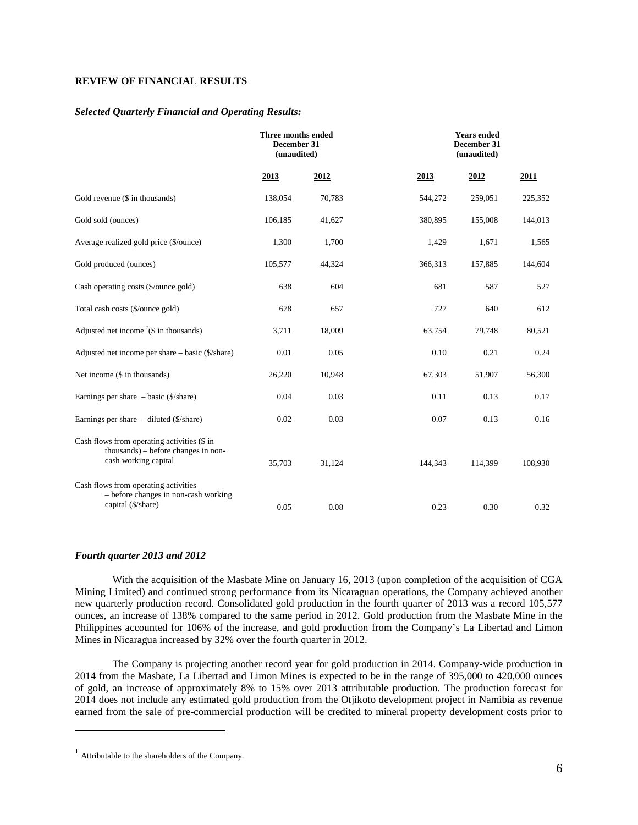# **REVIEW OF FINANCIAL RESULTS**

## *Selected Quarterly Financial and Operating Results:*

|                                                                                                            | Three months ended<br>December 31<br>(unaudited) |        |         | <b>Years ended</b><br>December 31<br>(unaudited) |         |  |
|------------------------------------------------------------------------------------------------------------|--------------------------------------------------|--------|---------|--------------------------------------------------|---------|--|
|                                                                                                            | 2013                                             | 2012   | 2013    | 2012                                             | 2011    |  |
| Gold revenue (\$ in thousands)                                                                             | 138,054                                          | 70,783 | 544,272 | 259,051                                          | 225,352 |  |
| Gold sold (ounces)                                                                                         | 106,185                                          | 41,627 | 380,895 | 155,008                                          | 144,013 |  |
| Average realized gold price (\$/ounce)                                                                     | 1,300                                            | 1,700  | 1,429   | 1,671                                            | 1,565   |  |
| Gold produced (ounces)                                                                                     | 105,577                                          | 44,324 | 366,313 | 157,885                                          | 144,604 |  |
| Cash operating costs (\$/ounce gold)                                                                       | 638                                              | 604    | 681     | 587                                              | 527     |  |
| Total cash costs (\$/ounce gold)                                                                           | 678                                              | 657    | 727     | 640                                              | 612     |  |
| Adjusted net income $\frac{1}{s}$ in thousands)                                                            | 3,711                                            | 18,009 | 63,754  | 79,748                                           | 80,521  |  |
| Adjusted net income per share – basic (\$/share)                                                           | 0.01                                             | 0.05   | 0.10    | 0.21                                             | 0.24    |  |
| Net income (\$ in thousands)                                                                               | 26,220                                           | 10,948 | 67,303  | 51,907                                           | 56,300  |  |
| Earnings per share $-$ basic (\$/share)                                                                    | 0.04                                             | 0.03   | 0.11    | 0.13                                             | 0.17    |  |
| Earnings per share $-$ diluted (\$/share)                                                                  | 0.02                                             | 0.03   | 0.07    | 0.13                                             | 0.16    |  |
| Cash flows from operating activities (\$ in<br>thousands) – before changes in non-<br>cash working capital | 35,703                                           | 31,124 | 144,343 | 114,399                                          | 108,930 |  |
| Cash flows from operating activities<br>- before changes in non-cash working<br>capital (\$/share)         | 0.05                                             | 0.08   | 0.23    | 0.30                                             | 0.32    |  |

## *Fourth quarter 2013 and 2012*

With the acquisition of the Masbate Mine on January 16, 2013 (upon completion of the acquisition of CGA Mining Limited) and continued strong performance from its Nicaraguan operations, the Company achieved another new quarterly production record. Consolidated gold production in the fourth quarter of 2013 was a record 105,577 ounces, an increase of 138% compared to the same period in 2012. Gold production from the Masbate Mine in the Philippines accounted for 106% of the increase, and gold production from the Company's La Libertad and Limon Mines in Nicaragua increased by 32% over the fourth quarter in 2012.

The Company is projecting another record year for gold production in 2014. Company-wide production in 2014 from the Masbate, La Libertad and Limon Mines is expected to be in the range of 395,000 to 420,000 ounces of gold, an increase of approximately 8% to 15% over 2013 attributable production. The production forecast for 2014 does not include any estimated gold production from the Otjikoto development project in Namibia as revenue earned from the sale of pre-commercial production will be credited to mineral property development costs prior to

<span id="page-5-0"></span> $\overline{a}$ 

<sup>1</sup> Attributable to the shareholders of the Company.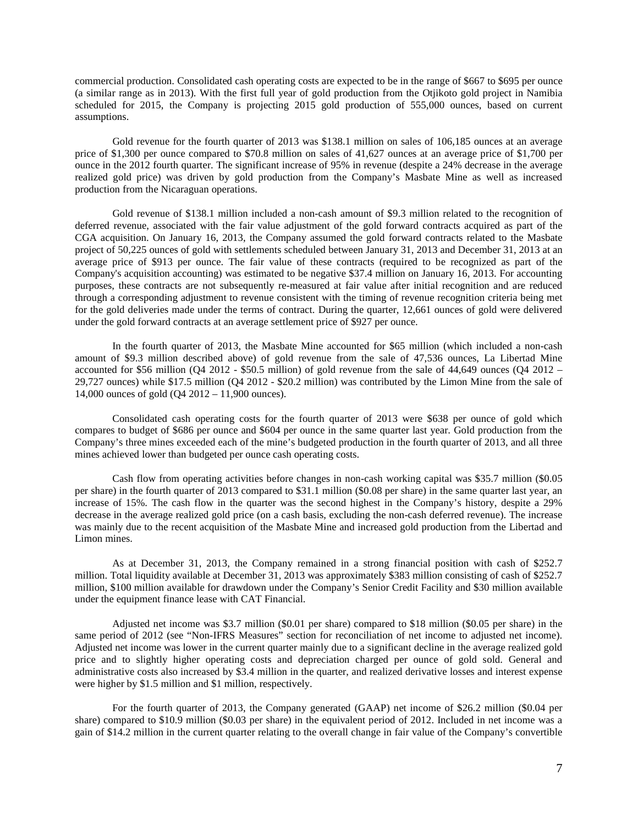commercial production. Consolidated cash operating costs are expected to be in the range of \$667 to \$695 per ounce (a similar range as in 2013). With the first full year of gold production from the Otjikoto gold project in Namibia scheduled for 2015, the Company is projecting 2015 gold production of 555,000 ounces, based on current assumptions.

Gold revenue for the fourth quarter of 2013 was \$138.1 million on sales of 106,185 ounces at an average price of \$1,300 per ounce compared to \$70.8 million on sales of 41,627 ounces at an average price of \$1,700 per ounce in the 2012 fourth quarter. The significant increase of 95% in revenue (despite a 24% decrease in the average realized gold price) was driven by gold production from the Company's Masbate Mine as well as increased production from the Nicaraguan operations.

Gold revenue of \$138.1 million included a non-cash amount of \$9.3 million related to the recognition of deferred revenue, associated with the fair value adjustment of the gold forward contracts acquired as part of the CGA acquisition. On January 16, 2013, the Company assumed the gold forward contracts related to the Masbate project of 50,225 ounces of gold with settlements scheduled between January 31, 2013 and December 31, 2013 at an average price of \$913 per ounce. The fair value of these contracts (required to be recognized as part of the Company's acquisition accounting) was estimated to be negative \$37.4 million on January 16, 2013. For accounting purposes, these contracts are not subsequently re-measured at fair value after initial recognition and are reduced through a corresponding adjustment to revenue consistent with the timing of revenue recognition criteria being met for the gold deliveries made under the terms of contract. During the quarter, 12,661 ounces of gold were delivered under the gold forward contracts at an average settlement price of \$927 per ounce.

In the fourth quarter of 2013, the Masbate Mine accounted for \$65 million (which included a non-cash amount of \$9.3 million described above) of gold revenue from the sale of 47,536 ounces, La Libertad Mine accounted for \$56 million (Q4 2012 - \$50.5 million) of gold revenue from the sale of 44,649 ounces (Q4 2012 – 29,727 ounces) while \$17.5 million (Q4 2012 - \$20.2 million) was contributed by the Limon Mine from the sale of 14,000 ounces of gold (Q4 2012 – 11,900 ounces).

Consolidated cash operating costs for the fourth quarter of 2013 were \$638 per ounce of gold which compares to budget of \$686 per ounce and \$604 per ounce in the same quarter last year. Gold production from the Company's three mines exceeded each of the mine's budgeted production in the fourth quarter of 2013, and all three mines achieved lower than budgeted per ounce cash operating costs.

Cash flow from operating activities before changes in non-cash working capital was \$35.7 million (\$0.05 per share) in the fourth quarter of 2013 compared to \$31.1 million (\$0.08 per share) in the same quarter last year, an increase of 15%. The cash flow in the quarter was the second highest in the Company's history, despite a 29% decrease in the average realized gold price (on a cash basis, excluding the non-cash deferred revenue). The increase was mainly due to the recent acquisition of the Masbate Mine and increased gold production from the Libertad and Limon mines.

As at December 31, 2013, the Company remained in a strong financial position with cash of \$252.7 million. Total liquidity available at December 31, 2013 was approximately \$383 million consisting of cash of \$252.7 million, \$100 million available for drawdown under the Company's Senior Credit Facility and \$30 million available under the equipment finance lease with CAT Financial.

Adjusted net income was \$3.7 million (\$0.01 per share) compared to \$18 million (\$0.05 per share) in the same period of 2012 (see "Non-IFRS Measures" section for reconciliation of net income to adjusted net income). Adjusted net income was lower in the current quarter mainly due to a significant decline in the average realized gold price and to slightly higher operating costs and depreciation charged per ounce of gold sold. General and administrative costs also increased by \$3.4 million in the quarter, and realized derivative losses and interest expense were higher by \$1.5 million and \$1 million, respectively.

For the fourth quarter of 2013, the Company generated (GAAP) net income of \$26.2 million (\$0.04 per share) compared to \$10.9 million (\$0.03 per share) in the equivalent period of 2012. Included in net income was a gain of \$14.2 million in the current quarter relating to the overall change in fair value of the Company's convertible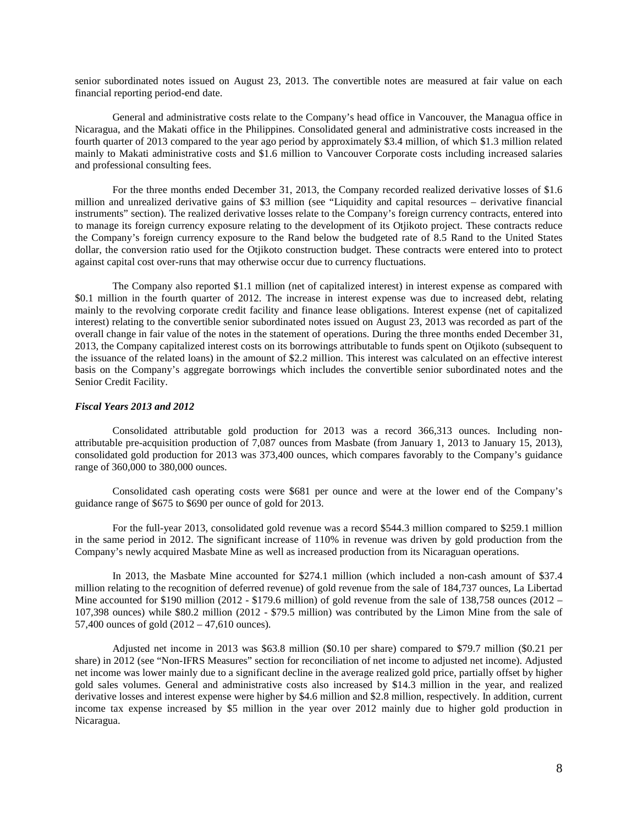senior subordinated notes issued on August 23, 2013. The convertible notes are measured at fair value on each financial reporting period-end date.

General and administrative costs relate to the Company's head office in Vancouver, the Managua office in Nicaragua, and the Makati office in the Philippines. Consolidated general and administrative costs increased in the fourth quarter of 2013 compared to the year ago period by approximately \$3.4 million, of which \$1.3 million related mainly to Makati administrative costs and \$1.6 million to Vancouver Corporate costs including increased salaries and professional consulting fees.

For the three months ended December 31, 2013, the Company recorded realized derivative losses of \$1.6 million and unrealized derivative gains of \$3 million (see "Liquidity and capital resources – derivative financial instruments" section). The realized derivative losses relate to the Company's foreign currency contracts, entered into to manage its foreign currency exposure relating to the development of its Otjikoto project. These contracts reduce the Company's foreign currency exposure to the Rand below the budgeted rate of 8.5 Rand to the United States dollar, the conversion ratio used for the Otjikoto construction budget. These contracts were entered into to protect against capital cost over-runs that may otherwise occur due to currency fluctuations.

The Company also reported \$1.1 million (net of capitalized interest) in interest expense as compared with \$0.1 million in the fourth quarter of 2012. The increase in interest expense was due to increased debt, relating mainly to the revolving corporate credit facility and finance lease obligations. Interest expense (net of capitalized interest) relating to the convertible senior subordinated notes issued on August 23, 2013 was recorded as part of the overall change in fair value of the notes in the statement of operations. During the three months ended December 31, 2013, the Company capitalized interest costs on its borrowings attributable to funds spent on Otjikoto (subsequent to the issuance of the related loans) in the amount of \$2.2 million. This interest was calculated on an effective interest basis on the Company's aggregate borrowings which includes the convertible senior subordinated notes and the Senior Credit Facility.

#### *Fiscal Years 2013 and 2012*

Consolidated attributable gold production for 2013 was a record 366,313 ounces. Including nonattributable pre-acquisition production of 7,087 ounces from Masbate (from January 1, 2013 to January 15, 2013), consolidated gold production for 2013 was 373,400 ounces, which compares favorably to the Company's guidance range of 360,000 to 380,000 ounces.

Consolidated cash operating costs were \$681 per ounce and were at the lower end of the Company's guidance range of \$675 to \$690 per ounce of gold for 2013.

For the full-year 2013, consolidated gold revenue was a record \$544.3 million compared to \$259.1 million in the same period in 2012. The significant increase of 110% in revenue was driven by gold production from the Company's newly acquired Masbate Mine as well as increased production from its Nicaraguan operations.

In 2013, the Masbate Mine accounted for \$274.1 million (which included a non-cash amount of \$37.4 million relating to the recognition of deferred revenue) of gold revenue from the sale of 184,737 ounces, La Libertad Mine accounted for \$190 million (2012 - \$179.6 million) of gold revenue from the sale of 138,758 ounces (2012 – 107,398 ounces) while \$80.2 million (2012 - \$79.5 million) was contributed by the Limon Mine from the sale of 57,400 ounces of gold (2012 – 47,610 ounces).

Adjusted net income in 2013 was \$63.8 million (\$0.10 per share) compared to \$79.7 million (\$0.21 per share) in 2012 (see "Non-IFRS Measures" section for reconciliation of net income to adjusted net income). Adjusted net income was lower mainly due to a significant decline in the average realized gold price, partially offset by higher gold sales volumes. General and administrative costs also increased by \$14.3 million in the year, and realized derivative losses and interest expense were higher by \$4.6 million and \$2.8 million, respectively. In addition, current income tax expense increased by \$5 million in the year over 2012 mainly due to higher gold production in Nicaragua.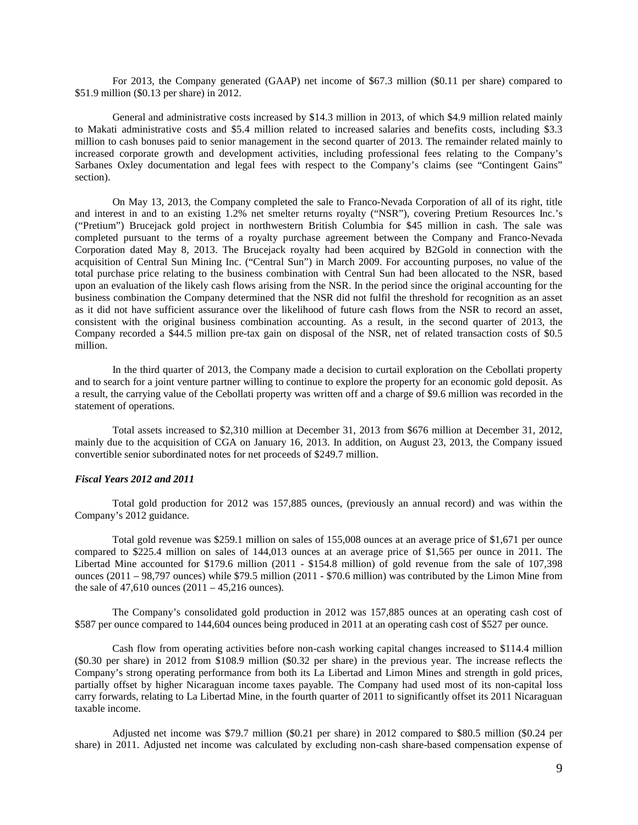For 2013, the Company generated (GAAP) net income of \$67.3 million (\$0.11 per share) compared to \$51.9 million (\$0.13 per share) in 2012.

General and administrative costs increased by \$14.3 million in 2013, of which \$4.9 million related mainly to Makati administrative costs and \$5.4 million related to increased salaries and benefits costs, including \$3.3 million to cash bonuses paid to senior management in the second quarter of 2013. The remainder related mainly to increased corporate growth and development activities, including professional fees relating to the Company's Sarbanes Oxley documentation and legal fees with respect to the Company's claims (see "Contingent Gains" section).

On May 13, 2013, the Company completed the sale to Franco-Nevada Corporation of all of its right, title and interest in and to an existing 1.2% net smelter returns royalty ("NSR"), covering Pretium Resources Inc.'s ("Pretium") Brucejack gold project in northwestern British Columbia for \$45 million in cash. The sale was completed pursuant to the terms of a royalty purchase agreement between the Company and Franco-Nevada Corporation dated May 8, 2013. The Brucejack royalty had been acquired by B2Gold in connection with the acquisition of Central Sun Mining Inc. ("Central Sun") in March 2009. For accounting purposes, no value of the total purchase price relating to the business combination with Central Sun had been allocated to the NSR, based upon an evaluation of the likely cash flows arising from the NSR. In the period since the original accounting for the business combination the Company determined that the NSR did not fulfil the threshold for recognition as an asset as it did not have sufficient assurance over the likelihood of future cash flows from the NSR to record an asset, consistent with the original business combination accounting. As a result, in the second quarter of 2013, the Company recorded a \$44.5 million pre-tax gain on disposal of the NSR, net of related transaction costs of \$0.5 million.

In the third quarter of 2013, the Company made a decision to curtail exploration on the Cebollati property and to search for a joint venture partner willing to continue to explore the property for an economic gold deposit. As a result, the carrying value of the Cebollati property was written off and a charge of \$9.6 million was recorded in the statement of operations.

Total assets increased to \$2,310 million at December 31, 2013 from \$676 million at December 31, 2012, mainly due to the acquisition of CGA on January 16, 2013. In addition, on August 23, 2013, the Company issued convertible senior subordinated notes for net proceeds of \$249.7 million.

## *Fiscal Years 2012 and 2011*

Total gold production for 2012 was 157,885 ounces, (previously an annual record) and was within the Company's 2012 guidance.

Total gold revenue was \$259.1 million on sales of 155,008 ounces at an average price of \$1,671 per ounce compared to \$225.4 million on sales of 144,013 ounces at an average price of \$1,565 per ounce in 2011. The Libertad Mine accounted for \$179.6 million (2011 - \$154.8 million) of gold revenue from the sale of 107,398 ounces (2011 – 98,797 ounces) while \$79.5 million (2011 - \$70.6 million) was contributed by the Limon Mine from the sale of  $47,610$  ounces  $(2011 - 45,216)$  ounces).

The Company's consolidated gold production in 2012 was 157,885 ounces at an operating cash cost of \$587 per ounce compared to 144,604 ounces being produced in 2011 at an operating cash cost of \$527 per ounce.

Cash flow from operating activities before non-cash working capital changes increased to \$114.4 million (\$0.30 per share) in 2012 from \$108.9 million (\$0.32 per share) in the previous year. The increase reflects the Company's strong operating performance from both its La Libertad and Limon Mines and strength in gold prices, partially offset by higher Nicaraguan income taxes payable. The Company had used most of its non-capital loss carry forwards, relating to La Libertad Mine, in the fourth quarter of 2011 to significantly offset its 2011 Nicaraguan taxable income.

Adjusted net income was \$79.7 million (\$0.21 per share) in 2012 compared to \$80.5 million (\$0.24 per share) in 2011. Adjusted net income was calculated by excluding non-cash share-based compensation expense of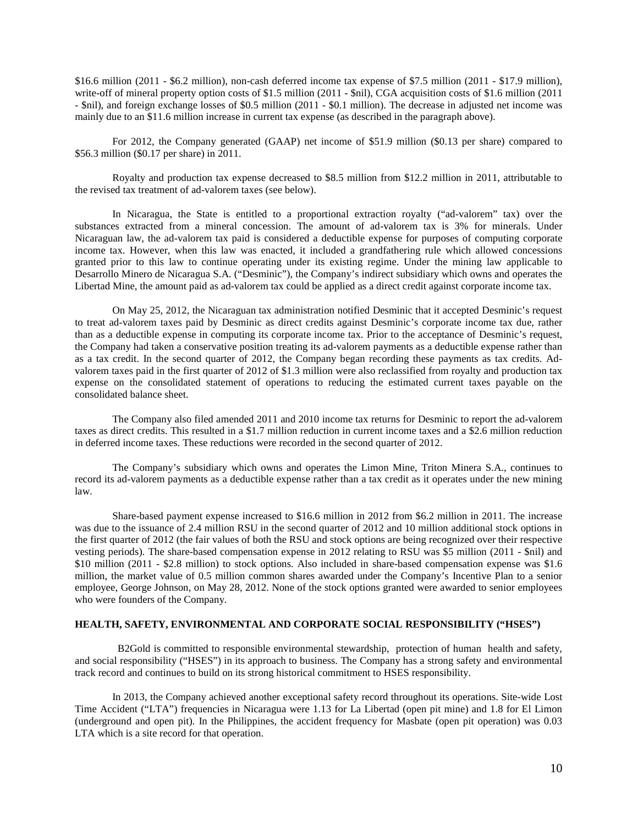\$16.6 million (2011 - \$6.2 million), non-cash deferred income tax expense of \$7.5 million (2011 - \$17.9 million), write-off of mineral property option costs of \$1.5 million (2011 - \$nil), CGA acquisition costs of \$1.6 million (2011) - \$nil), and foreign exchange losses of \$0.5 million (2011 - \$0.1 million). The decrease in adjusted net income was mainly due to an \$11.6 million increase in current tax expense (as described in the paragraph above).

For 2012, the Company generated (GAAP) net income of \$51.9 million (\$0.13 per share) compared to \$56.3 million (\$0.17 per share) in 2011.

Royalty and production tax expense decreased to \$8.5 million from \$12.2 million in 2011, attributable to the revised tax treatment of ad-valorem taxes (see below).

In Nicaragua, the State is entitled to a proportional extraction royalty ("ad-valorem" tax) over the substances extracted from a mineral concession. The amount of ad-valorem tax is 3% for minerals. Under Nicaraguan law, the ad-valorem tax paid is considered a deductible expense for purposes of computing corporate income tax. However, when this law was enacted, it included a grandfathering rule which allowed concessions granted prior to this law to continue operating under its existing regime. Under the mining law applicable to Desarrollo Minero de Nicaragua S.A. ("Desminic"), the Company's indirect subsidiary which owns and operates the Libertad Mine, the amount paid as ad-valorem tax could be applied as a direct credit against corporate income tax.

On May 25, 2012, the Nicaraguan tax administration notified Desminic that it accepted Desminic's request to treat ad-valorem taxes paid by Desminic as direct credits against Desminic's corporate income tax due, rather than as a deductible expense in computing its corporate income tax. Prior to the acceptance of Desminic's request, the Company had taken a conservative position treating its ad-valorem payments as a deductible expense rather than as a tax credit. In the second quarter of 2012, the Company began recording these payments as tax credits. Advalorem taxes paid in the first quarter of 2012 of \$1.3 million were also reclassified from royalty and production tax expense on the consolidated statement of operations to reducing the estimated current taxes payable on the consolidated balance sheet.

The Company also filed amended 2011 and 2010 income tax returns for Desminic to report the ad-valorem taxes as direct credits. This resulted in a \$1.7 million reduction in current income taxes and a \$2.6 million reduction in deferred income taxes. These reductions were recorded in the second quarter of 2012.

The Company's subsidiary which owns and operates the Limon Mine, Triton Minera S.A., continues to record its ad-valorem payments as a deductible expense rather than a tax credit as it operates under the new mining law.

Share-based payment expense increased to \$16.6 million in 2012 from \$6.2 million in 2011. The increase was due to the issuance of 2.4 million RSU in the second quarter of 2012 and 10 million additional stock options in the first quarter of 2012 (the fair values of both the RSU and stock options are being recognized over their respective vesting periods). The share-based compensation expense in 2012 relating to RSU was \$5 million (2011 - \$nil) and \$10 million (2011 - \$2.8 million) to stock options. Also included in share-based compensation expense was \$1.6 million, the market value of 0.5 million common shares awarded under the Company's Incentive Plan to a senior employee, George Johnson, on May 28, 2012. None of the stock options granted were awarded to senior employees who were founders of the Company.

## **HEALTH, SAFETY, ENVIRONMENTAL AND CORPORATE SOCIAL RESPONSIBILITY ("HSES")**

 B2Gold is committed to responsible environmental stewardship, protection of human health and safety, and social responsibility ("HSES") in its approach to business. The Company has a strong safety and environmental track record and continues to build on its strong historical commitment to HSES responsibility.

In 2013, the Company achieved another exceptional safety record throughout its operations. Site-wide Lost Time Accident ("LTA") frequencies in Nicaragua were 1.13 for La Libertad (open pit mine) and 1.8 for El Limon (underground and open pit). In the Philippines, the accident frequency for Masbate (open pit operation) was 0.03 LTA which is a site record for that operation.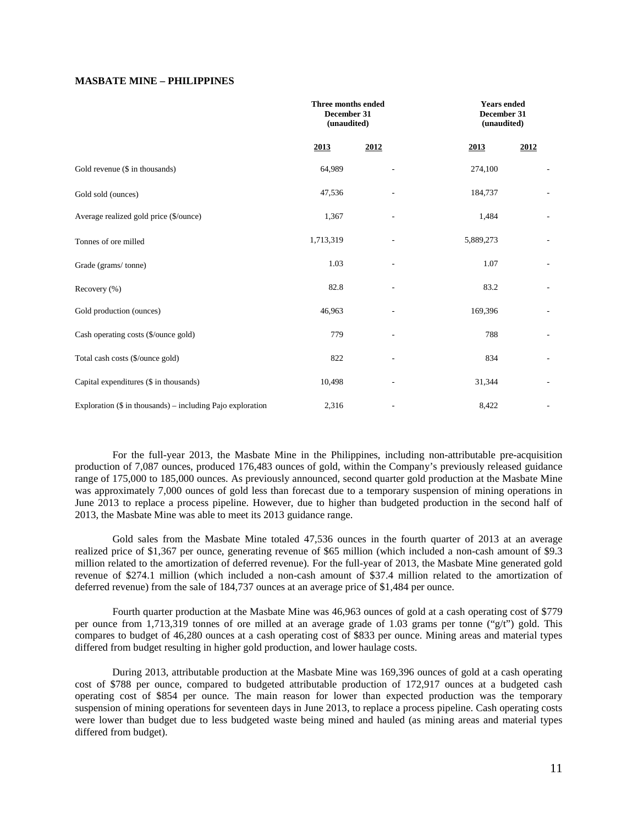## **MASBATE MINE – PHILIPPINES**

|                                                            | Three months ended<br>December 31<br>(unaudited) |      | <b>Years ended</b><br>December 31<br>(unaudited) |                              |
|------------------------------------------------------------|--------------------------------------------------|------|--------------------------------------------------|------------------------------|
|                                                            | 2013                                             | 2012 | 2013                                             | 2012                         |
| Gold revenue (\$ in thousands)                             | 64,989                                           |      | 274,100                                          | $\overline{a}$               |
| Gold sold (ounces)                                         | 47,536                                           |      | 184,737                                          |                              |
| Average realized gold price (\$/ounce)                     | 1,367                                            |      | 1,484                                            |                              |
| Tonnes of ore milled                                       | 1,713,319                                        |      | 5,889,273                                        | $\overline{a}$               |
| Grade (grams/tonne)                                        | 1.03                                             |      | 1.07                                             | $\qquad \qquad \blacksquare$ |
| Recovery (%)                                               | 82.8                                             |      | 83.2                                             | $\overline{\phantom{a}}$     |
| Gold production (ounces)                                   | 46,963                                           |      | 169,396                                          | $\qquad \qquad \blacksquare$ |
| Cash operating costs (\$/ounce gold)                       | 779                                              |      | 788                                              |                              |
| Total cash costs (\$/ounce gold)                           | 822                                              |      | 834                                              |                              |
| Capital expenditures (\$ in thousands)                     | 10,498                                           |      | 31,344                                           |                              |
| Exploration (\$ in thousands) – including Pajo exploration | 2,316                                            |      | 8,422                                            | $\overline{\phantom{a}}$     |

For the full-year 2013, the Masbate Mine in the Philippines, including non-attributable pre-acquisition production of 7,087 ounces, produced 176,483 ounces of gold, within the Company's previously released guidance range of 175,000 to 185,000 ounces. As previously announced, second quarter gold production at the Masbate Mine was approximately 7,000 ounces of gold less than forecast due to a temporary suspension of mining operations in June 2013 to replace a process pipeline. However, due to higher than budgeted production in the second half of 2013, the Masbate Mine was able to meet its 2013 guidance range.

Gold sales from the Masbate Mine totaled 47,536 ounces in the fourth quarter of 2013 at an average realized price of \$1,367 per ounce, generating revenue of \$65 million (which included a non-cash amount of \$9.3 million related to the amortization of deferred revenue). For the full-year of 2013, the Masbate Mine generated gold revenue of \$274.1 million (which included a non-cash amount of \$37.4 million related to the amortization of deferred revenue) from the sale of 184,737 ounces at an average price of \$1,484 per ounce.

Fourth quarter production at the Masbate Mine was 46,963 ounces of gold at a cash operating cost of \$779 per ounce from 1,713,319 tonnes of ore milled at an average grade of 1.03 grams per tonne ("g/t") gold. This compares to budget of 46,280 ounces at a cash operating cost of \$833 per ounce. Mining areas and material types differed from budget resulting in higher gold production, and lower haulage costs.

During 2013, attributable production at the Masbate Mine was 169,396 ounces of gold at a cash operating cost of \$788 per ounce, compared to budgeted attributable production of 172,917 ounces at a budgeted cash operating cost of \$854 per ounce. The main reason for lower than expected production was the temporary suspension of mining operations for seventeen days in June 2013, to replace a process pipeline. Cash operating costs were lower than budget due to less budgeted waste being mined and hauled (as mining areas and material types differed from budget).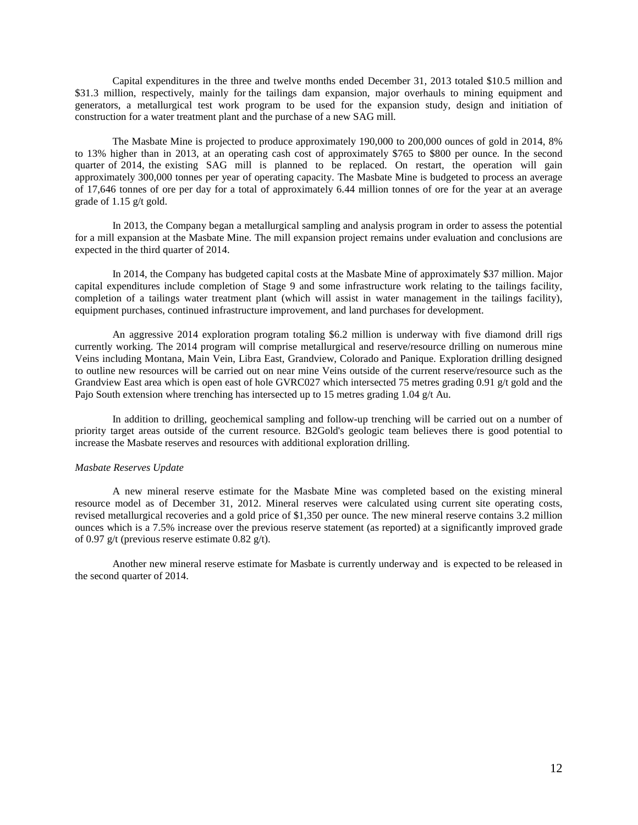Capital expenditures in the three and twelve months ended December 31, 2013 totaled \$10.5 million and \$31.3 million, respectively, mainly for the tailings dam expansion, major overhauls to mining equipment and generators, a metallurgical test work program to be used for the expansion study, design and initiation of construction for a water treatment plant and the purchase of a new SAG mill.

The Masbate Mine is projected to produce approximately 190,000 to 200,000 ounces of gold in 2014, 8% to 13% higher than in 2013, at an operating cash cost of approximately \$765 to \$800 per ounce. In the second quarter of 2014, the existing SAG mill is planned to be replaced. On restart, the operation will gain approximately 300,000 tonnes per year of operating capacity. The Masbate Mine is budgeted to process an average of 17,646 tonnes of ore per day for a total of approximately 6.44 million tonnes of ore for the year at an average grade of 1.15 g/t gold.

In 2013, the Company began a metallurgical sampling and analysis program in order to assess the potential for a mill expansion at the Masbate Mine. The mill expansion project remains under evaluation and conclusions are expected in the third quarter of 2014.

In 2014, the Company has budgeted capital costs at the Masbate Mine of approximately \$37 million. Major capital expenditures include completion of Stage 9 and some infrastructure work relating to the tailings facility, completion of a tailings water treatment plant (which will assist in water management in the tailings facility), equipment purchases, continued infrastructure improvement, and land purchases for development.

An aggressive 2014 exploration program totaling \$6.2 million is underway with five diamond drill rigs currently working. The 2014 program will comprise metallurgical and reserve/resource drilling on numerous mine Veins including Montana, Main Vein, Libra East, Grandview, Colorado and Panique. Exploration drilling designed to outline new resources will be carried out on near mine Veins outside of the current reserve/resource such as the Grandview East area which is open east of hole GVRC027 which intersected 75 metres grading 0.91 g/t gold and the Pajo South extension where trenching has intersected up to 15 metres grading 1.04 g/t Au.

In addition to drilling, geochemical sampling and follow-up trenching will be carried out on a number of priority target areas outside of the current resource. B2Gold's geologic team believes there is good potential to increase the Masbate reserves and resources with additional exploration drilling.

#### *Masbate Reserves Update*

A new mineral reserve estimate for the Masbate Mine was completed based on the existing mineral resource model as of December 31, 2012. Mineral reserves were calculated using current site operating costs, revised metallurgical recoveries and a gold price of \$1,350 per ounce. The new mineral reserve contains 3.2 million ounces which is a 7.5% increase over the previous reserve statement (as reported) at a significantly improved grade of 0.97 g/t (previous reserve estimate 0.82 g/t).

Another new mineral reserve estimate for Masbate is currently underway and is expected to be released in the second quarter of 2014.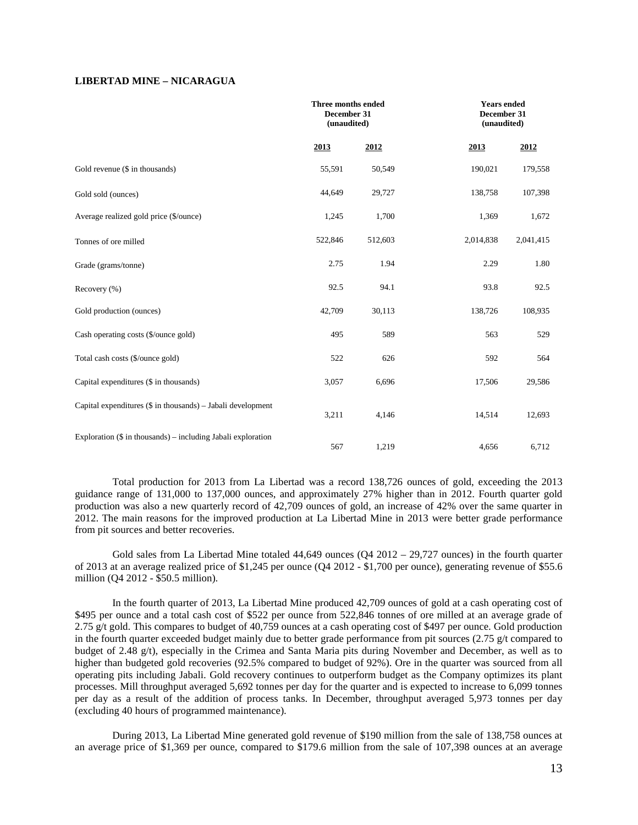## **LIBERTAD MINE – NICARAGUA**

|                                                                | Three months ended<br>December 31<br>(unaudited) |         | December 31 | <b>Years ended</b><br>(unaudited) |
|----------------------------------------------------------------|--------------------------------------------------|---------|-------------|-----------------------------------|
|                                                                | 2013                                             | 2012    | 2013        | 2012                              |
| Gold revenue (\$ in thousands)                                 | 55,591                                           | 50,549  | 190,021     | 179,558                           |
| Gold sold (ounces)                                             | 44,649                                           | 29,727  | 138,758     | 107,398                           |
| Average realized gold price (\$/ounce)                         | 1,245                                            | 1,700   | 1,369       | 1,672                             |
| Tonnes of ore milled                                           | 522,846                                          | 512,603 | 2,014,838   | 2,041,415                         |
| Grade (grams/tonne)                                            | 2.75                                             | 1.94    | 2.29        | 1.80                              |
| Recovery (%)                                                   | 92.5                                             | 94.1    | 93.8        | 92.5                              |
| Gold production (ounces)                                       | 42,709                                           | 30,113  | 138,726     | 108,935                           |
| Cash operating costs (\$/ounce gold)                           | 495                                              | 589     | 563         | 529                               |
| Total cash costs (\$/ounce gold)                               | 522                                              | 626     | 592         | 564                               |
| Capital expenditures (\$ in thousands)                         | 3,057                                            | 6,696   | 17,506      | 29,586                            |
| Capital expenditures (\$ in thousands) - Jabali development    | 3,211                                            | 4,146   | 14,514      | 12,693                            |
| Exploration $(\$$ in thousands) – including Jabali exploration | 567                                              | 1,219   | 4,656       | 6,712                             |

Total production for 2013 from La Libertad was a record 138,726 ounces of gold, exceeding the 2013 guidance range of 131,000 to 137,000 ounces, and approximately 27% higher than in 2012. Fourth quarter gold production was also a new quarterly record of 42,709 ounces of gold, an increase of 42% over the same quarter in 2012. The main reasons for the improved production at La Libertad Mine in 2013 were better grade performance from pit sources and better recoveries.

Gold sales from La Libertad Mine totaled 44,649 ounces (Q4 2012 – 29,727 ounces) in the fourth quarter of 2013 at an average realized price of \$1,245 per ounce (Q4 2012 - \$1,700 per ounce), generating revenue of \$55.6 million (Q4 2012 - \$50.5 million).

In the fourth quarter of 2013, La Libertad Mine produced 42,709 ounces of gold at a cash operating cost of \$495 per ounce and a total cash cost of \$522 per ounce from 522,846 tonnes of ore milled at an average grade of 2.75 g/t gold. This compares to budget of 40,759 ounces at a cash operating cost of \$497 per ounce. Gold production in the fourth quarter exceeded budget mainly due to better grade performance from pit sources (2.75 g/t compared to budget of 2.48 g/t), especially in the Crimea and Santa Maria pits during November and December, as well as to higher than budgeted gold recoveries (92.5% compared to budget of 92%). Ore in the quarter was sourced from all operating pits including Jabali. Gold recovery continues to outperform budget as the Company optimizes its plant processes. Mill throughput averaged 5,692 tonnes per day for the quarter and is expected to increase to 6,099 tonnes per day as a result of the addition of process tanks. In December, throughput averaged 5,973 tonnes per day (excluding 40 hours of programmed maintenance).

During 2013, La Libertad Mine generated gold revenue of \$190 million from the sale of 138,758 ounces at an average price of \$1,369 per ounce, compared to \$179.6 million from the sale of 107,398 ounces at an average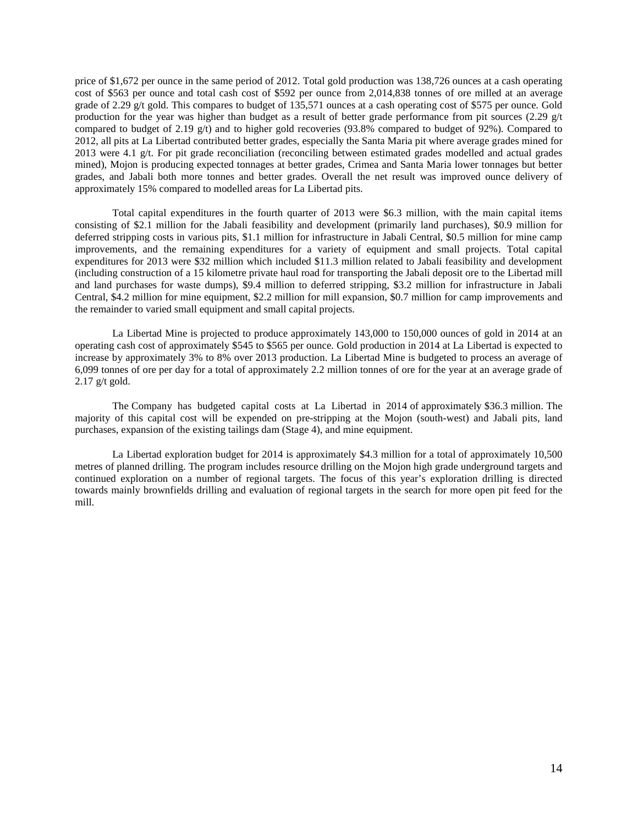price of \$1,672 per ounce in the same period of 2012. Total gold production was 138,726 ounces at a cash operating cost of \$563 per ounce and total cash cost of \$592 per ounce from 2,014,838 tonnes of ore milled at an average grade of 2.29 g/t gold. This compares to budget of 135,571 ounces at a cash operating cost of \$575 per ounce. Gold production for the year was higher than budget as a result of better grade performance from pit sources (2.29 g/t compared to budget of 2.19  $g(t)$  and to higher gold recoveries (93.8% compared to budget of 92%). Compared to 2012, all pits at La Libertad contributed better grades, especially the Santa Maria pit where average grades mined for 2013 were 4.1 g/t. For pit grade reconciliation (reconciling between estimated grades modelled and actual grades mined), Mojon is producing expected tonnages at better grades, Crimea and Santa Maria lower tonnages but better grades, and Jabali both more tonnes and better grades. Overall the net result was improved ounce delivery of approximately 15% compared to modelled areas for La Libertad pits.

Total capital expenditures in the fourth quarter of 2013 were \$6.3 million, with the main capital items consisting of \$2.1 million for the Jabali feasibility and development (primarily land purchases), \$0.9 million for deferred stripping costs in various pits, \$1.1 million for infrastructure in Jabali Central, \$0.5 million for mine camp improvements, and the remaining expenditures for a variety of equipment and small projects. Total capital expenditures for 2013 were \$32 million which included \$11.3 million related to Jabali feasibility and development (including construction of a 15 kilometre private haul road for transporting the Jabali deposit ore to the Libertad mill and land purchases for waste dumps), \$9.4 million to deferred stripping, \$3.2 million for infrastructure in Jabali Central, \$4.2 million for mine equipment, \$2.2 million for mill expansion, \$0.7 million for camp improvements and the remainder to varied small equipment and small capital projects.

La Libertad Mine is projected to produce approximately 143,000 to 150,000 ounces of gold in 2014 at an operating cash cost of approximately \$545 to \$565 per ounce. Gold production in 2014 at La Libertad is expected to increase by approximately 3% to 8% over 2013 production. La Libertad Mine is budgeted to process an average of 6,099 tonnes of ore per day for a total of approximately 2.2 million tonnes of ore for the year at an average grade of 2.17 g/t gold.

The Company has budgeted capital costs at La Libertad in 2014 of approximately \$36.3 million. The majority of this capital cost will be expended on pre-stripping at the Mojon (south-west) and Jabali pits, land purchases, expansion of the existing tailings dam (Stage 4), and mine equipment.

La Libertad exploration budget for 2014 is approximately \$4.3 million for a total of approximately 10,500 metres of planned drilling. The program includes resource drilling on the Mojon high grade underground targets and continued exploration on a number of regional targets. The focus of this year's exploration drilling is directed towards mainly brownfields drilling and evaluation of regional targets in the search for more open pit feed for the mill.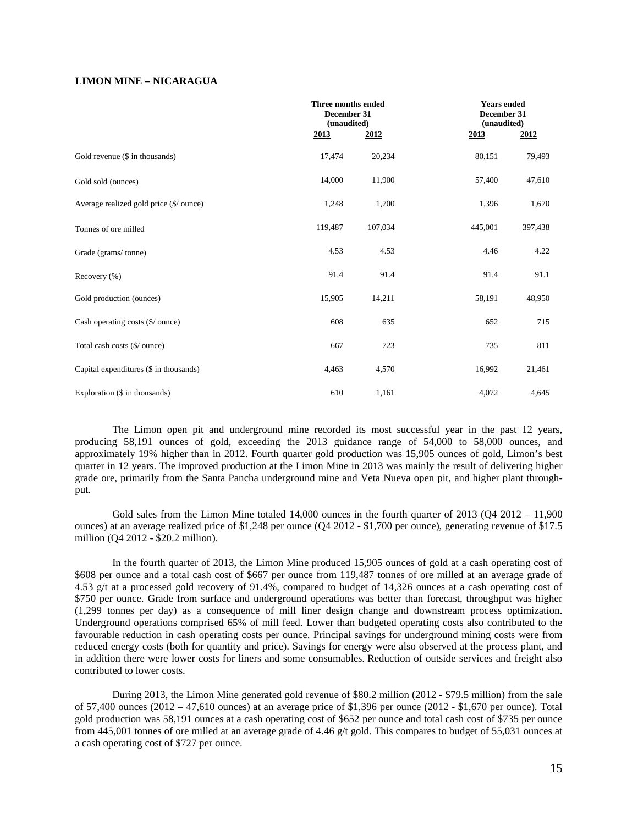## **LIMON MINE – NICARAGUA**

|                                             | Three months ended<br>December 31<br>(unaudited) |         |         | <b>Years ended</b><br>December 31<br>(unaudited) |
|---------------------------------------------|--------------------------------------------------|---------|---------|--------------------------------------------------|
|                                             | 2013                                             | 2012    | 2013    | 2012                                             |
| Gold revenue (\$ in thousands)              | 17,474                                           | 20,234  | 80,151  | 79,493                                           |
| Gold sold (ounces)                          | 14,000                                           | 11,900  | 57,400  | 47,610                                           |
| Average realized gold price (\$/ ounce)     | 1,248                                            | 1,700   | 1,396   | 1,670                                            |
| Tonnes of ore milled                        | 119,487                                          | 107,034 | 445,001 | 397,438                                          |
| Grade (grams/tonne)                         | 4.53                                             | 4.53    | 4.46    | 4.22                                             |
| Recovery (%)                                | 91.4                                             | 91.4    | 91.4    | 91.1                                             |
| Gold production (ounces)                    | 15,905                                           | 14,211  | 58,191  | 48,950                                           |
| Cash operating costs $(\frac{6}{2})$ ounce) | 608                                              | 635     | 652     | 715                                              |
| Total cash costs (\$/ ounce)                | 667                                              | 723     | 735     | 811                                              |
| Capital expenditures (\$ in thousands)      | 4,463                                            | 4,570   | 16,992  | 21,461                                           |
| Exploration (\$ in thousands)               | 610                                              | 1,161   | 4,072   | 4,645                                            |

The Limon open pit and underground mine recorded its most successful year in the past 12 years, producing 58,191 ounces of gold, exceeding the 2013 guidance range of 54,000 to 58,000 ounces, and approximately 19% higher than in 2012. Fourth quarter gold production was 15,905 ounces of gold, Limon's best quarter in 12 years. The improved production at the Limon Mine in 2013 was mainly the result of delivering higher grade ore, primarily from the Santa Pancha underground mine and Veta Nueva open pit, and higher plant throughput.

Gold sales from the Limon Mine totaled  $14,000$  ounces in the fourth quarter of  $2013$  (Q4  $2012 - 11,900$ ) ounces) at an average realized price of \$1,248 per ounce (Q4 2012 - \$1,700 per ounce), generating revenue of \$17.5 million (Q4 2012 - \$20.2 million).

In the fourth quarter of 2013, the Limon Mine produced 15,905 ounces of gold at a cash operating cost of \$608 per ounce and a total cash cost of \$667 per ounce from 119,487 tonnes of ore milled at an average grade of 4.53 g/t at a processed gold recovery of 91.4%, compared to budget of 14,326 ounces at a cash operating cost of \$750 per ounce. Grade from surface and underground operations was better than forecast, throughput was higher (1,299 tonnes per day) as a consequence of mill liner design change and downstream process optimization. Underground operations comprised 65% of mill feed. Lower than budgeted operating costs also contributed to the favourable reduction in cash operating costs per ounce. Principal savings for underground mining costs were from reduced energy costs (both for quantity and price). Savings for energy were also observed at the process plant, and in addition there were lower costs for liners and some consumables. Reduction of outside services and freight also contributed to lower costs.

During 2013, the Limon Mine generated gold revenue of \$80.2 million (2012 - \$79.5 million) from the sale of 57,400 ounces (2012 – 47,610 ounces) at an average price of \$1,396 per ounce (2012 - \$1,670 per ounce). Total gold production was 58,191 ounces at a cash operating cost of \$652 per ounce and total cash cost of \$735 per ounce from 445,001 tonnes of ore milled at an average grade of 4.46 g/t gold. This compares to budget of 55,031 ounces at a cash operating cost of \$727 per ounce.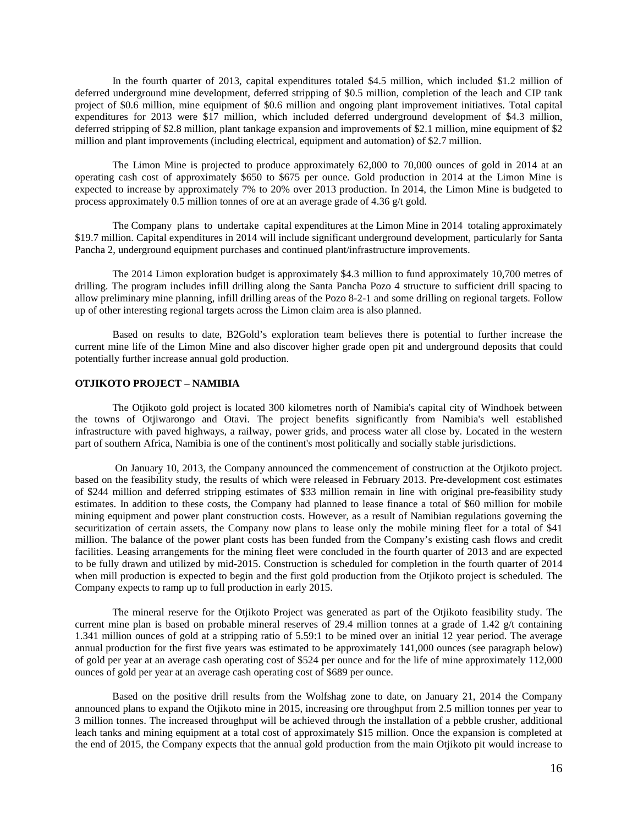In the fourth quarter of 2013, capital expenditures totaled \$4.5 million, which included \$1.2 million of deferred underground mine development, deferred stripping of \$0.5 million, completion of the leach and CIP tank project of \$0.6 million, mine equipment of \$0.6 million and ongoing plant improvement initiatives. Total capital expenditures for 2013 were \$17 million, which included deferred underground development of \$4.3 million, deferred stripping of \$2.8 million, plant tankage expansion and improvements of \$2.1 million, mine equipment of \$2 million and plant improvements (including electrical, equipment and automation) of \$2.7 million.

The Limon Mine is projected to produce approximately 62,000 to 70,000 ounces of gold in 2014 at an operating cash cost of approximately \$650 to \$675 per ounce. Gold production in 2014 at the Limon Mine is expected to increase by approximately 7% to 20% over 2013 production. In 2014, the Limon Mine is budgeted to process approximately 0.5 million tonnes of ore at an average grade of 4.36 g/t gold.

The Company plans to undertake capital expenditures at the Limon Mine in 2014 totaling approximately \$19.7 million. Capital expenditures in 2014 will include significant underground development, particularly for Santa Pancha 2, underground equipment purchases and continued plant/infrastructure improvements.

The 2014 Limon exploration budget is approximately \$4.3 million to fund approximately 10,700 metres of drilling. The program includes infill drilling along the Santa Pancha Pozo 4 structure to sufficient drill spacing to allow preliminary mine planning, infill drilling areas of the Pozo 8-2-1 and some drilling on regional targets. Follow up of other interesting regional targets across the Limon claim area is also planned.

Based on results to date, B2Gold's exploration team believes there is potential to further increase the current mine life of the Limon Mine and also discover higher grade open pit and underground deposits that could potentially further increase annual gold production.

### **OTJIKOTO PROJECT – NAMIBIA**

The Otjikoto gold project is located 300 kilometres north of Namibia's capital city of Windhoek between the towns of Otjiwarongo and Otavi. The project benefits significantly from Namibia's well established infrastructure with paved highways, a railway, power grids, and process water all close by. Located in the western part of southern Africa, Namibia is one of the continent's most politically and socially stable jurisdictions.

On January 10, 2013, the Company announced the commencement of construction at the Otjikoto project. based on the feasibility study, the results of which were released in February 2013. Pre-development cost estimates of \$244 million and deferred stripping estimates of \$33 million remain in line with original pre-feasibility study estimates. In addition to these costs, the Company had planned to lease finance a total of \$60 million for mobile mining equipment and power plant construction costs. However, as a result of Namibian regulations governing the securitization of certain assets, the Company now plans to lease only the mobile mining fleet for a total of \$41 million. The balance of the power plant costs has been funded from the Company's existing cash flows and credit facilities. Leasing arrangements for the mining fleet were concluded in the fourth quarter of 2013 and are expected to be fully drawn and utilized by mid-2015. Construction is scheduled for completion in the fourth quarter of 2014 when mill production is expected to begin and the first gold production from the Otjikoto project is scheduled. The Company expects to ramp up to full production in early 2015.

The mineral reserve for the Otjikoto Project was generated as part of the Otjikoto feasibility study. The current mine plan is based on probable mineral reserves of 29.4 million tonnes at a grade of 1.42  $g/t$  containing 1.341 million ounces of gold at a stripping ratio of 5.59:1 to be mined over an initial 12 year period. The average annual production for the first five years was estimated to be approximately 141,000 ounces (see paragraph below) of gold per year at an average cash operating cost of \$524 per ounce and for the life of mine approximately 112,000 ounces of gold per year at an average cash operating cost of \$689 per ounce.

Based on the positive drill results from the Wolfshag zone to date, on January 21, 2014 the Company announced plans to expand the Otjikoto mine in 2015, increasing ore throughput from 2.5 million tonnes per year to 3 million tonnes. The increased throughput will be achieved through the installation of a pebble crusher, additional leach tanks and mining equipment at a total cost of approximately \$15 million. Once the expansion is completed at the end of 2015, the Company expects that the annual gold production from the main Otjikoto pit would increase to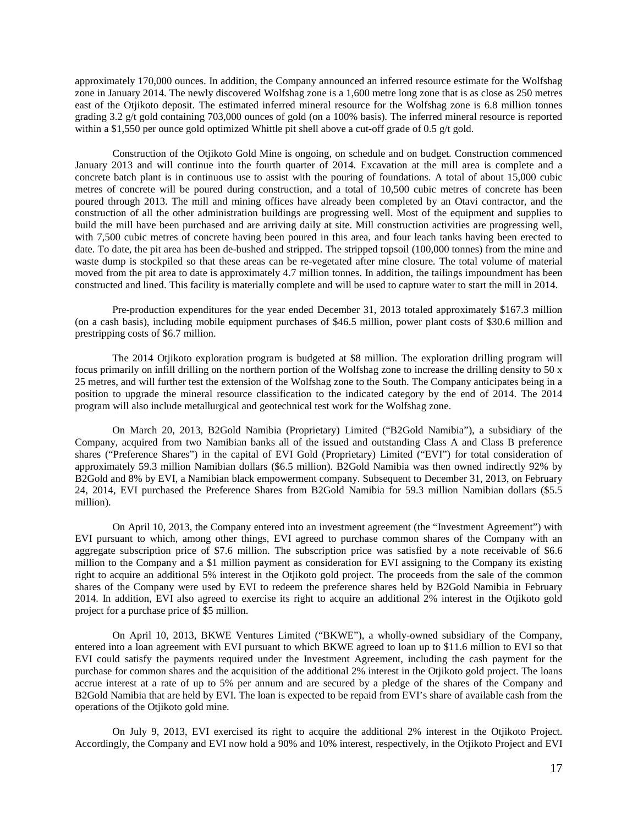approximately 170,000 ounces. In addition, the Company announced an inferred resource estimate for the Wolfshag zone in January 2014. The newly discovered Wolfshag zone is a 1,600 metre long zone that is as close as 250 metres east of the Otjikoto deposit. The estimated inferred mineral resource for the Wolfshag zone is 6.8 million tonnes grading 3.2 g/t gold containing 703,000 ounces of gold (on a 100% basis). The inferred mineral resource is reported within a  $$1,550$  per ounce gold optimized Whittle pit shell above a cut-off grade of 0.5 g/t gold.

Construction of the Otjikoto Gold Mine is ongoing, on schedule and on budget. Construction commenced January 2013 and will continue into the fourth quarter of 2014. Excavation at the mill area is complete and a concrete batch plant is in continuous use to assist with the pouring of foundations. A total of about 15,000 cubic metres of concrete will be poured during construction, and a total of 10,500 cubic metres of concrete has been poured through 2013. The mill and mining offices have already been completed by an Otavi contractor, and the construction of all the other administration buildings are progressing well. Most of the equipment and supplies to build the mill have been purchased and are arriving daily at site. Mill construction activities are progressing well, with 7,500 cubic metres of concrete having been poured in this area, and four leach tanks having been erected to date. To date, the pit area has been de-bushed and stripped. The stripped topsoil (100,000 tonnes) from the mine and waste dump is stockpiled so that these areas can be re-vegetated after mine closure. The total volume of material moved from the pit area to date is approximately 4.7 million tonnes. In addition, the tailings impoundment has been constructed and lined. This facility is materially complete and will be used to capture water to start the mill in 2014.

Pre-production expenditures for the year ended December 31, 2013 totaled approximately \$167.3 million (on a cash basis), including mobile equipment purchases of \$46.5 million, power plant costs of \$30.6 million and prestripping costs of \$6.7 million.

The 2014 Otjikoto exploration program is budgeted at \$8 million. The exploration drilling program will focus primarily on infill drilling on the northern portion of the Wolfshag zone to increase the drilling density to 50 x 25 metres, and will further test the extension of the Wolfshag zone to the South. The Company anticipates being in a position to upgrade the mineral resource classification to the indicated category by the end of 2014. The 2014 program will also include metallurgical and geotechnical test work for the Wolfshag zone.

On March 20, 2013, B2Gold Namibia (Proprietary) Limited ("B2Gold Namibia"), a subsidiary of the Company, acquired from two Namibian banks all of the issued and outstanding Class A and Class B preference shares ("Preference Shares") in the capital of EVI Gold (Proprietary) Limited ("EVI") for total consideration of approximately 59.3 million Namibian dollars (\$6.5 million). B2Gold Namibia was then owned indirectly 92% by B2Gold and 8% by EVI, a Namibian black empowerment company. Subsequent to December 31, 2013, on February 24, 2014, EVI purchased the Preference Shares from B2Gold Namibia for 59.3 million Namibian dollars (\$5.5 million).

On April 10, 2013, the Company entered into an investment agreement (the "Investment Agreement") with EVI pursuant to which, among other things, EVI agreed to purchase common shares of the Company with an aggregate subscription price of \$7.6 million. The subscription price was satisfied by a note receivable of \$6.6 million to the Company and a \$1 million payment as consideration for EVI assigning to the Company its existing right to acquire an additional 5% interest in the Otjikoto gold project. The proceeds from the sale of the common shares of the Company were used by EVI to redeem the preference shares held by B2Gold Namibia in February 2014. In addition, EVI also agreed to exercise its right to acquire an additional 2% interest in the Otjikoto gold project for a purchase price of \$5 million.

On April 10, 2013, BKWE Ventures Limited ("BKWE"), a wholly-owned subsidiary of the Company, entered into a loan agreement with EVI pursuant to which BKWE agreed to loan up to \$11.6 million to EVI so that EVI could satisfy the payments required under the Investment Agreement, including the cash payment for the purchase for common shares and the acquisition of the additional 2% interest in the Otjikoto gold project. The loans accrue interest at a rate of up to 5% per annum and are secured by a pledge of the shares of the Company and B2Gold Namibia that are held by EVI. The loan is expected to be repaid from EVI's share of available cash from the operations of the Otjikoto gold mine.

On July 9, 2013, EVI exercised its right to acquire the additional 2% interest in the Otjikoto Project. Accordingly, the Company and EVI now hold a 90% and 10% interest, respectively, in the Otjikoto Project and EVI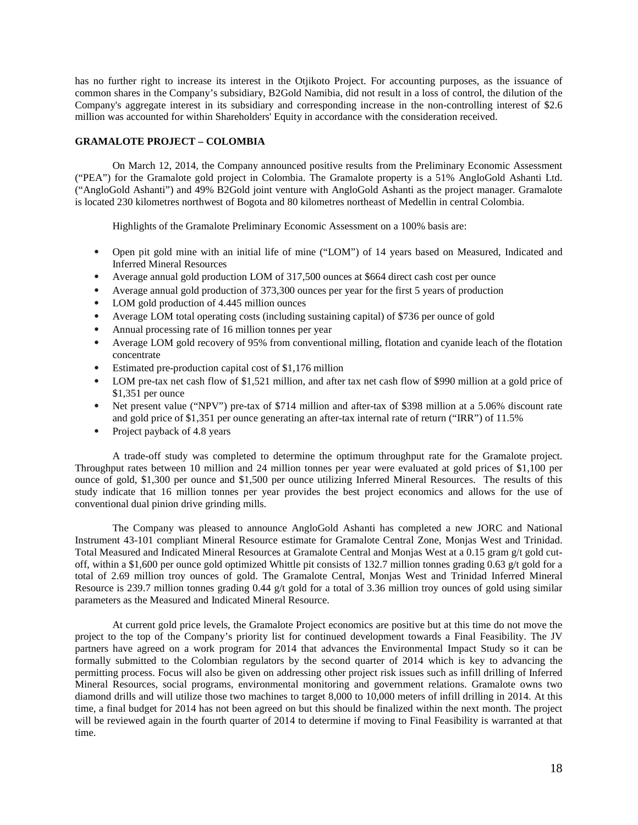has no further right to increase its interest in the Otjikoto Project. For accounting purposes, as the issuance of common shares in the Company's subsidiary, B2Gold Namibia, did not result in a loss of control, the dilution of the Company's aggregate interest in its subsidiary and corresponding increase in the non-controlling interest of \$2.6 million was accounted for within Shareholders' Equity in accordance with the consideration received.

## **GRAMALOTE PROJECT – COLOMBIA**

On March 12, 2014, the Company announced positive results from the Preliminary Economic Assessment ("PEA") for the Gramalote gold project in Colombia. The Gramalote property is a 51% AngloGold Ashanti Ltd. ("AngloGold Ashanti") and 49% B2Gold joint venture with AngloGold Ashanti as the project manager. Gramalote is located 230 kilometres northwest of Bogota and 80 kilometres northeast of Medellin in central Colombia.

Highlights of the Gramalote Preliminary Economic Assessment on a 100% basis are:

- Open pit gold mine with an initial life of mine ("LOM") of 14 years based on Measured, Indicated and Inferred Mineral Resources
- Average annual gold production LOM of 317,500 ounces at \$664 direct cash cost per ounce
- Average annual gold production of 373,300 ounces per year for the first 5 years of production
- LOM gold production of 4.445 million ounces
- Average LOM total operating costs (including sustaining capital) of \$736 per ounce of gold
- Annual processing rate of 16 million tonnes per year
- Average LOM gold recovery of 95% from conventional milling, flotation and cyanide leach of the flotation concentrate
- Estimated pre-production capital cost of \$1,176 million
- LOM pre-tax net cash flow of \$1,521 million, and after tax net cash flow of \$990 million at a gold price of \$1,351 per ounce
- Net present value ("NPV") pre-tax of \$714 million and after-tax of \$398 million at a 5.06% discount rate and gold price of \$1,351 per ounce generating an after-tax internal rate of return ("IRR") of 11.5%
- Project payback of 4.8 years

A trade-off study was completed to determine the optimum throughput rate for the Gramalote project. Throughput rates between 10 million and 24 million tonnes per year were evaluated at gold prices of \$1,100 per ounce of gold, \$1,300 per ounce and \$1,500 per ounce utilizing Inferred Mineral Resources. The results of this study indicate that 16 million tonnes per year provides the best project economics and allows for the use of conventional dual pinion drive grinding mills.

The Company was pleased to announce AngloGold Ashanti has completed a new JORC and National Instrument 43-101 compliant Mineral Resource estimate for Gramalote Central Zone, Monjas West and Trinidad. Total Measured and Indicated Mineral Resources at Gramalote Central and Monjas West at a 0.15 gram g/t gold cutoff, within a \$1,600 per ounce gold optimized Whittle pit consists of 132.7 million tonnes grading 0.63 g/t gold for a total of 2.69 million troy ounces of gold. The Gramalote Central, Monjas West and Trinidad Inferred Mineral Resource is 239.7 million tonnes grading 0.44 g/t gold for a total of 3.36 million troy ounces of gold using similar parameters as the Measured and Indicated Mineral Resource.

At current gold price levels, the Gramalote Project economics are positive but at this time do not move the project to the top of the Company's priority list for continued development towards a Final Feasibility. The JV partners have agreed on a work program for 2014 that advances the Environmental Impact Study so it can be formally submitted to the Colombian regulators by the second quarter of 2014 which is key to advancing the permitting process. Focus will also be given on addressing other project risk issues such as infill drilling of Inferred Mineral Resources, social programs, environmental monitoring and government relations. Gramalote owns two diamond drills and will utilize those two machines to target 8,000 to 10,000 meters of infill drilling in 2014. At this time, a final budget for 2014 has not been agreed on but this should be finalized within the next month. The project will be reviewed again in the fourth quarter of 2014 to determine if moving to Final Feasibility is warranted at that time.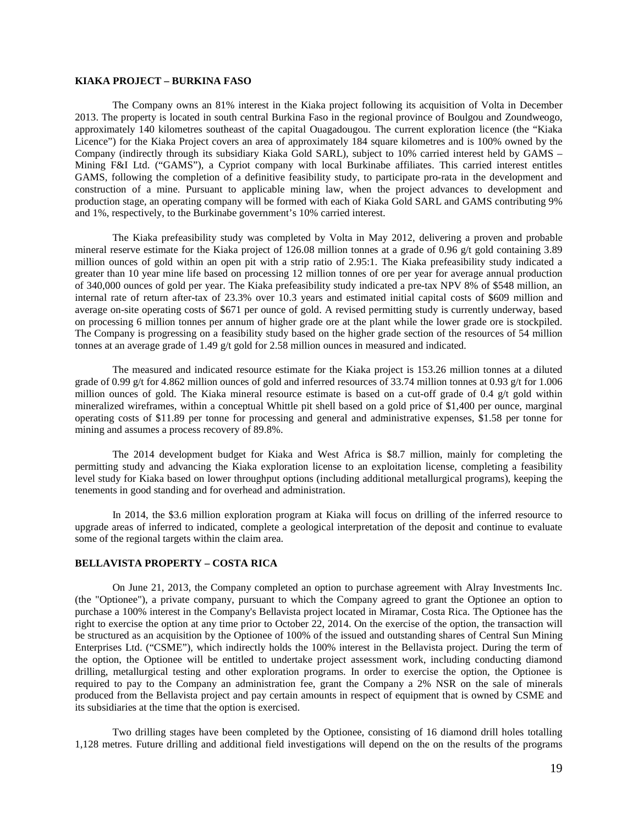## **KIAKA PROJECT – BURKINA FASO**

The Company owns an 81% interest in the Kiaka project following its acquisition of Volta in December 2013. The property is located in south central Burkina Faso in the regional province of Boulgou and Zoundweogo, approximately 140 kilometres southeast of the capital Ouagadougou. The current exploration licence (the "Kiaka Licence") for the Kiaka Project covers an area of approximately 184 square kilometres and is 100% owned by the Company (indirectly through its subsidiary Kiaka Gold SARL), subject to 10% carried interest held by GAMS – Mining F&I Ltd. ("GAMS"), a Cypriot company with local Burkinabe affiliates. This carried interest entitles GAMS, following the completion of a definitive feasibility study, to participate pro-rata in the development and construction of a mine. Pursuant to applicable mining law, when the project advances to development and production stage, an operating company will be formed with each of Kiaka Gold SARL and GAMS contributing 9% and 1%, respectively, to the Burkinabe government's 10% carried interest.

The Kiaka prefeasibility study was completed by Volta in May 2012, delivering a proven and probable mineral reserve estimate for the Kiaka project of 126.08 million tonnes at a grade of 0.96 g/t gold containing 3.89 million ounces of gold within an open pit with a strip ratio of 2.95:1. The Kiaka prefeasibility study indicated a greater than 10 year mine life based on processing 12 million tonnes of ore per year for average annual production of 340,000 ounces of gold per year. The Kiaka prefeasibility study indicated a pre-tax NPV 8% of \$548 million, an internal rate of return after-tax of 23.3% over 10.3 years and estimated initial capital costs of \$609 million and average on-site operating costs of \$671 per ounce of gold. A revised permitting study is currently underway, based on processing 6 million tonnes per annum of higher grade ore at the plant while the lower grade ore is stockpiled. The Company is progressing on a feasibility study based on the higher grade section of the resources of 54 million tonnes at an average grade of 1.49 g/t gold for 2.58 million ounces in measured and indicated.

The measured and indicated resource estimate for the Kiaka project is 153.26 million tonnes at a diluted grade of 0.99 g/t for 4.862 million ounces of gold and inferred resources of 33.74 million tonnes at 0.93 g/t for 1.006 million ounces of gold. The Kiaka mineral resource estimate is based on a cut-off grade of 0.4 g/t gold within mineralized wireframes, within a conceptual Whittle pit shell based on a gold price of \$1,400 per ounce, marginal operating costs of \$11.89 per tonne for processing and general and administrative expenses, \$1.58 per tonne for mining and assumes a process recovery of 89.8%.

The 2014 development budget for Kiaka and West Africa is \$8.7 million, mainly for completing the permitting study and advancing the Kiaka exploration license to an exploitation license, completing a feasibility level study for Kiaka based on lower throughput options (including additional metallurgical programs), keeping the tenements in good standing and for overhead and administration.

In 2014, the \$3.6 million exploration program at Kiaka will focus on drilling of the inferred resource to upgrade areas of inferred to indicated, complete a geological interpretation of the deposit and continue to evaluate some of the regional targets within the claim area.

## **BELLAVISTA PROPERTY – COSTA RICA**

On June 21, 2013, the Company completed an option to purchase agreement with Alray Investments Inc. (the "Optionee"), a private company, pursuant to which the Company agreed to grant the Optionee an option to purchase a 100% interest in the Company's Bellavista project located in Miramar, Costa Rica. The Optionee has the right to exercise the option at any time prior to October 22, 2014. On the exercise of the option, the transaction will be structured as an acquisition by the Optionee of 100% of the issued and outstanding shares of Central Sun Mining Enterprises Ltd. ("CSME"), which indirectly holds the 100% interest in the Bellavista project. During the term of the option, the Optionee will be entitled to undertake project assessment work, including conducting diamond drilling, metallurgical testing and other exploration programs. In order to exercise the option, the Optionee is required to pay to the Company an administration fee, grant the Company a 2% NSR on the sale of minerals produced from the Bellavista project and pay certain amounts in respect of equipment that is owned by CSME and its subsidiaries at the time that the option is exercised.

Two drilling stages have been completed by the Optionee, consisting of 16 diamond drill holes totalling 1,128 metres. Future drilling and additional field investigations will depend on the on the results of the programs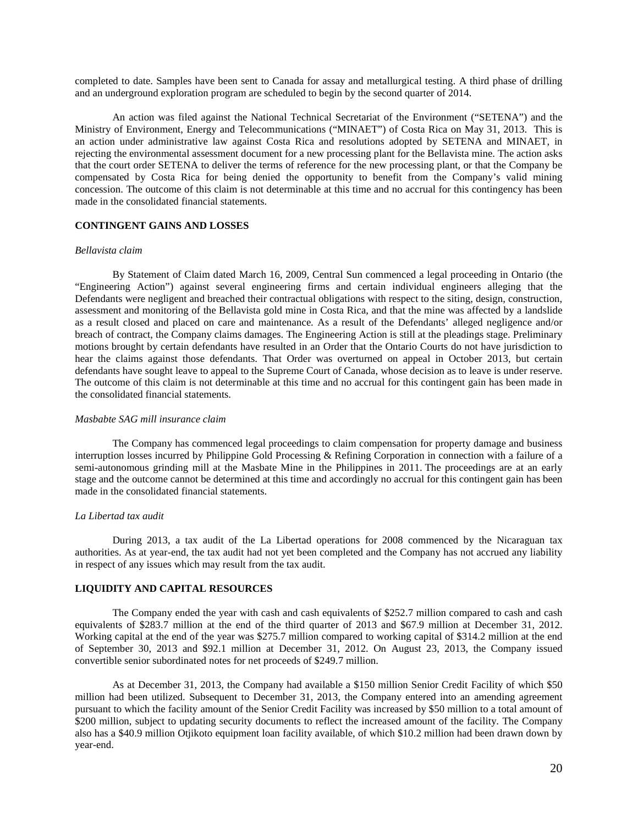completed to date. Samples have been sent to Canada for assay and metallurgical testing. A third phase of drilling and an underground exploration program are scheduled to begin by the second quarter of 2014.

An action was filed against the National Technical Secretariat of the Environment ("SETENA") and the Ministry of Environment, Energy and Telecommunications ("MINAET") of Costa Rica on May 31, 2013. This is an action under administrative law against Costa Rica and resolutions adopted by SETENA and MINAET, in rejecting the environmental assessment document for a new processing plant for the Bellavista mine. The action asks that the court order SETENA to deliver the terms of reference for the new processing plant, or that the Company be compensated by Costa Rica for being denied the opportunity to benefit from the Company's valid mining concession. The outcome of this claim is not determinable at this time and no accrual for this contingency has been made in the consolidated financial statements.

## **CONTINGENT GAINS AND LOSSES**

#### *Bellavista claim*

By Statement of Claim dated March 16, 2009, Central Sun commenced a legal proceeding in Ontario (the "Engineering Action") against several engineering firms and certain individual engineers alleging that the Defendants were negligent and breached their contractual obligations with respect to the siting, design, construction, assessment and monitoring of the Bellavista gold mine in Costa Rica, and that the mine was affected by a landslide as a result closed and placed on care and maintenance. As a result of the Defendants' alleged negligence and/or breach of contract, the Company claims damages. The Engineering Action is still at the pleadings stage. Preliminary motions brought by certain defendants have resulted in an Order that the Ontario Courts do not have jurisdiction to hear the claims against those defendants. That Order was overturned on appeal in October 2013, but certain defendants have sought leave to appeal to the Supreme Court of Canada, whose decision as to leave is under reserve. The outcome of this claim is not determinable at this time and no accrual for this contingent gain has been made in the consolidated financial statements.

### *Masbabte SAG mill insurance claim*

The Company has commenced legal proceedings to claim compensation for property damage and business interruption losses incurred by Philippine Gold Processing & Refining Corporation in connection with a failure of a semi-autonomous grinding mill at the Masbate Mine in the Philippines in 2011. The proceedings are at an early stage and the outcome cannot be determined at this time and accordingly no accrual for this contingent gain has been made in the consolidated financial statements.

## *La Libertad tax audit*

During 2013, a tax audit of the La Libertad operations for 2008 commenced by the Nicaraguan tax authorities. As at year-end, the tax audit had not yet been completed and the Company has not accrued any liability in respect of any issues which may result from the tax audit.

#### **LIQUIDITY AND CAPITAL RESOURCES**

The Company ended the year with cash and cash equivalents of \$252.7 million compared to cash and cash equivalents of \$283.7 million at the end of the third quarter of 2013 and \$67.9 million at December 31, 2012. Working capital at the end of the year was \$275.7 million compared to working capital of \$314.2 million at the end of September 30, 2013 and \$92.1 million at December 31, 2012. On August 23, 2013, the Company issued convertible senior subordinated notes for net proceeds of \$249.7 million.

As at December 31, 2013, the Company had available a \$150 million Senior Credit Facility of which \$50 million had been utilized. Subsequent to December 31, 2013, the Company entered into an amending agreement pursuant to which the facility amount of the Senior Credit Facility was increased by \$50 million to a total amount of \$200 million, subject to updating security documents to reflect the increased amount of the facility. The Company also has a \$40.9 million Otjikoto equipment loan facility available, of which \$10.2 million had been drawn down by year-end.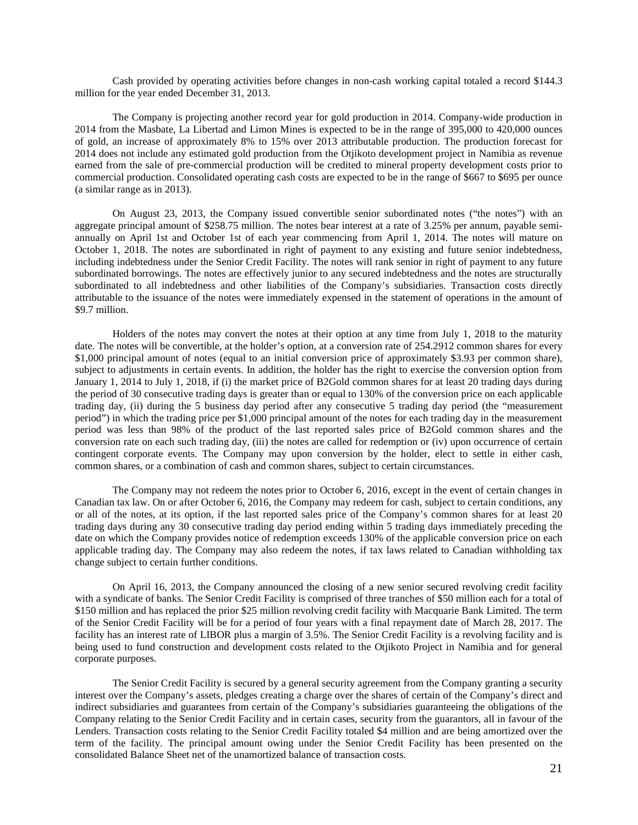Cash provided by operating activities before changes in non-cash working capital totaled a record \$144.3 million for the year ended December 31, 2013.

The Company is projecting another record year for gold production in 2014. Company-wide production in 2014 from the Masbate, La Libertad and Limon Mines is expected to be in the range of 395,000 to 420,000 ounces of gold, an increase of approximately 8% to 15% over 2013 attributable production. The production forecast for 2014 does not include any estimated gold production from the Otjikoto development project in Namibia as revenue earned from the sale of pre-commercial production will be credited to mineral property development costs prior to commercial production. Consolidated operating cash costs are expected to be in the range of \$667 to \$695 per ounce (a similar range as in 2013).

On August 23, 2013, the Company issued convertible senior subordinated notes ("the notes") with an aggregate principal amount of \$258.75 million. The notes bear interest at a rate of 3.25% per annum, payable semiannually on April 1st and October 1st of each year commencing from April 1, 2014. The notes will mature on October 1, 2018. The notes are subordinated in right of payment to any existing and future senior indebtedness, including indebtedness under the Senior Credit Facility. The notes will rank senior in right of payment to any future subordinated borrowings. The notes are effectively junior to any secured indebtedness and the notes are structurally subordinated to all indebtedness and other liabilities of the Company's subsidiaries. Transaction costs directly attributable to the issuance of the notes were immediately expensed in the statement of operations in the amount of \$9.7 million.

Holders of the notes may convert the notes at their option at any time from July 1, 2018 to the maturity date. The notes will be convertible, at the holder's option, at a conversion rate of 254.2912 common shares for every \$1,000 principal amount of notes (equal to an initial conversion price of approximately \$3.93 per common share), subject to adjustments in certain events. In addition, the holder has the right to exercise the conversion option from January 1, 2014 to July 1, 2018, if (i) the market price of B2Gold common shares for at least 20 trading days during the period of 30 consecutive trading days is greater than or equal to 130% of the conversion price on each applicable trading day, (ii) during the 5 business day period after any consecutive 5 trading day period (the "measurement period") in which the trading price per \$1,000 principal amount of the notes for each trading day in the measurement period was less than 98% of the product of the last reported sales price of B2Gold common shares and the conversion rate on each such trading day, (iii) the notes are called for redemption or (iv) upon occurrence of certain contingent corporate events. The Company may upon conversion by the holder, elect to settle in either cash, common shares, or a combination of cash and common shares, subject to certain circumstances.

The Company may not redeem the notes prior to October 6, 2016, except in the event of certain changes in Canadian tax law. On or after October 6, 2016, the Company may redeem for cash, subject to certain conditions, any or all of the notes, at its option, if the last reported sales price of the Company's common shares for at least 20 trading days during any 30 consecutive trading day period ending within 5 trading days immediately preceding the date on which the Company provides notice of redemption exceeds 130% of the applicable conversion price on each applicable trading day. The Company may also redeem the notes, if tax laws related to Canadian withholding tax change subject to certain further conditions.

On April 16, 2013, the Company announced the closing of a new senior secured revolving credit facility with a syndicate of banks. The Senior Credit Facility is comprised of three tranches of \$50 million each for a total of \$150 million and has replaced the prior \$25 million revolving credit facility with Macquarie Bank Limited. The term of the Senior Credit Facility will be for a period of four years with a final repayment date of March 28, 2017. The facility has an interest rate of LIBOR plus a margin of 3.5%. The Senior Credit Facility is a revolving facility and is being used to fund construction and development costs related to the Otjikoto Project in Namibia and for general corporate purposes.

The Senior Credit Facility is secured by a general security agreement from the Company granting a security interest over the Company's assets, pledges creating a charge over the shares of certain of the Company's direct and indirect subsidiaries and guarantees from certain of the Company's subsidiaries guaranteeing the obligations of the Company relating to the Senior Credit Facility and in certain cases, security from the guarantors, all in favour of the Lenders. Transaction costs relating to the Senior Credit Facility totaled \$4 million and are being amortized over the term of the facility. The principal amount owing under the Senior Credit Facility has been presented on the consolidated Balance Sheet net of the unamortized balance of transaction costs.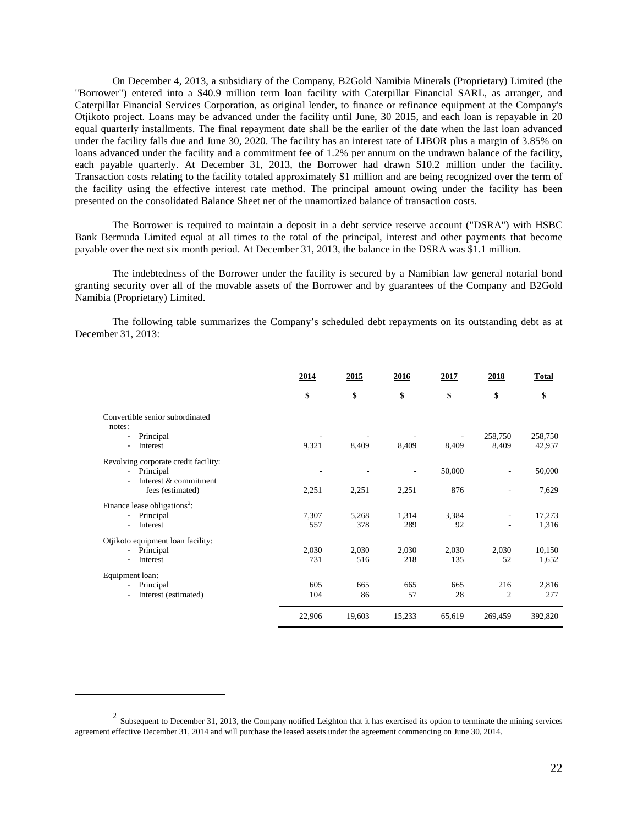On December 4, 2013, a subsidiary of the Company, B2Gold Namibia Minerals (Proprietary) Limited (the "Borrower") entered into a \$40.9 million term loan facility with Caterpillar Financial SARL, as arranger, and Caterpillar Financial Services Corporation, as original lender, to finance or refinance equipment at the Company's Otjikoto project. Loans may be advanced under the facility until June, 30 2015, and each loan is repayable in 20 equal quarterly installments. The final repayment date shall be the earlier of the date when the last loan advanced under the facility falls due and June 30, 2020. The facility has an interest rate of LIBOR plus a margin of 3.85% on loans advanced under the facility and a commitment fee of 1.2% per annum on the undrawn balance of the facility, each payable quarterly. At December 31, 2013, the Borrower had drawn \$10.2 million under the facility. Transaction costs relating to the facility totaled approximately \$1 million and are being recognized over the term of the facility using the effective interest rate method. The principal amount owing under the facility has been presented on the consolidated Balance Sheet net of the unamortized balance of transaction costs.

The Borrower is required to maintain a deposit in a debt service reserve account ("DSRA") with HSBC Bank Bermuda Limited equal at all times to the total of the principal, interest and other payments that become payable over the next six month period. At December 31, 2013, the balance in the DSRA was \$1.1 million.

The indebtedness of the Borrower under the facility is secured by a Namibian law general notarial bond granting security over all of the movable assets of the Borrower and by guarantees of the Company and B2Gold Namibia (Proprietary) Limited.

The following table summarizes the Company's scheduled debt repayments on its outstanding debt as at December 31, 2013:

|                                           | 2014   | 2015   | 2016                     | 2017   | 2018           | <b>Total</b> |
|-------------------------------------------|--------|--------|--------------------------|--------|----------------|--------------|
|                                           | \$     | \$     | \$                       | \$     | \$             | \$           |
| Convertible senior subordinated<br>notes: |        |        |                          |        |                |              |
| Principal                                 |        |        |                          |        | 258,750        | 258,750      |
| Interest<br>$\overline{\phantom{0}}$      | 9,321  | 8,409  | 8.409                    | 8,409  | 8,409          | 42,957       |
| Revolving corporate credit facility:      |        |        |                          |        |                |              |
| Principal<br>$\sim$                       |        |        | $\overline{\phantom{a}}$ | 50,000 | ٠              | 50,000       |
| Interest & commitment                     |        |        |                          |        |                |              |
| fees (estimated)                          | 2,251  | 2,251  | 2,251                    | 876    |                | 7,629        |
| Finance lease obligations <sup>2</sup> :  |        |        |                          |        |                |              |
| Principal<br>$\blacksquare$               | 7,307  | 5,268  | 1,314                    | 3,384  |                | 17,273       |
| Interest                                  | 557    | 378    | 289                      | 92     |                | 1,316        |
| Otjikoto equipment loan facility:         |        |        |                          |        |                |              |
| Principal<br>$\sim$                       | 2,030  | 2,030  | 2,030                    | 2,030  | 2,030          | 10,150       |
| Interest<br>$\blacksquare$                | 731    | 516    | 218                      | 135    | 52             | 1,652        |
| Equipment loan:                           |        |        |                          |        |                |              |
| Principal<br>н.                           | 605    | 665    | 665                      | 665    | 216            | 2,816        |
| Interest (estimated)                      | 104    | 86     | 57                       | 28     | $\overline{2}$ | 277          |
|                                           | 22,906 | 19,603 | 15,233                   | 65,619 | 269,459        | 392,820      |

 $\overline{a}$ 

 $2$  Subsequent to December 31, 2013, the Company notified Leighton that it has exercised its option to terminate the mining services agreement effective December 31, 2014 and will purchase the leased assets under the agreement commencing on June 30, 2014.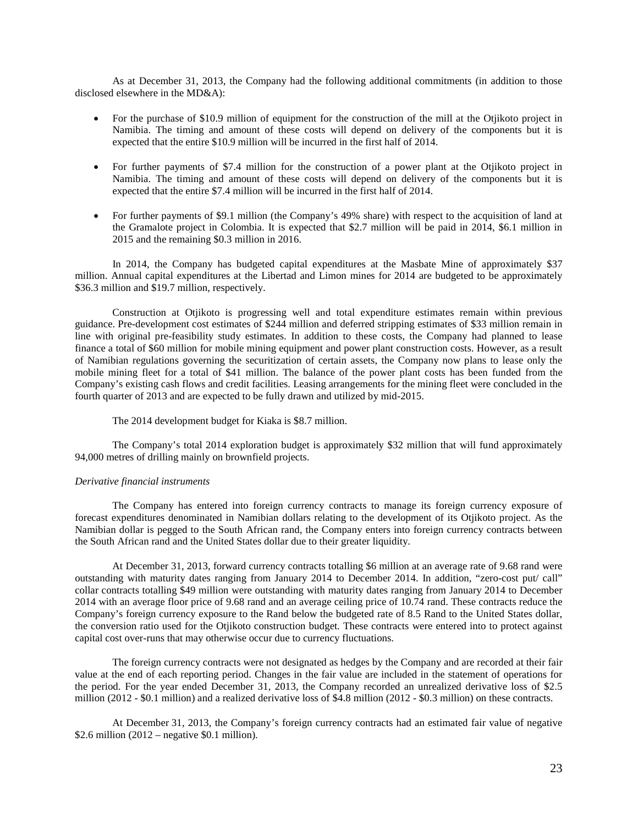As at December 31, 2013, the Company had the following additional commitments (in addition to those disclosed elsewhere in the MD&A):

- For the purchase of \$10.9 million of equipment for the construction of the mill at the Otjikoto project in Namibia. The timing and amount of these costs will depend on delivery of the components but it is expected that the entire \$10.9 million will be incurred in the first half of 2014.
- For further payments of \$7.4 million for the construction of a power plant at the Otjikoto project in Namibia. The timing and amount of these costs will depend on delivery of the components but it is expected that the entire \$7.4 million will be incurred in the first half of 2014.
- For further payments of \$9.1 million (the Company's 49% share) with respect to the acquisition of land at the Gramalote project in Colombia. It is expected that \$2.7 million will be paid in 2014, \$6.1 million in 2015 and the remaining \$0.3 million in 2016.

In 2014, the Company has budgeted capital expenditures at the Masbate Mine of approximately \$37 million. Annual capital expenditures at the Libertad and Limon mines for 2014 are budgeted to be approximately \$36.3 million and \$19.7 million, respectively.

Construction at Otjikoto is progressing well and total expenditure estimates remain within previous guidance. Pre-development cost estimates of \$244 million and deferred stripping estimates of \$33 million remain in line with original pre-feasibility study estimates. In addition to these costs, the Company had planned to lease finance a total of \$60 million for mobile mining equipment and power plant construction costs. However, as a result of Namibian regulations governing the securitization of certain assets, the Company now plans to lease only the mobile mining fleet for a total of \$41 million. The balance of the power plant costs has been funded from the Company's existing cash flows and credit facilities. Leasing arrangements for the mining fleet were concluded in the fourth quarter of 2013 and are expected to be fully drawn and utilized by mid-2015.

The 2014 development budget for Kiaka is \$8.7 million.

The Company's total 2014 exploration budget is approximately \$32 million that will fund approximately 94,000 metres of drilling mainly on brownfield projects.

# *Derivative financial instruments*

The Company has entered into foreign currency contracts to manage its foreign currency exposure of forecast expenditures denominated in Namibian dollars relating to the development of its Otjikoto project. As the Namibian dollar is pegged to the South African rand, the Company enters into foreign currency contracts between the South African rand and the United States dollar due to their greater liquidity.

At December 31, 2013, forward currency contracts totalling \$6 million at an average rate of 9.68 rand were outstanding with maturity dates ranging from January 2014 to December 2014. In addition, "zero-cost put/ call" collar contracts totalling \$49 million were outstanding with maturity dates ranging from January 2014 to December 2014 with an average floor price of 9.68 rand and an average ceiling price of 10.74 rand. These contracts reduce the Company's foreign currency exposure to the Rand below the budgeted rate of 8.5 Rand to the United States dollar, the conversion ratio used for the Otjikoto construction budget. These contracts were entered into to protect against capital cost over-runs that may otherwise occur due to currency fluctuations.

The foreign currency contracts were not designated as hedges by the Company and are recorded at their fair value at the end of each reporting period. Changes in the fair value are included in the statement of operations for the period. For the year ended December 31, 2013, the Company recorded an unrealized derivative loss of \$2.5 million (2012 - \$0.1 million) and a realized derivative loss of \$4.8 million (2012 - \$0.3 million) on these contracts.

At December 31, 2013, the Company's foreign currency contracts had an estimated fair value of negative \$2.6 million  $(2012 -$  negative \$0.1 million).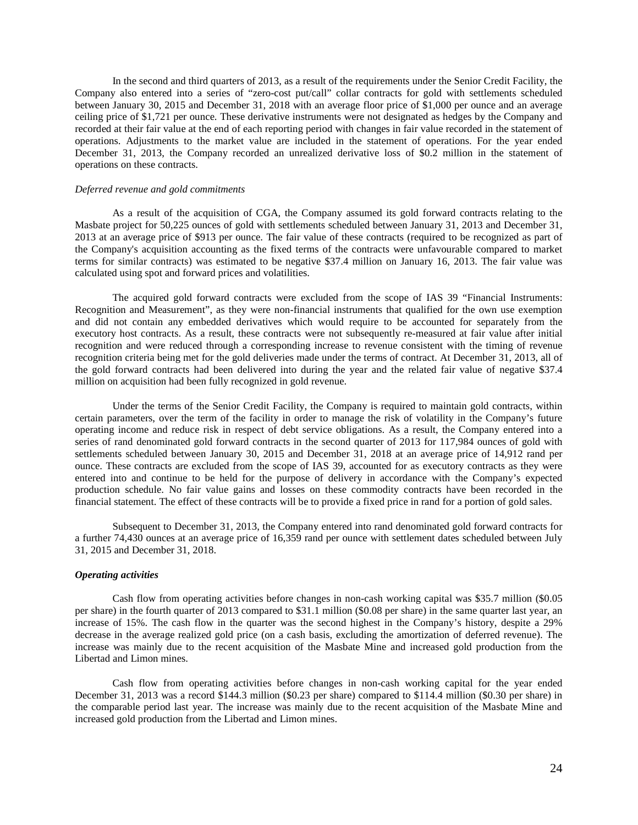In the second and third quarters of 2013, as a result of the requirements under the Senior Credit Facility, the Company also entered into a series of "zero-cost put/call" collar contracts for gold with settlements scheduled between January 30, 2015 and December 31, 2018 with an average floor price of \$1,000 per ounce and an average ceiling price of \$1,721 per ounce. These derivative instruments were not designated as hedges by the Company and recorded at their fair value at the end of each reporting period with changes in fair value recorded in the statement of operations. Adjustments to the market value are included in the statement of operations. For the year ended December 31, 2013, the Company recorded an unrealized derivative loss of \$0.2 million in the statement of operations on these contracts.

### *Deferred revenue and gold commitments*

As a result of the acquisition of CGA, the Company assumed its gold forward contracts relating to the Masbate project for 50,225 ounces of gold with settlements scheduled between January 31, 2013 and December 31, 2013 at an average price of \$913 per ounce. The fair value of these contracts (required to be recognized as part of the Company's acquisition accounting as the fixed terms of the contracts were unfavourable compared to market terms for similar contracts) was estimated to be negative \$37.4 million on January 16, 2013. The fair value was calculated using spot and forward prices and volatilities.

The acquired gold forward contracts were excluded from the scope of IAS 39 "Financial Instruments: Recognition and Measurement", as they were non-financial instruments that qualified for the own use exemption and did not contain any embedded derivatives which would require to be accounted for separately from the executory host contracts. As a result, these contracts were not subsequently re-measured at fair value after initial recognition and were reduced through a corresponding increase to revenue consistent with the timing of revenue recognition criteria being met for the gold deliveries made under the terms of contract. At December 31, 2013, all of the gold forward contracts had been delivered into during the year and the related fair value of negative \$37.4 million on acquisition had been fully recognized in gold revenue.

Under the terms of the Senior Credit Facility, the Company is required to maintain gold contracts, within certain parameters, over the term of the facility in order to manage the risk of volatility in the Company's future operating income and reduce risk in respect of debt service obligations. As a result, the Company entered into a series of rand denominated gold forward contracts in the second quarter of 2013 for 117,984 ounces of gold with settlements scheduled between January 30, 2015 and December 31, 2018 at an average price of 14,912 rand per ounce. These contracts are excluded from the scope of IAS 39, accounted for as executory contracts as they were entered into and continue to be held for the purpose of delivery in accordance with the Company's expected production schedule. No fair value gains and losses on these commodity contracts have been recorded in the financial statement. The effect of these contracts will be to provide a fixed price in rand for a portion of gold sales.

Subsequent to December 31, 2013, the Company entered into rand denominated gold forward contracts for a further 74,430 ounces at an average price of 16,359 rand per ounce with settlement dates scheduled between July 31, 2015 and December 31, 2018.

#### *Operating activities*

Cash flow from operating activities before changes in non-cash working capital was \$35.7 million (\$0.05 per share) in the fourth quarter of 2013 compared to \$31.1 million (\$0.08 per share) in the same quarter last year, an increase of 15%. The cash flow in the quarter was the second highest in the Company's history, despite a 29% decrease in the average realized gold price (on a cash basis, excluding the amortization of deferred revenue). The increase was mainly due to the recent acquisition of the Masbate Mine and increased gold production from the Libertad and Limon mines.

Cash flow from operating activities before changes in non-cash working capital for the year ended December 31, 2013 was a record \$144.3 million (\$0.23 per share) compared to \$114.4 million (\$0.30 per share) in the comparable period last year. The increase was mainly due to the recent acquisition of the Masbate Mine and increased gold production from the Libertad and Limon mines.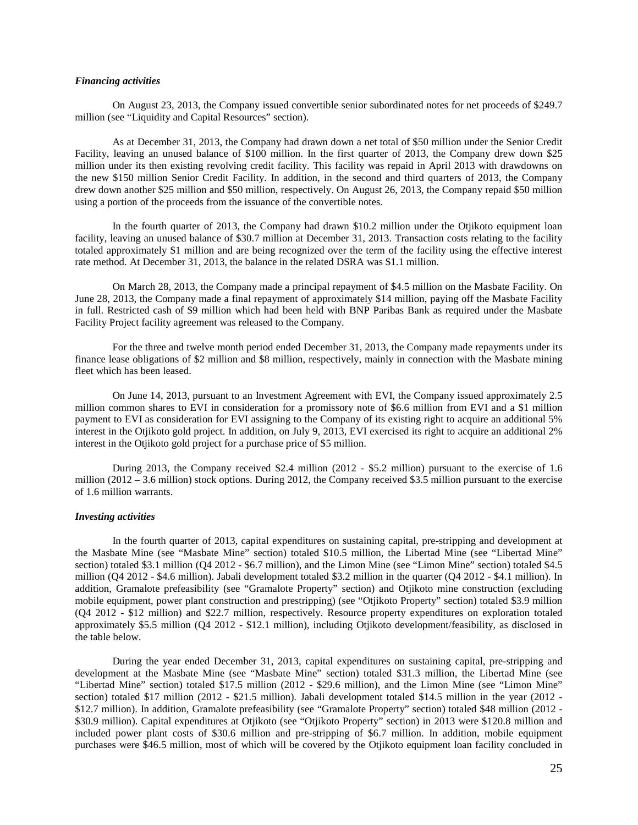## *Financing activities*

On August 23, 2013, the Company issued convertible senior subordinated notes for net proceeds of \$249.7 million (see "Liquidity and Capital Resources" section).

As at December 31, 2013, the Company had drawn down a net total of \$50 million under the Senior Credit Facility, leaving an unused balance of \$100 million. In the first quarter of 2013, the Company drew down \$25 million under its then existing revolving credit facility. This facility was repaid in April 2013 with drawdowns on the new \$150 million Senior Credit Facility. In addition, in the second and third quarters of 2013, the Company drew down another \$25 million and \$50 million, respectively. On August 26, 2013, the Company repaid \$50 million using a portion of the proceeds from the issuance of the convertible notes.

In the fourth quarter of 2013, the Company had drawn \$10.2 million under the Otjikoto equipment loan facility, leaving an unused balance of \$30.7 million at December 31, 2013. Transaction costs relating to the facility totaled approximately \$1 million and are being recognized over the term of the facility using the effective interest rate method. At December 31, 2013, the balance in the related DSRA was \$1.1 million.

On March 28, 2013, the Company made a principal repayment of \$4.5 million on the Masbate Facility. On June 28, 2013, the Company made a final repayment of approximately \$14 million, paying off the Masbate Facility in full. Restricted cash of \$9 million which had been held with BNP Paribas Bank as required under the Masbate Facility Project facility agreement was released to the Company.

For the three and twelve month period ended December 31, 2013, the Company made repayments under its finance lease obligations of \$2 million and \$8 million, respectively, mainly in connection with the Masbate mining fleet which has been leased.

On June 14, 2013, pursuant to an Investment Agreement with EVI, the Company issued approximately 2.5 million common shares to EVI in consideration for a promissory note of \$6.6 million from EVI and a \$1 million payment to EVI as consideration for EVI assigning to the Company of its existing right to acquire an additional 5% interest in the Otjikoto gold project. In addition, on July 9, 2013, EVI exercised its right to acquire an additional 2% interest in the Otjikoto gold project for a purchase price of \$5 million.

During 2013, the Company received \$2.4 million (2012 - \$5.2 million) pursuant to the exercise of 1.6 million (2012 – 3.6 million) stock options. During 2012, the Company received \$3.5 million pursuant to the exercise of 1.6 million warrants.

#### *Investing activities*

In the fourth quarter of 2013, capital expenditures on sustaining capital, pre-stripping and development at the Masbate Mine (see "Masbate Mine" section) totaled \$10.5 million, the Libertad Mine (see "Libertad Mine" section) totaled \$3.1 million (Q4 2012 - \$6.7 million), and the Limon Mine (see "Limon Mine" section) totaled \$4.5 million (Q4 2012 - \$4.6 million). Jabali development totaled \$3.2 million in the quarter (Q4 2012 - \$4.1 million). In addition, Gramalote prefeasibility (see "Gramalote Property" section) and Otjikoto mine construction (excluding mobile equipment, power plant construction and prestripping) (see "Otjikoto Property" section) totaled \$3.9 million (Q4 2012 - \$12 million) and \$22.7 million, respectively. Resource property expenditures on exploration totaled approximately \$5.5 million (Q4 2012 - \$12.1 million), including Otjikoto development/feasibility, as disclosed in the table below.

During the year ended December 31, 2013, capital expenditures on sustaining capital, pre-stripping and development at the Masbate Mine (see "Masbate Mine" section) totaled \$31.3 million, the Libertad Mine (see "Libertad Mine" section) totaled \$17.5 million (2012 - \$29.6 million), and the Limon Mine (see "Limon Mine" section) totaled \$17 million (2012 - \$21.5 million). Jabali development totaled \$14.5 million in the year (2012 - \$12.7 million). In addition, Gramalote prefeasibility (see "Gramalote Property" section) totaled \$48 million (2012 - \$30.9 million). Capital expenditures at Otjikoto (see "Otjikoto Property" section) in 2013 were \$120.8 million and included power plant costs of \$30.6 million and pre-stripping of \$6.7 million. In addition, mobile equipment purchases were \$46.5 million, most of which will be covered by the Otjikoto equipment loan facility concluded in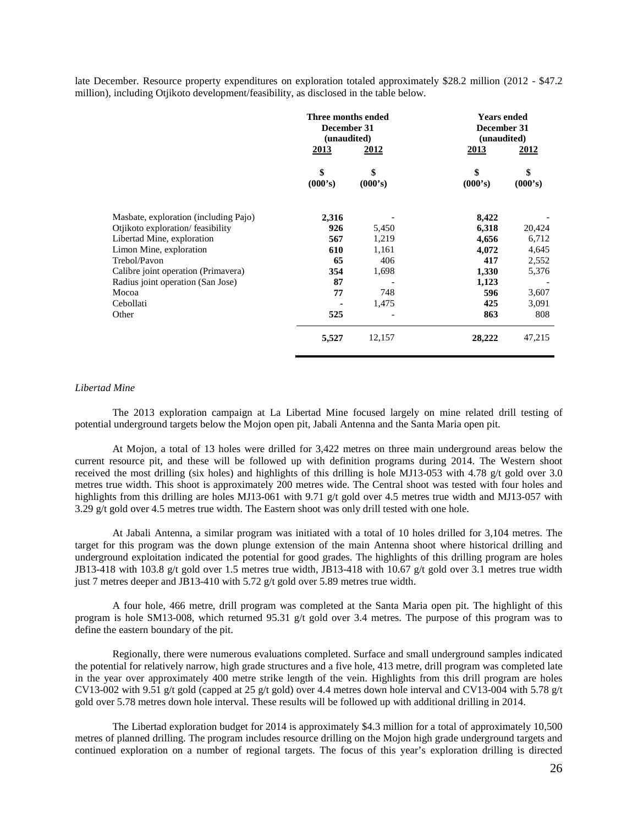late December. Resource property expenditures on exploration totaled approximately \$28.2 million (2012 - \$47.2 million), including Otjikoto development/feasibility, as disclosed in the table below.

|                                       | Three months ended<br>December 31<br>(unaudited) |               | <b>Years ended</b><br>December 31<br>(unaudited) |               |
|---------------------------------------|--------------------------------------------------|---------------|--------------------------------------------------|---------------|
|                                       | <u>2013</u>                                      | 2012          | 2013                                             | 2012          |
|                                       | \$<br>(000's)                                    | \$<br>(000's) | \$<br>(000's)                                    | \$<br>(000's) |
| Masbate, exploration (including Pajo) | 2,316                                            |               | 8,422                                            |               |
| Otjikoto exploration/feasibility      | 926                                              | 5,450         | 6,318                                            | 20,424        |
| Libertad Mine, exploration            | 567                                              | 1,219         | 4,656                                            | 6,712         |
| Limon Mine, exploration               | 610                                              | 1,161         | 4,072                                            | 4,645         |
| Trebol/Pavon                          | 65                                               | 406           | 417                                              | 2,552         |
| Calibre joint operation (Primavera)   | 354                                              | 1,698         | 1,330                                            | 5,376         |
| Radius joint operation (San Jose)     | 87                                               |               | 1,123                                            |               |
| Mocoa                                 | 77                                               | 748           | 596                                              | 3,607         |
| Cebollati                             |                                                  | 1,475         | 425                                              | 3,091         |
| Other                                 | 525                                              |               | 863                                              | 808           |
|                                       | 5,527                                            | 12,157        | 28,222                                           | 47,215        |

#### *Libertad Mine*

The 2013 exploration campaign at La Libertad Mine focused largely on mine related drill testing of potential underground targets below the Mojon open pit, Jabali Antenna and the Santa Maria open pit.

At Mojon, a total of 13 holes were drilled for 3,422 metres on three main underground areas below the current resource pit, and these will be followed up with definition programs during 2014. The Western shoot received the most drilling (six holes) and highlights of this drilling is hole MJ13-053 with 4.78 g/t gold over 3.0 metres true width. This shoot is approximately 200 metres wide. The Central shoot was tested with four holes and highlights from this drilling are holes MJ13-061 with 9.71 g/t gold over 4.5 metres true width and MJ13-057 with 3.29 g/t gold over 4.5 metres true width. The Eastern shoot was only drill tested with one hole.

At Jabali Antenna, a similar program was initiated with a total of 10 holes drilled for 3,104 metres. The target for this program was the down plunge extension of the main Antenna shoot where historical drilling and underground exploitation indicated the potential for good grades. The highlights of this drilling program are holes JB13-418 with 103.8 g/t gold over 1.5 metres true width, JB13-418 with 10.67 g/t gold over 3.1 metres true width just 7 metres deeper and JB13-410 with 5.72 g/t gold over 5.89 metres true width.

A four hole, 466 metre, drill program was completed at the Santa Maria open pit. The highlight of this program is hole SM13-008, which returned 95.31 g/t gold over 3.4 metres. The purpose of this program was to define the eastern boundary of the pit.

Regionally, there were numerous evaluations completed. Surface and small underground samples indicated the potential for relatively narrow, high grade structures and a five hole, 413 metre, drill program was completed late in the year over approximately 400 metre strike length of the vein. Highlights from this drill program are holes CV13-002 with 9.51 g/t gold (capped at 25 g/t gold) over 4.4 metres down hole interval and CV13-004 with 5.78 g/t gold over 5.78 metres down hole interval. These results will be followed up with additional drilling in 2014.

The Libertad exploration budget for 2014 is approximately \$4.3 million for a total of approximately 10,500 metres of planned drilling. The program includes resource drilling on the Mojon high grade underground targets and continued exploration on a number of regional targets. The focus of this year's exploration drilling is directed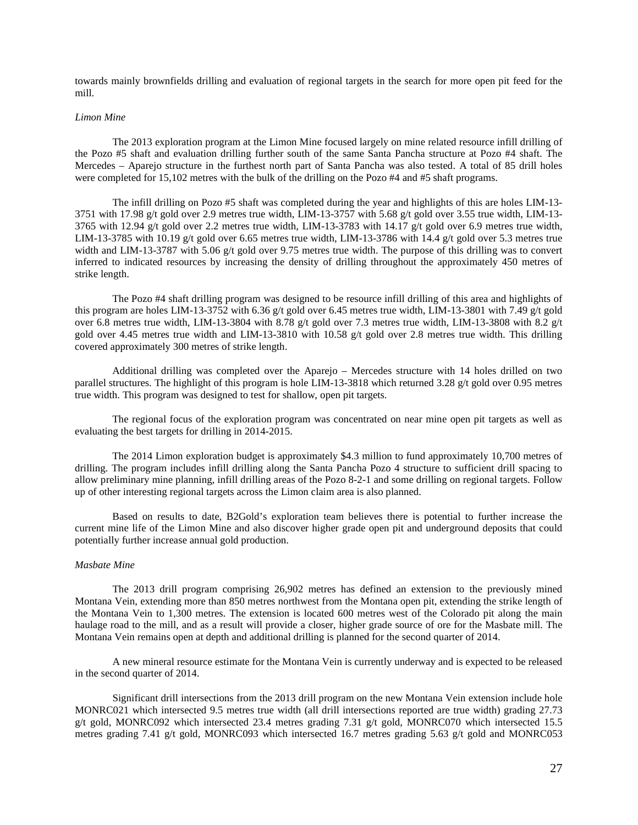towards mainly brownfields drilling and evaluation of regional targets in the search for more open pit feed for the mill.

#### *Limon Mine*

The 2013 exploration program at the Limon Mine focused largely on mine related resource infill drilling of the Pozo #5 shaft and evaluation drilling further south of the same Santa Pancha structure at Pozo #4 shaft. The Mercedes – Aparejo structure in the furthest north part of Santa Pancha was also tested. A total of 85 drill holes were completed for 15,102 metres with the bulk of the drilling on the Pozo #4 and #5 shaft programs.

The infill drilling on Pozo #5 shaft was completed during the year and highlights of this are holes LIM-13- 3751 with 17.98 g/t gold over 2.9 metres true width, LIM-13-3757 with 5.68 g/t gold over 3.55 true width, LIM-13- 3765 with 12.94 g/t gold over 2.2 metres true width, LIM-13-3783 with 14.17 g/t gold over 6.9 metres true width, LIM-13-3785 with 10.19 g/t gold over 6.65 metres true width, LIM-13-3786 with 14.4 g/t gold over 5.3 metres true width and LIM-13-3787 with 5.06 g/t gold over 9.75 metres true width. The purpose of this drilling was to convert inferred to indicated resources by increasing the density of drilling throughout the approximately 450 metres of strike length.

The Pozo #4 shaft drilling program was designed to be resource infill drilling of this area and highlights of this program are holes LIM-13-3752 with 6.36 g/t gold over 6.45 metres true width, LIM-13-3801 with 7.49 g/t gold over 6.8 metres true width, LIM-13-3804 with 8.78 g/t gold over 7.3 metres true width, LIM-13-3808 with 8.2 g/t gold over 4.45 metres true width and LIM-13-3810 with 10.58 g/t gold over 2.8 metres true width. This drilling covered approximately 300 metres of strike length.

Additional drilling was completed over the Aparejo – Mercedes structure with 14 holes drilled on two parallel structures. The highlight of this program is hole LIM-13-3818 which returned 3.28 g/t gold over 0.95 metres true width. This program was designed to test for shallow, open pit targets.

The regional focus of the exploration program was concentrated on near mine open pit targets as well as evaluating the best targets for drilling in 2014-2015.

The 2014 Limon exploration budget is approximately \$4.3 million to fund approximately 10,700 metres of drilling. The program includes infill drilling along the Santa Pancha Pozo 4 structure to sufficient drill spacing to allow preliminary mine planning, infill drilling areas of the Pozo 8-2-1 and some drilling on regional targets. Follow up of other interesting regional targets across the Limon claim area is also planned.

Based on results to date, B2Gold's exploration team believes there is potential to further increase the current mine life of the Limon Mine and also discover higher grade open pit and underground deposits that could potentially further increase annual gold production.

### *Masbate Mine*

The 2013 drill program comprising 26,902 metres has defined an extension to the previously mined Montana Vein, extending more than 850 metres northwest from the Montana open pit, extending the strike length of the Montana Vein to 1,300 metres. The extension is located 600 metres west of the Colorado pit along the main haulage road to the mill, and as a result will provide a closer, higher grade source of ore for the Masbate mill. The Montana Vein remains open at depth and additional drilling is planned for the second quarter of 2014.

A new mineral resource estimate for the Montana Vein is currently underway and is expected to be released in the second quarter of 2014.

Significant drill intersections from the 2013 drill program on the new Montana Vein extension include hole MONRC021 which intersected 9.5 metres true width (all drill intersections reported are true width) grading 27.73 g/t gold, MONRC092 which intersected 23.4 metres grading 7.31 g/t gold, MONRC070 which intersected 15.5 metres grading 7.41 g/t gold, MONRC093 which intersected 16.7 metres grading 5.63 g/t gold and MONRC053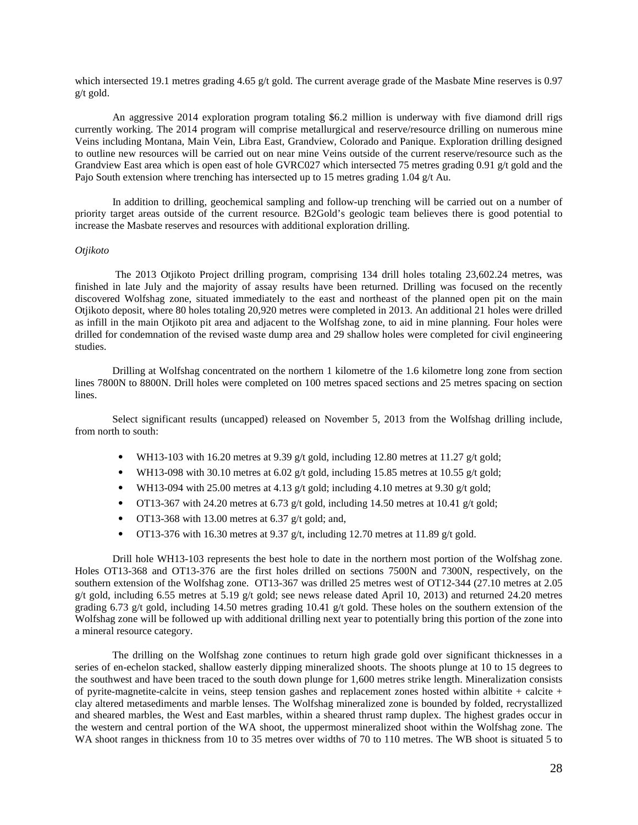which intersected 19.1 metres grading 4.65 g/t gold. The current average grade of the Masbate Mine reserves is 0.97 g/t gold.

An aggressive 2014 exploration program totaling \$6.2 million is underway with five diamond drill rigs currently working. The 2014 program will comprise metallurgical and reserve/resource drilling on numerous mine Veins including Montana, Main Vein, Libra East, Grandview, Colorado and Panique. Exploration drilling designed to outline new resources will be carried out on near mine Veins outside of the current reserve/resource such as the Grandview East area which is open east of hole GVRC027 which intersected 75 metres grading 0.91 g/t gold and the Pajo South extension where trenching has intersected up to 15 metres grading 1.04 g/t Au.

In addition to drilling, geochemical sampling and follow-up trenching will be carried out on a number of priority target areas outside of the current resource. B2Gold's geologic team believes there is good potential to increase the Masbate reserves and resources with additional exploration drilling.

#### *Otjikoto*

The 2013 Otjikoto Project drilling program, comprising 134 drill holes totaling 23,602.24 metres, was finished in late July and the majority of assay results have been returned. Drilling was focused on the recently discovered Wolfshag zone, situated immediately to the east and northeast of the planned open pit on the main Otjikoto deposit, where 80 holes totaling 20,920 metres were completed in 2013. An additional 21 holes were drilled as infill in the main Otjikoto pit area and adjacent to the Wolfshag zone, to aid in mine planning. Four holes were drilled for condemnation of the revised waste dump area and 29 shallow holes were completed for civil engineering studies.

Drilling at Wolfshag concentrated on the northern 1 kilometre of the 1.6 kilometre long zone from section lines 7800N to 8800N. Drill holes were completed on 100 metres spaced sections and 25 metres spacing on section lines.

Select significant results (uncapped) released on November 5, 2013 from the Wolfshag drilling include, from north to south:

- WH13-103 with 16.20 metres at 9.39 g/t gold, including 12.80 metres at 11.27 g/t gold;
- WH13-098 with 30.10 metres at 6.02 g/t gold, including 15.85 metres at 10.55 g/t gold;
- WH13-094 with 25.00 metres at 4.13 g/t gold; including 4.10 metres at 9.30 g/t gold;
- OT13-367 with 24.20 metres at 6.73 g/t gold, including 14.50 metres at 10.41 g/t gold;
- OT13-368 with 13.00 metres at 6.37 g/t gold; and,
- OT13-376 with 16.30 metres at 9.37 g/t, including 12.70 metres at 11.89 g/t gold.

Drill hole WH13-103 represents the best hole to date in the northern most portion of the Wolfshag zone. Holes OT13-368 and OT13-376 are the first holes drilled on sections 7500N and 7300N, respectively, on the southern extension of the Wolfshag zone. OT13-367 was drilled 25 metres west of OT12-344 (27.10 metres at 2.05 g/t gold, including 6.55 metres at 5.19 g/t gold; see news release dated April 10, 2013) and returned 24.20 metres grading 6.73 g/t gold, including 14.50 metres grading 10.41 g/t gold. These holes on the southern extension of the Wolfshag zone will be followed up with additional drilling next year to potentially bring this portion of the zone into a mineral resource category.

The drilling on the Wolfshag zone continues to return high grade gold over significant thicknesses in a series of en-echelon stacked, shallow easterly dipping mineralized shoots. The shoots plunge at 10 to 15 degrees to the southwest and have been traced to the south down plunge for 1,600 metres strike length. Mineralization consists of pyrite-magnetite-calcite in veins, steep tension gashes and replacement zones hosted within albitite + calcite + clay altered metasediments and marble lenses. The Wolfshag mineralized zone is bounded by folded, recrystallized and sheared marbles, the West and East marbles, within a sheared thrust ramp duplex. The highest grades occur in the western and central portion of the WA shoot, the uppermost mineralized shoot within the Wolfshag zone. The WA shoot ranges in thickness from 10 to 35 metres over widths of 70 to 110 metres. The WB shoot is situated 5 to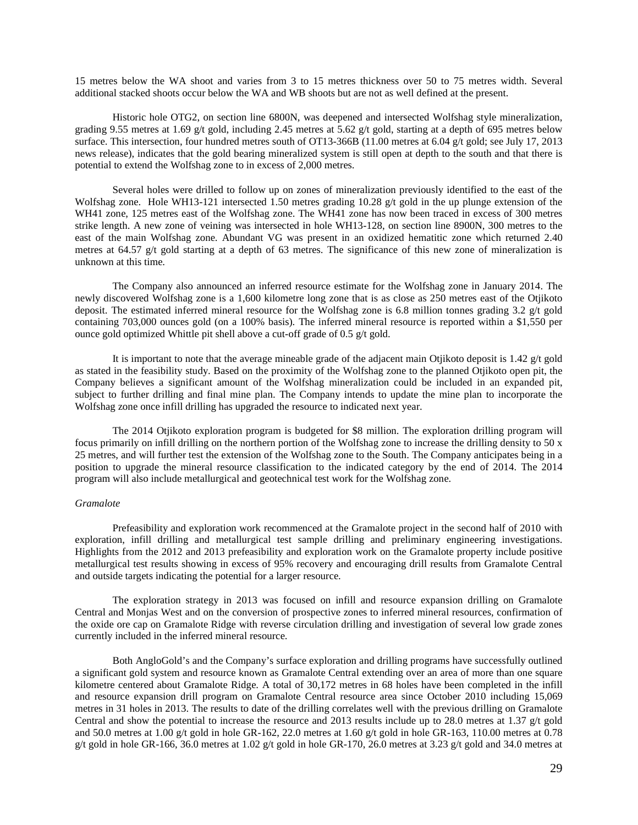15 metres below the WA shoot and varies from 3 to 15 metres thickness over 50 to 75 metres width. Several additional stacked shoots occur below the WA and WB shoots but are not as well defined at the present.

Historic hole OTG2, on section line 6800N, was deepened and intersected Wolfshag style mineralization, grading 9.55 metres at 1.69 g/t gold, including 2.45 metres at 5.62 g/t gold, starting at a depth of 695 metres below surface. This intersection, four hundred metres south of OT13-366B (11.00 metres at 6.04 g/t gold; see July 17, 2013 news release), indicates that the gold bearing mineralized system is still open at depth to the south and that there is potential to extend the Wolfshag zone to in excess of 2,000 metres.

Several holes were drilled to follow up on zones of mineralization previously identified to the east of the Wolfshag zone. Hole WH13-121 intersected 1.50 metres grading 10.28 g/t gold in the up plunge extension of the WH41 zone, 125 metres east of the Wolfshag zone. The WH41 zone has now been traced in excess of 300 metres strike length. A new zone of veining was intersected in hole WH13-128, on section line 8900N, 300 metres to the east of the main Wolfshag zone. Abundant VG was present in an oxidized hematitic zone which returned 2.40 metres at 64.57 g/t gold starting at a depth of 63 metres. The significance of this new zone of mineralization is unknown at this time.

The Company also announced an inferred resource estimate for the Wolfshag zone in January 2014. The newly discovered Wolfshag zone is a 1,600 kilometre long zone that is as close as 250 metres east of the Otjikoto deposit. The estimated inferred mineral resource for the Wolfshag zone is 6.8 million tonnes grading 3.2 g/t gold containing 703,000 ounces gold (on a 100% basis). The inferred mineral resource is reported within a \$1,550 per ounce gold optimized Whittle pit shell above a cut-off grade of 0.5 g/t gold.

It is important to note that the average mineable grade of the adjacent main Otjikoto deposit is 1.42 g/t gold as stated in the feasibility study. Based on the proximity of the Wolfshag zone to the planned Otjikoto open pit, the Company believes a significant amount of the Wolfshag mineralization could be included in an expanded pit, subject to further drilling and final mine plan. The Company intends to update the mine plan to incorporate the Wolfshag zone once infill drilling has upgraded the resource to indicated next year.

The 2014 Otjikoto exploration program is budgeted for \$8 million. The exploration drilling program will focus primarily on infill drilling on the northern portion of the Wolfshag zone to increase the drilling density to 50 x 25 metres, and will further test the extension of the Wolfshag zone to the South. The Company anticipates being in a position to upgrade the mineral resource classification to the indicated category by the end of 2014. The 2014 program will also include metallurgical and geotechnical test work for the Wolfshag zone.

## *Gramalote*

Prefeasibility and exploration work recommenced at the Gramalote project in the second half of 2010 with exploration, infill drilling and metallurgical test sample drilling and preliminary engineering investigations. Highlights from the 2012 and 2013 prefeasibility and exploration work on the Gramalote property include positive metallurgical test results showing in excess of 95% recovery and encouraging drill results from Gramalote Central and outside targets indicating the potential for a larger resource.

The exploration strategy in 2013 was focused on infill and resource expansion drilling on Gramalote Central and Monjas West and on the conversion of prospective zones to inferred mineral resources, confirmation of the oxide ore cap on Gramalote Ridge with reverse circulation drilling and investigation of several low grade zones currently included in the inferred mineral resource.

Both AngloGold's and the Company's surface exploration and drilling programs have successfully outlined a significant gold system and resource known as Gramalote Central extending over an area of more than one square kilometre centered about Gramalote Ridge. A total of 30,172 metres in 68 holes have been completed in the infill and resource expansion drill program on Gramalote Central resource area since October 2010 including 15,069 metres in 31 holes in 2013. The results to date of the drilling correlates well with the previous drilling on Gramalote Central and show the potential to increase the resource and 2013 results include up to 28.0 metres at 1.37 g/t gold and 50.0 metres at 1.00 g/t gold in hole GR-162, 22.0 metres at 1.60 g/t gold in hole GR-163, 110.00 metres at 0.78 g/t gold in hole GR-166, 36.0 metres at 1.02 g/t gold in hole GR-170, 26.0 metres at 3.23 g/t gold and 34.0 metres at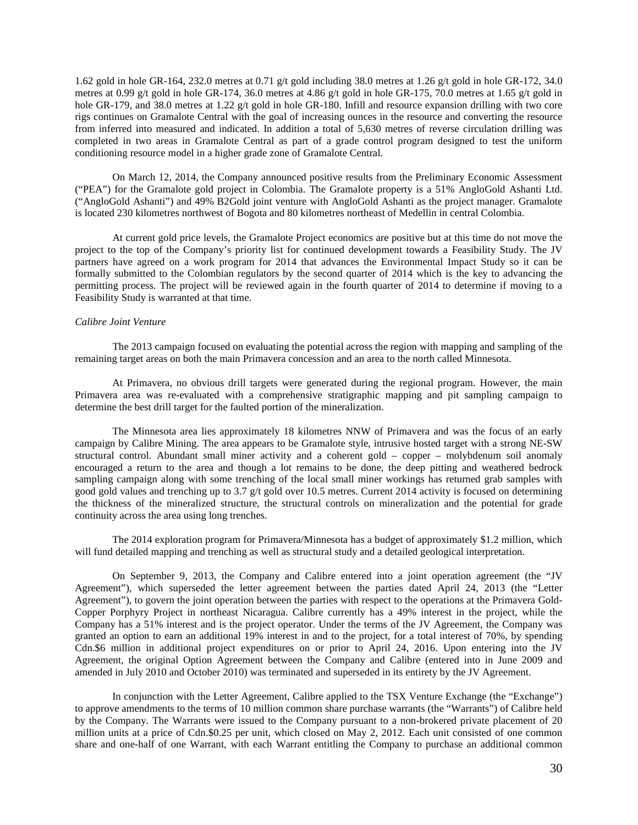1.62 gold in hole GR-164, 232.0 metres at 0.71 g/t gold including 38.0 metres at 1.26 g/t gold in hole GR-172, 34.0 metres at 0.99 g/t gold in hole GR-174, 36.0 metres at 4.86 g/t gold in hole GR-175, 70.0 metres at 1.65 g/t gold in hole GR-179, and 38.0 metres at 1.22 g/t gold in hole GR-180. Infill and resource expansion drilling with two core rigs continues on Gramalote Central with the goal of increasing ounces in the resource and converting the resource from inferred into measured and indicated. In addition a total of 5,630 metres of reverse circulation drilling was completed in two areas in Gramalote Central as part of a grade control program designed to test the uniform conditioning resource model in a higher grade zone of Gramalote Central.

On March 12, 2014, the Company announced positive results from the Preliminary Economic Assessment ("PEA") for the Gramalote gold project in Colombia. The Gramalote property is a 51% AngloGold Ashanti Ltd. ("AngloGold Ashanti") and 49% B2Gold joint venture with AngloGold Ashanti as the project manager. Gramalote is located 230 kilometres northwest of Bogota and 80 kilometres northeast of Medellin in central Colombia.

At current gold price levels, the Gramalote Project economics are positive but at this time do not move the project to the top of the Company's priority list for continued development towards a Feasibility Study. The JV partners have agreed on a work program for 2014 that advances the Environmental Impact Study so it can be formally submitted to the Colombian regulators by the second quarter of 2014 which is the key to advancing the permitting process. The project will be reviewed again in the fourth quarter of 2014 to determine if moving to a Feasibility Study is warranted at that time.

## *Calibre Joint Venture*

The 2013 campaign focused on evaluating the potential across the region with mapping and sampling of the remaining target areas on both the main Primavera concession and an area to the north called Minnesota.

At Primavera, no obvious drill targets were generated during the regional program. However, the main Primavera area was re-evaluated with a comprehensive stratigraphic mapping and pit sampling campaign to determine the best drill target for the faulted portion of the mineralization.

The Minnesota area lies approximately 18 kilometres NNW of Primavera and was the focus of an early campaign by Calibre Mining. The area appears to be Gramalote style, intrusive hosted target with a strong NE-SW structural control. Abundant small miner activity and a coherent gold – copper – molybdenum soil anomaly encouraged a return to the area and though a lot remains to be done, the deep pitting and weathered bedrock sampling campaign along with some trenching of the local small miner workings has returned grab samples with good gold values and trenching up to 3.7 g/t gold over 10.5 metres. Current 2014 activity is focused on determining the thickness of the mineralized structure, the structural controls on mineralization and the potential for grade continuity across the area using long trenches.

The 2014 exploration program for Primavera/Minnesota has a budget of approximately \$1.2 million, which will fund detailed mapping and trenching as well as structural study and a detailed geological interpretation.

On September 9, 2013, the Company and Calibre entered into a joint operation agreement (the "JV Agreement"), which superseded the letter agreement between the parties dated April 24, 2013 (the "Letter Agreement"), to govern the joint operation between the parties with respect to the operations at the Primavera Gold-Copper Porphyry Project in northeast Nicaragua. Calibre currently has a 49% interest in the project, while the Company has a 51% interest and is the project operator. Under the terms of the JV Agreement, the Company was granted an option to earn an additional 19% interest in and to the project, for a total interest of 70%, by spending Cdn.\$6 million in additional project expenditures on or prior to April 24, 2016. Upon entering into the JV Agreement, the original Option Agreement between the Company and Calibre (entered into in June 2009 and amended in July 2010 and October 2010) was terminated and superseded in its entirety by the JV Agreement.

In conjunction with the Letter Agreement, Calibre applied to the TSX Venture Exchange (the "Exchange") to approve amendments to the terms of 10 million common share purchase warrants (the "Warrants") of Calibre held by the Company. The Warrants were issued to the Company pursuant to a non-brokered private placement of 20 million units at a price of Cdn.\$0.25 per unit, which closed on May 2, 2012. Each unit consisted of one common share and one-half of one Warrant, with each Warrant entitling the Company to purchase an additional common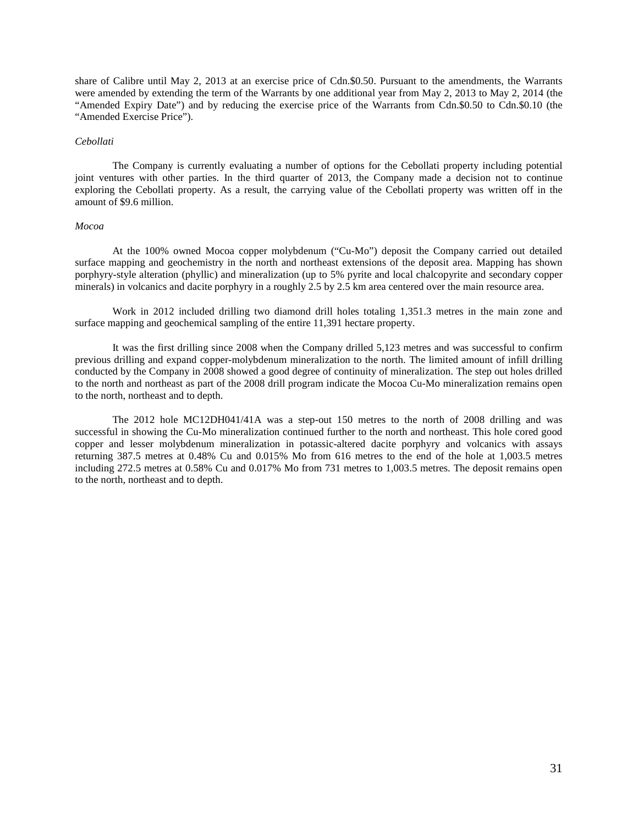share of Calibre until May 2, 2013 at an exercise price of Cdn.\$0.50. Pursuant to the amendments, the Warrants were amended by extending the term of the Warrants by one additional year from May 2, 2013 to May 2, 2014 (the "Amended Expiry Date") and by reducing the exercise price of the Warrants from Cdn.\$0.50 to Cdn.\$0.10 (the "Amended Exercise Price").

#### *Cebollati*

The Company is currently evaluating a number of options for the Cebollati property including potential joint ventures with other parties. In the third quarter of 2013, the Company made a decision not to continue exploring the Cebollati property. As a result, the carrying value of the Cebollati property was written off in the amount of \$9.6 million.

### *Mocoa*

At the 100% owned Mocoa copper molybdenum ("Cu-Mo") deposit the Company carried out detailed surface mapping and geochemistry in the north and northeast extensions of the deposit area. Mapping has shown porphyry-style alteration (phyllic) and mineralization (up to 5% pyrite and local chalcopyrite and secondary copper minerals) in volcanics and dacite porphyry in a roughly 2.5 by 2.5 km area centered over the main resource area.

Work in 2012 included drilling two diamond drill holes totaling 1,351.3 metres in the main zone and surface mapping and geochemical sampling of the entire 11,391 hectare property.

It was the first drilling since 2008 when the Company drilled 5,123 metres and was successful to confirm previous drilling and expand copper-molybdenum mineralization to the north. The limited amount of infill drilling conducted by the Company in 2008 showed a good degree of continuity of mineralization. The step out holes drilled to the north and northeast as part of the 2008 drill program indicate the Mocoa Cu-Mo mineralization remains open to the north, northeast and to depth.

The 2012 hole MC12DH041/41A was a step-out 150 metres to the north of 2008 drilling and was successful in showing the Cu-Mo mineralization continued further to the north and northeast. This hole cored good copper and lesser molybdenum mineralization in potassic-altered dacite porphyry and volcanics with assays returning 387.5 metres at 0.48% Cu and 0.015% Mo from 616 metres to the end of the hole at 1,003.5 metres including 272.5 metres at 0.58% Cu and 0.017% Mo from 731 metres to 1,003.5 metres. The deposit remains open to the north, northeast and to depth.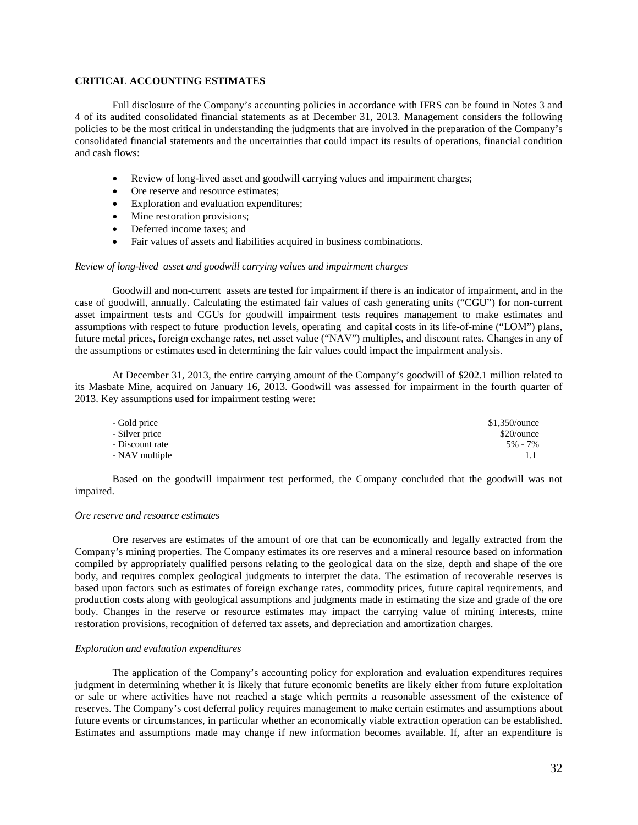## **CRITICAL ACCOUNTING ESTIMATES**

Full disclosure of the Company's accounting policies in accordance with IFRS can be found in Notes 3 and 4 of its audited consolidated financial statements as at December 31, 2013. Management considers the following policies to be the most critical in understanding the judgments that are involved in the preparation of the Company's consolidated financial statements and the uncertainties that could impact its results of operations, financial condition and cash flows:

- Review of long-lived asset and goodwill carrying values and impairment charges;
- Ore reserve and resource estimates;
- Exploration and evaluation expenditures;
- Mine restoration provisions;
- Deferred income taxes; and
- Fair values of assets and liabilities acquired in business combinations.

#### *Review of long-lived asset and goodwill carrying values and impairment charges*

Goodwill and non-current assets are tested for impairment if there is an indicator of impairment, and in the case of goodwill, annually. Calculating the estimated fair values of cash generating units ("CGU") for non-current asset impairment tests and CGUs for goodwill impairment tests requires management to make estimates and assumptions with respect to future production levels, operating and capital costs in its life-of-mine ("LOM") plans, future metal prices, foreign exchange rates, net asset value ("NAV") multiples, and discount rates. Changes in any of the assumptions or estimates used in determining the fair values could impact the impairment analysis.

At December 31, 2013, the entire carrying amount of the Company's goodwill of \$202.1 million related to its Masbate Mine, acquired on January 16, 2013. Goodwill was assessed for impairment in the fourth quarter of 2013. Key assumptions used for impairment testing were:

| - Gold price    | $$1,350/$ ounce |
|-----------------|-----------------|
| - Silver price  | \$20/ounce      |
| - Discount rate | $5\% - 7\%$     |
| - NAV multiple  |                 |

Based on the goodwill impairment test performed, the Company concluded that the goodwill was not impaired.

## *Ore reserve and resource estimates*

Ore reserves are estimates of the amount of ore that can be economically and legally extracted from the Company's mining properties. The Company estimates its ore reserves and a mineral resource based on information compiled by appropriately qualified persons relating to the geological data on the size, depth and shape of the ore body, and requires complex geological judgments to interpret the data. The estimation of recoverable reserves is based upon factors such as estimates of foreign exchange rates, commodity prices, future capital requirements, and production costs along with geological assumptions and judgments made in estimating the size and grade of the ore body. Changes in the reserve or resource estimates may impact the carrying value of mining interests, mine restoration provisions, recognition of deferred tax assets, and depreciation and amortization charges.

#### *Exploration and evaluation expenditures*

The application of the Company's accounting policy for exploration and evaluation expenditures requires judgment in determining whether it is likely that future economic benefits are likely either from future exploitation or sale or where activities have not reached a stage which permits a reasonable assessment of the existence of reserves. The Company's cost deferral policy requires management to make certain estimates and assumptions about future events or circumstances, in particular whether an economically viable extraction operation can be established. Estimates and assumptions made may change if new information becomes available. If, after an expenditure is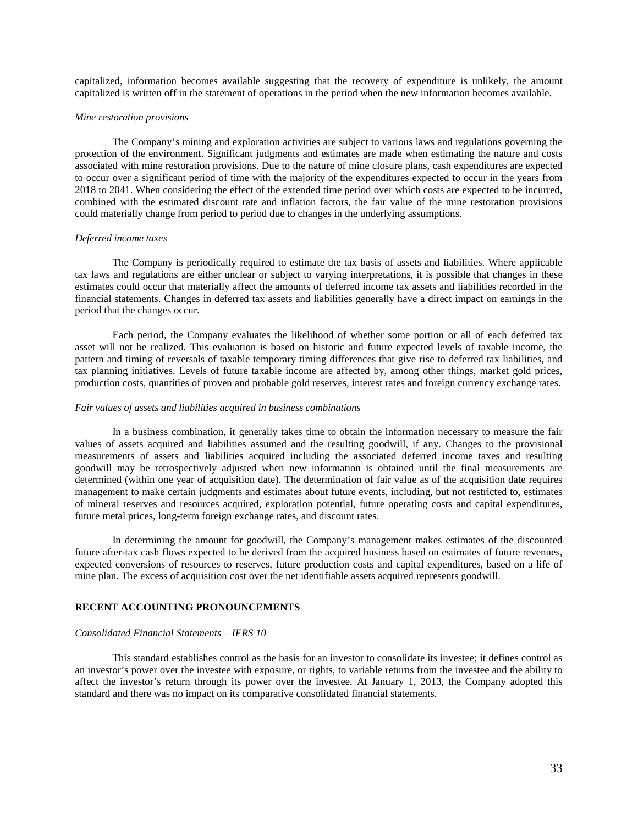capitalized, information becomes available suggesting that the recovery of expenditure is unlikely, the amount capitalized is written off in the statement of operations in the period when the new information becomes available.

#### *Mine restoration provisions*

The Company's mining and exploration activities are subject to various laws and regulations governing the protection of the environment. Significant judgments and estimates are made when estimating the nature and costs associated with mine restoration provisions. Due to the nature of mine closure plans, cash expenditures are expected to occur over a significant period of time with the majority of the expenditures expected to occur in the years from 2018 to 2041. When considering the effect of the extended time period over which costs are expected to be incurred, combined with the estimated discount rate and inflation factors, the fair value of the mine restoration provisions could materially change from period to period due to changes in the underlying assumptions.

### *Deferred income taxes*

The Company is periodically required to estimate the tax basis of assets and liabilities. Where applicable tax laws and regulations are either unclear or subject to varying interpretations, it is possible that changes in these estimates could occur that materially affect the amounts of deferred income tax assets and liabilities recorded in the financial statements. Changes in deferred tax assets and liabilities generally have a direct impact on earnings in the period that the changes occur.

Each period, the Company evaluates the likelihood of whether some portion or all of each deferred tax asset will not be realized. This evaluation is based on historic and future expected levels of taxable income, the pattern and timing of reversals of taxable temporary timing differences that give rise to deferred tax liabilities, and tax planning initiatives. Levels of future taxable income are affected by, among other things, market gold prices, production costs, quantities of proven and probable gold reserves, interest rates and foreign currency exchange rates.

## *Fair values of assets and liabilities acquired in business combinations*

In a business combination, it generally takes time to obtain the information necessary to measure the fair values of assets acquired and liabilities assumed and the resulting goodwill, if any. Changes to the provisional measurements of assets and liabilities acquired including the associated deferred income taxes and resulting goodwill may be retrospectively adjusted when new information is obtained until the final measurements are determined (within one year of acquisition date). The determination of fair value as of the acquisition date requires management to make certain judgments and estimates about future events, including, but not restricted to, estimates of mineral reserves and resources acquired, exploration potential, future operating costs and capital expenditures, future metal prices, long-term foreign exchange rates, and discount rates.

In determining the amount for goodwill, the Company's management makes estimates of the discounted future after-tax cash flows expected to be derived from the acquired business based on estimates of future revenues, expected conversions of resources to reserves, future production costs and capital expenditures, based on a life of mine plan. The excess of acquisition cost over the net identifiable assets acquired represents goodwill.

### **RECENT ACCOUNTING PRONOUNCEMENTS**

### *Consolidated Financial Statements – IFRS 10*

This standard establishes control as the basis for an investor to consolidate its investee; it defines control as an investor's power over the investee with exposure, or rights, to variable returns from the investee and the ability to affect the investor's return through its power over the investee. At January 1, 2013, the Company adopted this standard and there was no impact on its comparative consolidated financial statements.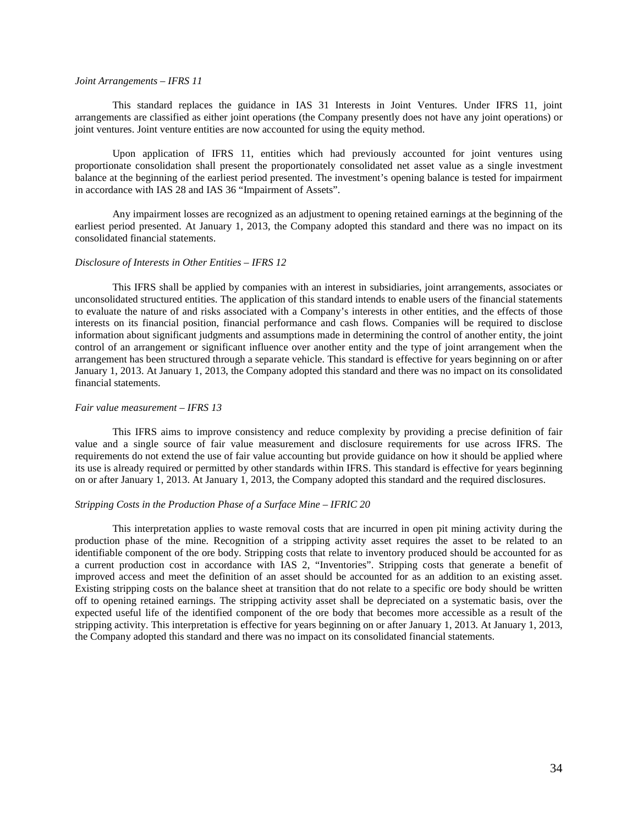#### *Joint Arrangements – IFRS 11*

This standard replaces the guidance in IAS 31 Interests in Joint Ventures. Under IFRS 11, joint arrangements are classified as either joint operations (the Company presently does not have any joint operations) or joint ventures. Joint venture entities are now accounted for using the equity method.

Upon application of IFRS 11, entities which had previously accounted for joint ventures using proportionate consolidation shall present the proportionately consolidated net asset value as a single investment balance at the beginning of the earliest period presented. The investment's opening balance is tested for impairment in accordance with IAS 28 and IAS 36 "Impairment of Assets".

Any impairment losses are recognized as an adjustment to opening retained earnings at the beginning of the earliest period presented. At January 1, 2013, the Company adopted this standard and there was no impact on its consolidated financial statements.

#### *Disclosure of Interests in Other Entities – IFRS 12*

This IFRS shall be applied by companies with an interest in subsidiaries, joint arrangements, associates or unconsolidated structured entities. The application of this standard intends to enable users of the financial statements to evaluate the nature of and risks associated with a Company's interests in other entities, and the effects of those interests on its financial position, financial performance and cash flows. Companies will be required to disclose information about significant judgments and assumptions made in determining the control of another entity, the joint control of an arrangement or significant influence over another entity and the type of joint arrangement when the arrangement has been structured through a separate vehicle. This standard is effective for years beginning on or after January 1, 2013. At January 1, 2013, the Company adopted this standard and there was no impact on its consolidated financial statements.

## *Fair value measurement – IFRS 13*

This IFRS aims to improve consistency and reduce complexity by providing a precise definition of fair value and a single source of fair value measurement and disclosure requirements for use across IFRS. The requirements do not extend the use of fair value accounting but provide guidance on how it should be applied where its use is already required or permitted by other standards within IFRS. This standard is effective for years beginning on or after January 1, 2013. At January 1, 2013, the Company adopted this standard and the required disclosures.

### *Stripping Costs in the Production Phase of a Surface Mine – IFRIC 20*

This interpretation applies to waste removal costs that are incurred in open pit mining activity during the production phase of the mine. Recognition of a stripping activity asset requires the asset to be related to an identifiable component of the ore body. Stripping costs that relate to inventory produced should be accounted for as a current production cost in accordance with IAS 2, "Inventories". Stripping costs that generate a benefit of improved access and meet the definition of an asset should be accounted for as an addition to an existing asset. Existing stripping costs on the balance sheet at transition that do not relate to a specific ore body should be written off to opening retained earnings. The stripping activity asset shall be depreciated on a systematic basis, over the expected useful life of the identified component of the ore body that becomes more accessible as a result of the stripping activity. This interpretation is effective for years beginning on or after January 1, 2013. At January 1, 2013, the Company adopted this standard and there was no impact on its consolidated financial statements.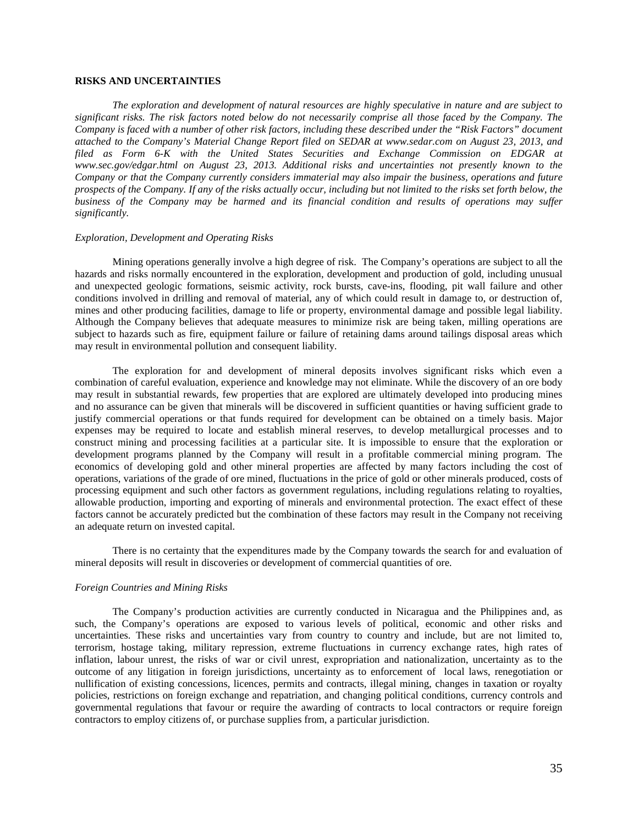## **RISKS AND UNCERTAINTIES**

*The exploration and development of natural resources are highly speculative in nature and are subject to significant risks. The risk factors noted below do not necessarily comprise all those faced by the Company. The Company is faced with a number of other risk factors, including these described under the "Risk Factors" document attached to the Company's Material Change Report filed on SEDAR at www.sedar.com on August 23, 2013, and filed as Form 6-K with the United States Securities and Exchange Commission on EDGAR at www.sec.gov/edgar.html on August 23, 2013. Additional risks and uncertainties not presently known to the Company or that the Company currently considers immaterial may also impair the business, operations and future prospects of the Company. If any of the risks actually occur, including but not limited to the risks set forth below, the business of the Company may be harmed and its financial condition and results of operations may suffer significantly.* 

#### *Exploration, Development and Operating Risks*

Mining operations generally involve a high degree of risk. The Company's operations are subject to all the hazards and risks normally encountered in the exploration, development and production of gold, including unusual and unexpected geologic formations, seismic activity, rock bursts, cave-ins, flooding, pit wall failure and other conditions involved in drilling and removal of material, any of which could result in damage to, or destruction of, mines and other producing facilities, damage to life or property, environmental damage and possible legal liability. Although the Company believes that adequate measures to minimize risk are being taken, milling operations are subject to hazards such as fire, equipment failure or failure of retaining dams around tailings disposal areas which may result in environmental pollution and consequent liability.

The exploration for and development of mineral deposits involves significant risks which even a combination of careful evaluation, experience and knowledge may not eliminate. While the discovery of an ore body may result in substantial rewards, few properties that are explored are ultimately developed into producing mines and no assurance can be given that minerals will be discovered in sufficient quantities or having sufficient grade to justify commercial operations or that funds required for development can be obtained on a timely basis. Major expenses may be required to locate and establish mineral reserves, to develop metallurgical processes and to construct mining and processing facilities at a particular site. It is impossible to ensure that the exploration or development programs planned by the Company will result in a profitable commercial mining program. The economics of developing gold and other mineral properties are affected by many factors including the cost of operations, variations of the grade of ore mined, fluctuations in the price of gold or other minerals produced, costs of processing equipment and such other factors as government regulations, including regulations relating to royalties, allowable production, importing and exporting of minerals and environmental protection. The exact effect of these factors cannot be accurately predicted but the combination of these factors may result in the Company not receiving an adequate return on invested capital.

There is no certainty that the expenditures made by the Company towards the search for and evaluation of mineral deposits will result in discoveries or development of commercial quantities of ore.

### *Foreign Countries and Mining Risks*

The Company's production activities are currently conducted in Nicaragua and the Philippines and, as such, the Company's operations are exposed to various levels of political, economic and other risks and uncertainties. These risks and uncertainties vary from country to country and include, but are not limited to, terrorism, hostage taking, military repression, extreme fluctuations in currency exchange rates, high rates of inflation, labour unrest, the risks of war or civil unrest, expropriation and nationalization, uncertainty as to the outcome of any litigation in foreign jurisdictions, uncertainty as to enforcement of local laws, renegotiation or nullification of existing concessions, licences, permits and contracts, illegal mining, changes in taxation or royalty policies, restrictions on foreign exchange and repatriation, and changing political conditions, currency controls and governmental regulations that favour or require the awarding of contracts to local contractors or require foreign contractors to employ citizens of, or purchase supplies from, a particular jurisdiction.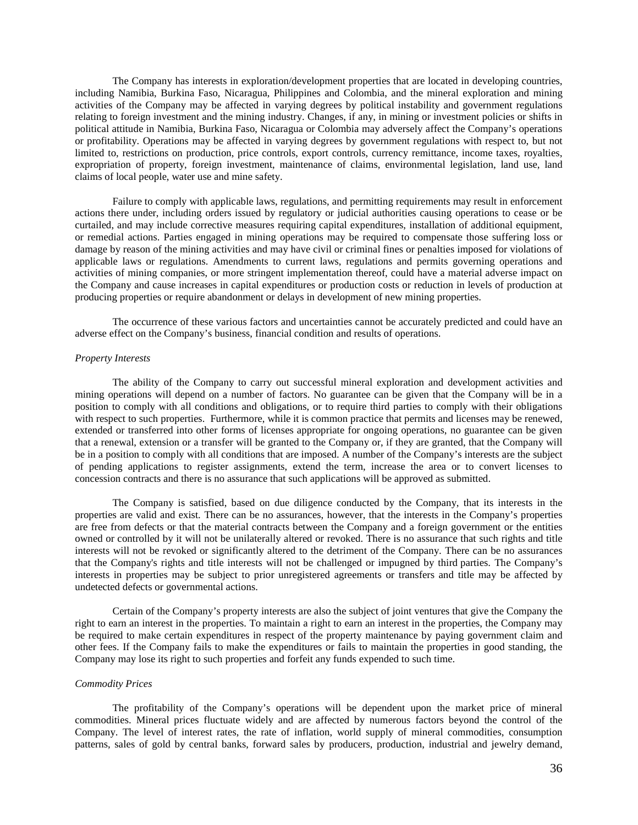The Company has interests in exploration/development properties that are located in developing countries, including Namibia, Burkina Faso, Nicaragua, Philippines and Colombia, and the mineral exploration and mining activities of the Company may be affected in varying degrees by political instability and government regulations relating to foreign investment and the mining industry. Changes, if any, in mining or investment policies or shifts in political attitude in Namibia, Burkina Faso, Nicaragua or Colombia may adversely affect the Company's operations or profitability. Operations may be affected in varying degrees by government regulations with respect to, but not limited to, restrictions on production, price controls, export controls, currency remittance, income taxes, royalties, expropriation of property, foreign investment, maintenance of claims, environmental legislation, land use, land claims of local people, water use and mine safety.

Failure to comply with applicable laws, regulations, and permitting requirements may result in enforcement actions there under, including orders issued by regulatory or judicial authorities causing operations to cease or be curtailed, and may include corrective measures requiring capital expenditures, installation of additional equipment, or remedial actions. Parties engaged in mining operations may be required to compensate those suffering loss or damage by reason of the mining activities and may have civil or criminal fines or penalties imposed for violations of applicable laws or regulations. Amendments to current laws, regulations and permits governing operations and activities of mining companies, or more stringent implementation thereof, could have a material adverse impact on the Company and cause increases in capital expenditures or production costs or reduction in levels of production at producing properties or require abandonment or delays in development of new mining properties.

The occurrence of these various factors and uncertainties cannot be accurately predicted and could have an adverse effect on the Company's business, financial condition and results of operations.

### *Property Interests*

The ability of the Company to carry out successful mineral exploration and development activities and mining operations will depend on a number of factors. No guarantee can be given that the Company will be in a position to comply with all conditions and obligations, or to require third parties to comply with their obligations with respect to such properties. Furthermore, while it is common practice that permits and licenses may be renewed, extended or transferred into other forms of licenses appropriate for ongoing operations, no guarantee can be given that a renewal, extension or a transfer will be granted to the Company or, if they are granted, that the Company will be in a position to comply with all conditions that are imposed. A number of the Company's interests are the subject of pending applications to register assignments, extend the term, increase the area or to convert licenses to concession contracts and there is no assurance that such applications will be approved as submitted.

The Company is satisfied, based on due diligence conducted by the Company, that its interests in the properties are valid and exist. There can be no assurances, however, that the interests in the Company's properties are free from defects or that the material contracts between the Company and a foreign government or the entities owned or controlled by it will not be unilaterally altered or revoked. There is no assurance that such rights and title interests will not be revoked or significantly altered to the detriment of the Company. There can be no assurances that the Company's rights and title interests will not be challenged or impugned by third parties. The Company's interests in properties may be subject to prior unregistered agreements or transfers and title may be affected by undetected defects or governmental actions.

Certain of the Company's property interests are also the subject of joint ventures that give the Company the right to earn an interest in the properties. To maintain a right to earn an interest in the properties, the Company may be required to make certain expenditures in respect of the property maintenance by paying government claim and other fees. If the Company fails to make the expenditures or fails to maintain the properties in good standing, the Company may lose its right to such properties and forfeit any funds expended to such time.

## *Commodity Prices*

The profitability of the Company's operations will be dependent upon the market price of mineral commodities. Mineral prices fluctuate widely and are affected by numerous factors beyond the control of the Company. The level of interest rates, the rate of inflation, world supply of mineral commodities, consumption patterns, sales of gold by central banks, forward sales by producers, production, industrial and jewelry demand,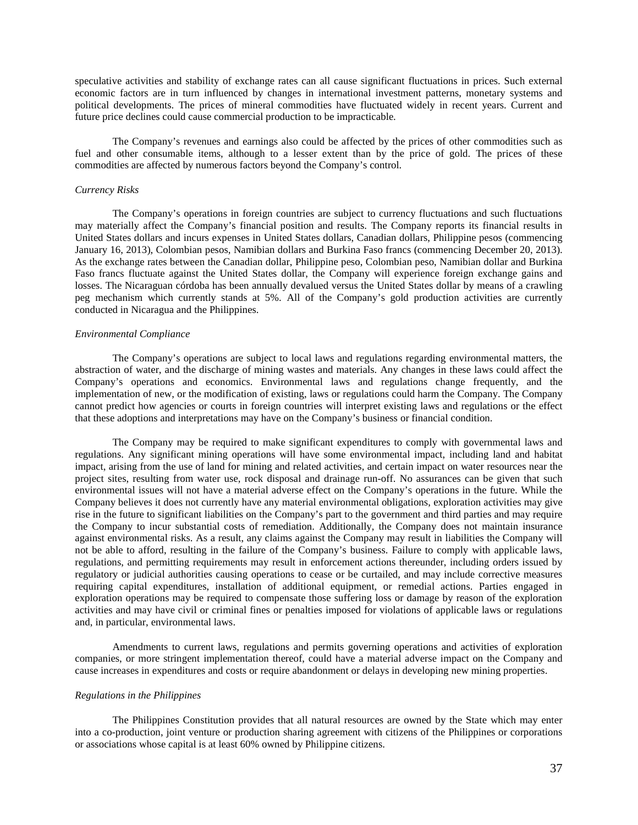speculative activities and stability of exchange rates can all cause significant fluctuations in prices. Such external economic factors are in turn influenced by changes in international investment patterns, monetary systems and political developments. The prices of mineral commodities have fluctuated widely in recent years. Current and future price declines could cause commercial production to be impracticable.

The Company's revenues and earnings also could be affected by the prices of other commodities such as fuel and other consumable items, although to a lesser extent than by the price of gold. The prices of these commodities are affected by numerous factors beyond the Company's control.

## *Currency Risks*

The Company's operations in foreign countries are subject to currency fluctuations and such fluctuations may materially affect the Company's financial position and results. The Company reports its financial results in United States dollars and incurs expenses in United States dollars, Canadian dollars, Philippine pesos (commencing January 16, 2013), Colombian pesos, Namibian dollars and Burkina Faso francs (commencing December 20, 2013). As the exchange rates between the Canadian dollar, Philippine peso, Colombian peso, Namibian dollar and Burkina Faso francs fluctuate against the United States dollar, the Company will experience foreign exchange gains and losses. The Nicaraguan córdoba has been annually devalued versus the United States dollar by means of a crawling peg mechanism which currently stands at 5%. All of the Company's gold production activities are currently conducted in Nicaragua and the Philippines.

#### *Environmental Compliance*

The Company's operations are subject to local laws and regulations regarding environmental matters, the abstraction of water, and the discharge of mining wastes and materials. Any changes in these laws could affect the Company's operations and economics. Environmental laws and regulations change frequently, and the implementation of new, or the modification of existing, laws or regulations could harm the Company. The Company cannot predict how agencies or courts in foreign countries will interpret existing laws and regulations or the effect that these adoptions and interpretations may have on the Company's business or financial condition.

The Company may be required to make significant expenditures to comply with governmental laws and regulations. Any significant mining operations will have some environmental impact, including land and habitat impact, arising from the use of land for mining and related activities, and certain impact on water resources near the project sites, resulting from water use, rock disposal and drainage run-off. No assurances can be given that such environmental issues will not have a material adverse effect on the Company's operations in the future. While the Company believes it does not currently have any material environmental obligations, exploration activities may give rise in the future to significant liabilities on the Company's part to the government and third parties and may require the Company to incur substantial costs of remediation. Additionally, the Company does not maintain insurance against environmental risks. As a result, any claims against the Company may result in liabilities the Company will not be able to afford, resulting in the failure of the Company's business. Failure to comply with applicable laws, regulations, and permitting requirements may result in enforcement actions thereunder, including orders issued by regulatory or judicial authorities causing operations to cease or be curtailed, and may include corrective measures requiring capital expenditures, installation of additional equipment, or remedial actions. Parties engaged in exploration operations may be required to compensate those suffering loss or damage by reason of the exploration activities and may have civil or criminal fines or penalties imposed for violations of applicable laws or regulations and, in particular, environmental laws.

Amendments to current laws, regulations and permits governing operations and activities of exploration companies, or more stringent implementation thereof, could have a material adverse impact on the Company and cause increases in expenditures and costs or require abandonment or delays in developing new mining properties.

#### *Regulations in the Philippines*

The Philippines Constitution provides that all natural resources are owned by the State which may enter into a co-production, joint venture or production sharing agreement with citizens of the Philippines or corporations or associations whose capital is at least 60% owned by Philippine citizens.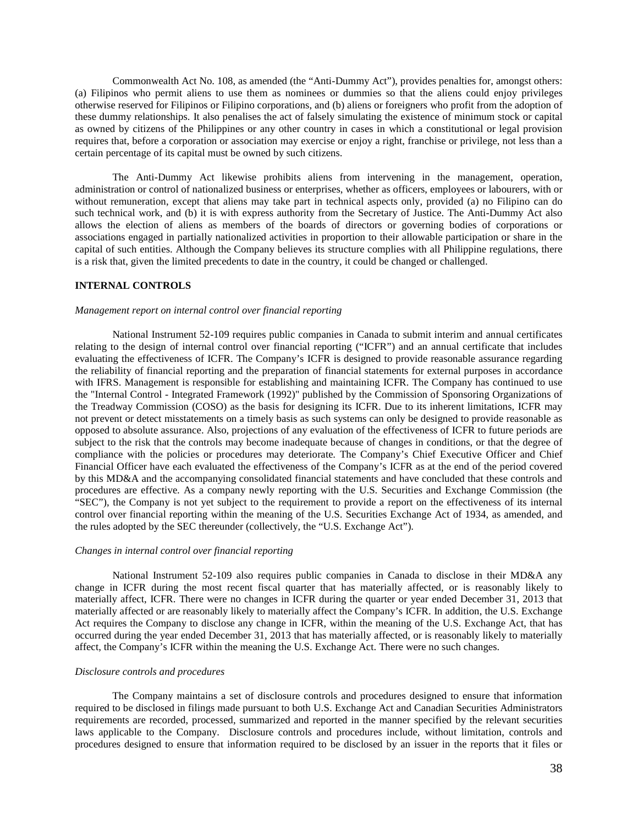Commonwealth Act No. 108, as amended (the "Anti-Dummy Act"), provides penalties for, amongst others: (a) Filipinos who permit aliens to use them as nominees or dummies so that the aliens could enjoy privileges otherwise reserved for Filipinos or Filipino corporations, and (b) aliens or foreigners who profit from the adoption of these dummy relationships. It also penalises the act of falsely simulating the existence of minimum stock or capital as owned by citizens of the Philippines or any other country in cases in which a constitutional or legal provision requires that, before a corporation or association may exercise or enjoy a right, franchise or privilege, not less than a certain percentage of its capital must be owned by such citizens.

The Anti-Dummy Act likewise prohibits aliens from intervening in the management, operation, administration or control of nationalized business or enterprises, whether as officers, employees or labourers, with or without remuneration, except that aliens may take part in technical aspects only, provided (a) no Filipino can do such technical work, and (b) it is with express authority from the Secretary of Justice. The Anti-Dummy Act also allows the election of aliens as members of the boards of directors or governing bodies of corporations or associations engaged in partially nationalized activities in proportion to their allowable participation or share in the capital of such entities. Although the Company believes its structure complies with all Philippine regulations, there is a risk that, given the limited precedents to date in the country, it could be changed or challenged.

## **INTERNAL CONTROLS**

#### *Management report on internal control over financial reporting*

National Instrument 52-109 requires public companies in Canada to submit interim and annual certificates relating to the design of internal control over financial reporting ("ICFR") and an annual certificate that includes evaluating the effectiveness of ICFR. The Company's ICFR is designed to provide reasonable assurance regarding the reliability of financial reporting and the preparation of financial statements for external purposes in accordance with IFRS. Management is responsible for establishing and maintaining ICFR. The Company has continued to use the "Internal Control - Integrated Framework (1992)" published by the Commission of Sponsoring Organizations of the Treadway Commission (COSO) as the basis for designing its ICFR. Due to its inherent limitations, ICFR may not prevent or detect misstatements on a timely basis as such systems can only be designed to provide reasonable as opposed to absolute assurance. Also, projections of any evaluation of the effectiveness of ICFR to future periods are subject to the risk that the controls may become inadequate because of changes in conditions, or that the degree of compliance with the policies or procedures may deteriorate. The Company's Chief Executive Officer and Chief Financial Officer have each evaluated the effectiveness of the Company's ICFR as at the end of the period covered by this MD&A and the accompanying consolidated financial statements and have concluded that these controls and procedures are effective. As a company newly reporting with the U.S. Securities and Exchange Commission (the "SEC"), the Company is not yet subject to the requirement to provide a report on the effectiveness of its internal control over financial reporting within the meaning of the U.S. Securities Exchange Act of 1934, as amended, and the rules adopted by the SEC thereunder (collectively, the "U.S. Exchange Act").

## *Changes in internal control over financial reporting*

National Instrument 52-109 also requires public companies in Canada to disclose in their MD&A any change in ICFR during the most recent fiscal quarter that has materially affected, or is reasonably likely to materially affect, ICFR. There were no changes in ICFR during the quarter or year ended December 31, 2013 that materially affected or are reasonably likely to materially affect the Company's ICFR. In addition, the U.S. Exchange Act requires the Company to disclose any change in ICFR, within the meaning of the U.S. Exchange Act, that has occurred during the year ended December 31, 2013 that has materially affected, or is reasonably likely to materially affect, the Company's ICFR within the meaning the U.S. Exchange Act. There were no such changes.

# *Disclosure controls and procedures*

The Company maintains a set of disclosure controls and procedures designed to ensure that information required to be disclosed in filings made pursuant to both U.S. Exchange Act and Canadian Securities Administrators requirements are recorded, processed, summarized and reported in the manner specified by the relevant securities laws applicable to the Company. Disclosure controls and procedures include, without limitation, controls and procedures designed to ensure that information required to be disclosed by an issuer in the reports that it files or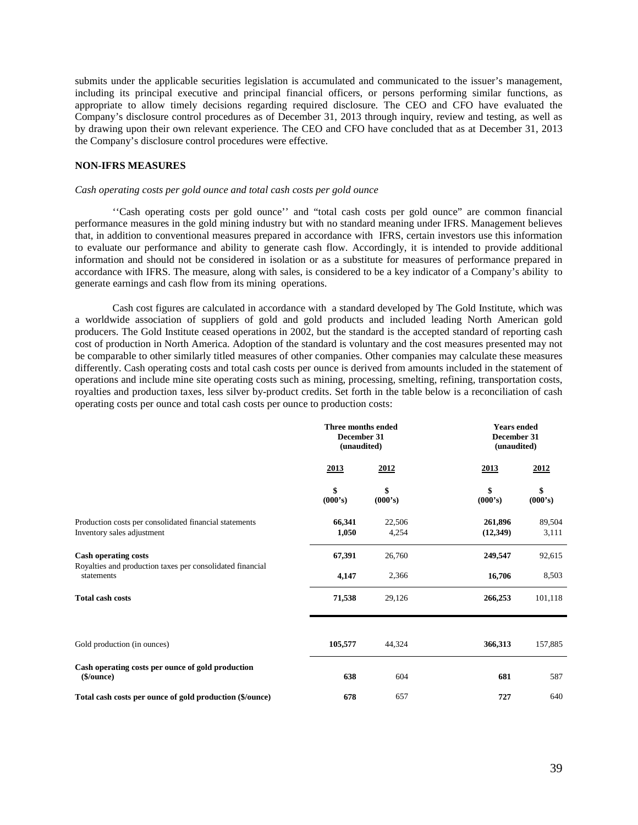submits under the applicable securities legislation is accumulated and communicated to the issuer's management, including its principal executive and principal financial officers, or persons performing similar functions, as appropriate to allow timely decisions regarding required disclosure. The CEO and CFO have evaluated the Company's disclosure control procedures as of December 31, 2013 through inquiry, review and testing, as well as by drawing upon their own relevant experience. The CEO and CFO have concluded that as at December 31, 2013 the Company's disclosure control procedures were effective.

### **NON-IFRS MEASURES**

#### *Cash operating costs per gold ounce and total cash costs per gold ounce*

''Cash operating costs per gold ounce'' and "total cash costs per gold ounce" are common financial performance measures in the gold mining industry but with no standard meaning under IFRS. Management believes that, in addition to conventional measures prepared in accordance with IFRS, certain investors use this information to evaluate our performance and ability to generate cash flow. Accordingly, it is intended to provide additional information and should not be considered in isolation or as a substitute for measures of performance prepared in accordance with IFRS. The measure, along with sales, is considered to be a key indicator of a Company's ability to generate earnings and cash flow from its mining operations.

Cash cost figures are calculated in accordance with a standard developed by The Gold Institute, which was a worldwide association of suppliers of gold and gold products and included leading North American gold producers. The Gold Institute ceased operations in 2002, but the standard is the accepted standard of reporting cash cost of production in North America. Adoption of the standard is voluntary and the cost measures presented may not be comparable to other similarly titled measures of other companies. Other companies may calculate these measures differently. Cash operating costs and total cash costs per ounce is derived from amounts included in the statement of operations and include mine site operating costs such as mining, processing, smelting, refining, transportation costs, royalties and production taxes, less silver by-product credits. Set forth in the table below is a reconciliation of cash operating costs per ounce and total cash costs per ounce to production costs:

|                                                                                      | Three months ended<br>December 31<br>(unaudited) |                 | <b>Years ended</b><br>December 31<br>(unaudited) |                 |
|--------------------------------------------------------------------------------------|--------------------------------------------------|-----------------|--------------------------------------------------|-----------------|
|                                                                                      | 2013                                             | 2012            | <u>2013</u>                                      | 2012            |
|                                                                                      | \$<br>(000's)                                    | \$<br>(000's)   | \$<br>(000's)                                    | \$<br>(000's)   |
| Production costs per consolidated financial statements<br>Inventory sales adjustment | 66,341<br>1,050                                  | 22,506<br>4,254 | 261,896<br>(12,349)                              | 89,504<br>3,111 |
| <b>Cash operating costs</b>                                                          | 67,391                                           | 26,760          | 249,547                                          | 92,615          |
| Royalties and production taxes per consolidated financial<br>statements              | 4,147                                            | 2,366           | 16,706                                           | 8,503           |
| <b>Total cash costs</b>                                                              | 71,538                                           | 29,126          | 266,253                                          | 101,118         |
|                                                                                      |                                                  |                 |                                                  |                 |
| Gold production (in ounces)                                                          | 105,577                                          | 44,324          | 366,313                                          | 157,885         |
| Cash operating costs per ounce of gold production<br>(\$/ounce)                      | 638                                              | 604             | 681                                              | 587             |
| Total cash costs per ounce of gold production (\$/ounce)                             | 678                                              | 657             | 727                                              | 640             |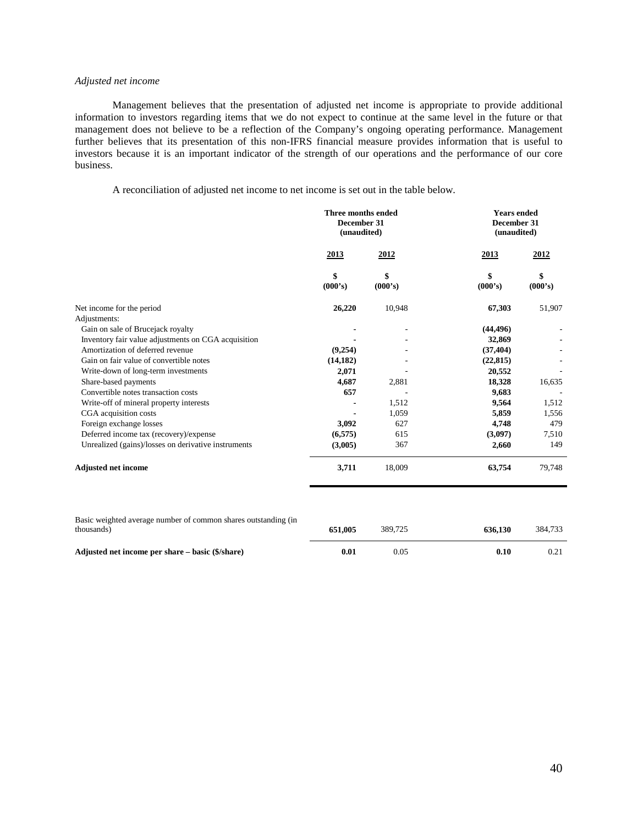## *Adjusted net income*

Management believes that the presentation of adjusted net income is appropriate to provide additional information to investors regarding items that we do not expect to continue at the same level in the future or that management does not believe to be a reflection of the Company's ongoing operating performance. Management further believes that its presentation of this non-IFRS financial measure provides information that is useful to investors because it is an important indicator of the strength of our operations and the performance of our core business.

A reconciliation of adjusted net income to net income is set out in the table below.

|                                                     | Three months ended<br>December 31<br>(unaudited) |               | <b>Years ended</b><br>December 31<br>(unaudited) |               |
|-----------------------------------------------------|--------------------------------------------------|---------------|--------------------------------------------------|---------------|
|                                                     | 2013                                             | 2012          | 2013                                             | 2012          |
|                                                     | \$<br>(000's)                                    | \$<br>(000's) | \$<br>(000's)                                    | \$<br>(000's) |
| Net income for the period                           | 26,220                                           | 10,948        | 67,303                                           | 51,907        |
| Adjustments:                                        |                                                  |               |                                                  |               |
| Gain on sale of Brucejack royalty                   |                                                  |               | (44, 496)                                        |               |
| Inventory fair value adjustments on CGA acquisition |                                                  |               | 32,869                                           |               |
| Amortization of deferred revenue                    | (9,254)                                          |               | (37, 404)                                        |               |
| Gain on fair value of convertible notes             | (14, 182)                                        |               | (22, 815)                                        |               |
| Write-down of long-term investments                 | 2,071                                            |               | 20,552                                           |               |
| Share-based payments                                | 4,687                                            | 2,881         | 18,328                                           | 16,635        |
| Convertible notes transaction costs                 | 657                                              |               | 9,683                                            |               |
| Write-off of mineral property interests             |                                                  | 1,512         | 9,564                                            | 1,512         |
| CGA acquisition costs                               |                                                  | 1,059         | 5,859                                            | 1,556         |
| Foreign exchange losses                             | 3,092                                            | 627           | 4,748                                            | 479           |
| Deferred income tax (recovery)/expense              | (6,575)                                          | 615           | (3,097)                                          | 7,510         |
| Unrealized (gains)/losses on derivative instruments | (3,005)                                          | 367           | 2,660                                            | 149           |
| <b>Adjusted net income</b>                          | 3,711                                            | 18,009        | 63,754                                           | 79,748        |

| Basic weighted average number of common shares outstanding (in<br>thousands) | 651.005             | 389.725 | 636.130 | 384.733 |
|------------------------------------------------------------------------------|---------------------|---------|---------|---------|
| Adjusted net income per share – basic (\$/share)                             | $\boldsymbol{0.01}$ | 0.05    | 0.10    |         |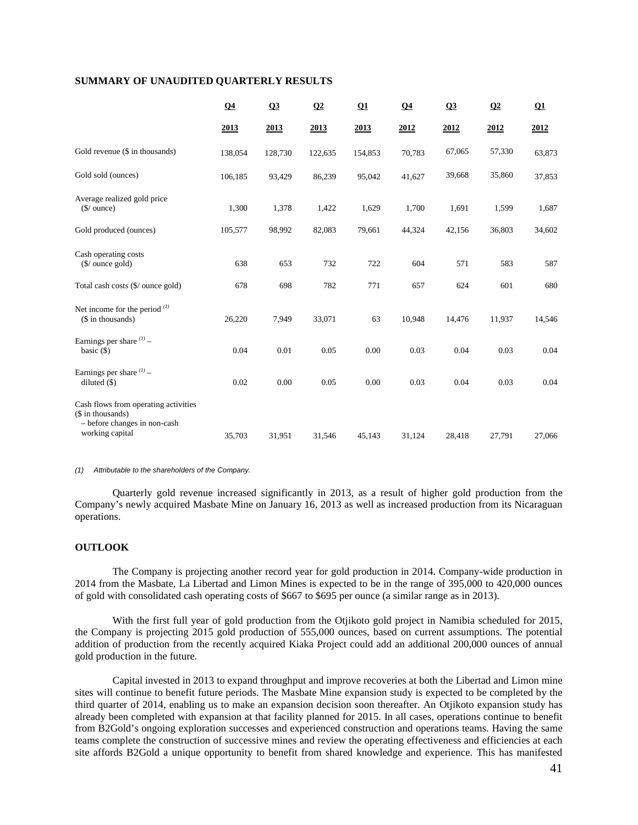## **SUMMARY OF UNAUDITED QUARTERLY RESULTS**

|                                                                                                              | Q <sub>4</sub> | Q3      | Q2      | Q1      | Q <sub>4</sub> | Q3     | $\Omega$ | Q1     |
|--------------------------------------------------------------------------------------------------------------|----------------|---------|---------|---------|----------------|--------|----------|--------|
|                                                                                                              | 2013           | 2013    | 2013    | 2013    | 2012           | 2012   | 2012     | 2012   |
| Gold revenue (\$ in thousands)                                                                               | 138,054        | 128,730 | 122,635 | 154,853 | 70,783         | 67,065 | 57,330   | 63,873 |
| Gold sold (ounces)                                                                                           | 106,185        | 93,429  | 86,239  | 95,042  | 41,627         | 39,668 | 35,860   | 37,853 |
| Average realized gold price<br>$(\frac{\pi}{2})$ ounce)                                                      | 1,300          | 1,378   | 1,422   | 1,629   | 1,700          | 1,691  | 1,599    | 1,687  |
| Gold produced (ounces)                                                                                       | 105,577        | 98,992  | 82,083  | 79,661  | 44,324         | 42,156 | 36,803   | 34,602 |
| Cash operating costs<br>$(\frac{5}{3})$ ounce gold)                                                          | 638            | 653     | 732     | 722     | 604            | 571    | 583      | 587    |
| Total cash costs (\$/ ounce gold)                                                                            | 678            | 698     | 782     | 771     | 657            | 624    | 601      | 680    |
| Net income for the period $(1)$<br>(\$ in thousands)                                                         | 26,220         | 7,949   | 33,071  | 63      | 10,948         | 14,476 | 11,937   | 14,546 |
| Earnings per share $(1)$ –<br>basic $(\$)$                                                                   | 0.04           | 0.01    | 0.05    | 0.00    | 0.03           | 0.04   | 0.03     | 0.04   |
| Earnings per share $(1)$ -<br>diluted $(\$)$                                                                 | 0.02           | 0.00    | 0.05    | 0.00    | 0.03           | 0.04   | 0.03     | 0.04   |
| Cash flows from operating activities<br>(\$ in thousands)<br>- before changes in non-cash<br>working capital | 35,703         | 31,951  | 31,546  | 45,143  | 31,124         | 28,418 | 27,791   | 27,066 |
|                                                                                                              |                |         |         |         |                |        |          |        |

*(1) Attributable to the shareholders of the Company.* 

Quarterly gold revenue increased significantly in 2013, as a result of higher gold production from the Company's newly acquired Masbate Mine on January 16, 2013 as well as increased production from its Nicaraguan operations.

## **OUTLOOK**

The Company is projecting another record year for gold production in 2014. Company-wide production in 2014 from the Masbate, La Libertad and Limon Mines is expected to be in the range of 395,000 to 420,000 ounces of gold with consolidated cash operating costs of \$667 to \$695 per ounce (a similar range as in 2013).

With the first full year of gold production from the Otjikoto gold project in Namibia scheduled for 2015, the Company is projecting 2015 gold production of 555,000 ounces, based on current assumptions. The potential addition of production from the recently acquired Kiaka Project could add an additional 200,000 ounces of annual gold production in the future.

Capital invested in 2013 to expand throughput and improve recoveries at both the Libertad and Limon mine sites will continue to benefit future periods. The Masbate Mine expansion study is expected to be completed by the third quarter of 2014, enabling us to make an expansion decision soon thereafter. An Otjikoto expansion study has already been completed with expansion at that facility planned for 2015. In all cases, operations continue to benefit from B2Gold's ongoing exploration successes and experienced construction and operations teams. Having the same teams complete the construction of successive mines and review the operating effectiveness and efficiencies at each site affords B2Gold a unique opportunity to benefit from shared knowledge and experience. This has manifested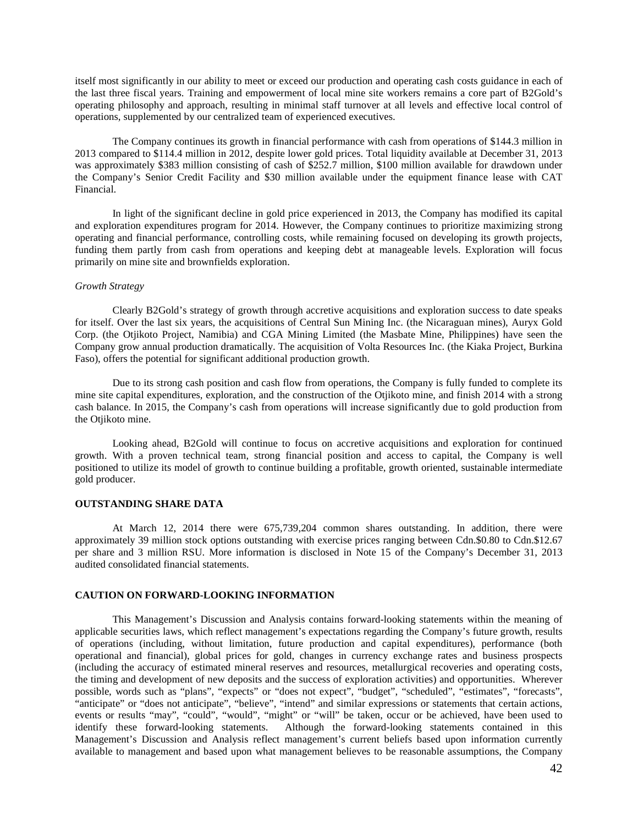itself most significantly in our ability to meet or exceed our production and operating cash costs guidance in each of the last three fiscal years. Training and empowerment of local mine site workers remains a core part of B2Gold's operating philosophy and approach, resulting in minimal staff turnover at all levels and effective local control of operations, supplemented by our centralized team of experienced executives.

The Company continues its growth in financial performance with cash from operations of \$144.3 million in 2013 compared to \$114.4 million in 2012, despite lower gold prices. Total liquidity available at December 31, 2013 was approximately \$383 million consisting of cash of \$252.7 million, \$100 million available for drawdown under the Company's Senior Credit Facility and \$30 million available under the equipment finance lease with CAT Financial.

In light of the significant decline in gold price experienced in 2013, the Company has modified its capital and exploration expenditures program for 2014. However, the Company continues to prioritize maximizing strong operating and financial performance, controlling costs, while remaining focused on developing its growth projects, funding them partly from cash from operations and keeping debt at manageable levels. Exploration will focus primarily on mine site and brownfields exploration.

## *Growth Strategy*

Clearly B2Gold's strategy of growth through accretive acquisitions and exploration success to date speaks for itself. Over the last six years, the acquisitions of Central Sun Mining Inc. (the Nicaraguan mines), Auryx Gold Corp. (the Otjikoto Project, Namibia) and CGA Mining Limited (the Masbate Mine, Philippines) have seen the Company grow annual production dramatically. The acquisition of Volta Resources Inc. (the Kiaka Project, Burkina Faso), offers the potential for significant additional production growth.

Due to its strong cash position and cash flow from operations, the Company is fully funded to complete its mine site capital expenditures, exploration, and the construction of the Otjikoto mine, and finish 2014 with a strong cash balance. In 2015, the Company's cash from operations will increase significantly due to gold production from the Otjikoto mine.

Looking ahead, B2Gold will continue to focus on accretive acquisitions and exploration for continued growth. With a proven technical team, strong financial position and access to capital, the Company is well positioned to utilize its model of growth to continue building a profitable, growth oriented, sustainable intermediate gold producer.

## **OUTSTANDING SHARE DATA**

At March 12, 2014 there were 675,739,204 common shares outstanding. In addition, there were approximately 39 million stock options outstanding with exercise prices ranging between Cdn.\$0.80 to Cdn.\$12.67 per share and 3 million RSU. More information is disclosed in Note 15 of the Company's December 31, 2013 audited consolidated financial statements.

#### **CAUTION ON FORWARD-LOOKING INFORMATION**

This Management's Discussion and Analysis contains forward-looking statements within the meaning of applicable securities laws, which reflect management's expectations regarding the Company's future growth, results of operations (including, without limitation, future production and capital expenditures), performance (both operational and financial), global prices for gold, changes in currency exchange rates and business prospects (including the accuracy of estimated mineral reserves and resources, metallurgical recoveries and operating costs, the timing and development of new deposits and the success of exploration activities) and opportunities. Wherever possible, words such as "plans", "expects" or "does not expect", "budget", "scheduled", "estimates", "forecasts", "anticipate" or "does not anticipate", "believe", "intend" and similar expressions or statements that certain actions, events or results "may", "could", "would", "might" or "will" be taken, occur or be achieved, have been used to identify these forward-looking statements. Although the forward-looking statements contained in this Management's Discussion and Analysis reflect management's current beliefs based upon information currently available to management and based upon what management believes to be reasonable assumptions, the Company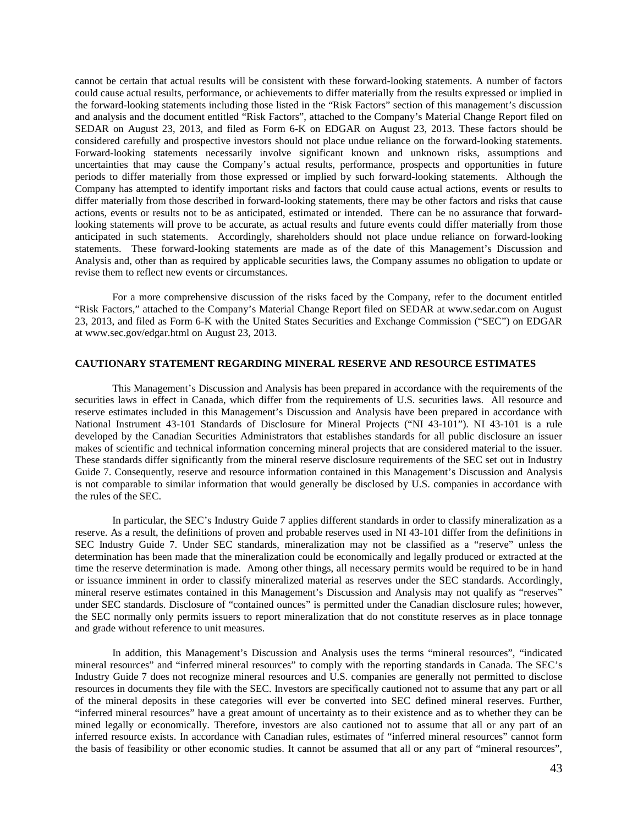cannot be certain that actual results will be consistent with these forward-looking statements. A number of factors could cause actual results, performance, or achievements to differ materially from the results expressed or implied in the forward-looking statements including those listed in the "Risk Factors" section of this management's discussion and analysis and the document entitled "Risk Factors", attached to the Company's Material Change Report filed on SEDAR on August 23, 2013, and filed as Form 6-K on EDGAR on August 23, 2013. These factors should be considered carefully and prospective investors should not place undue reliance on the forward-looking statements. Forward-looking statements necessarily involve significant known and unknown risks, assumptions and uncertainties that may cause the Company's actual results, performance, prospects and opportunities in future periods to differ materially from those expressed or implied by such forward-looking statements. Although the Company has attempted to identify important risks and factors that could cause actual actions, events or results to differ materially from those described in forward-looking statements, there may be other factors and risks that cause actions, events or results not to be as anticipated, estimated or intended. There can be no assurance that forwardlooking statements will prove to be accurate, as actual results and future events could differ materially from those anticipated in such statements. Accordingly, shareholders should not place undue reliance on forward-looking statements. These forward-looking statements are made as of the date of this Management's Discussion and Analysis and, other than as required by applicable securities laws, the Company assumes no obligation to update or revise them to reflect new events or circumstances.

For a more comprehensive discussion of the risks faced by the Company, refer to the document entitled "Risk Factors," attached to the Company's Material Change Report filed on SEDAR at www.sedar.com on August 23, 2013, and filed as Form 6-K with the United States Securities and Exchange Commission ("SEC") on EDGAR at www.sec.gov/edgar.html on August 23, 2013.

## **CAUTIONARY STATEMENT REGARDING MINERAL RESERVE AND RESOURCE ESTIMATES**

This Management's Discussion and Analysis has been prepared in accordance with the requirements of the securities laws in effect in Canada, which differ from the requirements of U.S. securities laws. All resource and reserve estimates included in this Management's Discussion and Analysis have been prepared in accordance with National Instrument 43-101 Standards of Disclosure for Mineral Projects ("NI 43-101"). NI 43-101 is a rule developed by the Canadian Securities Administrators that establishes standards for all public disclosure an issuer makes of scientific and technical information concerning mineral projects that are considered material to the issuer. These standards differ significantly from the mineral reserve disclosure requirements of the SEC set out in Industry Guide 7. Consequently, reserve and resource information contained in this Management's Discussion and Analysis is not comparable to similar information that would generally be disclosed by U.S. companies in accordance with the rules of the SEC.

In particular, the SEC's Industry Guide 7 applies different standards in order to classify mineralization as a reserve. As a result, the definitions of proven and probable reserves used in NI 43-101 differ from the definitions in SEC Industry Guide 7. Under SEC standards, mineralization may not be classified as a "reserve" unless the determination has been made that the mineralization could be economically and legally produced or extracted at the time the reserve determination is made. Among other things, all necessary permits would be required to be in hand or issuance imminent in order to classify mineralized material as reserves under the SEC standards. Accordingly, mineral reserve estimates contained in this Management's Discussion and Analysis may not qualify as "reserves" under SEC standards. Disclosure of "contained ounces" is permitted under the Canadian disclosure rules; however, the SEC normally only permits issuers to report mineralization that do not constitute reserves as in place tonnage and grade without reference to unit measures.

In addition, this Management's Discussion and Analysis uses the terms "mineral resources", "indicated mineral resources" and "inferred mineral resources" to comply with the reporting standards in Canada. The SEC's Industry Guide 7 does not recognize mineral resources and U.S. companies are generally not permitted to disclose resources in documents they file with the SEC. Investors are specifically cautioned not to assume that any part or all of the mineral deposits in these categories will ever be converted into SEC defined mineral reserves. Further, "inferred mineral resources" have a great amount of uncertainty as to their existence and as to whether they can be mined legally or economically. Therefore, investors are also cautioned not to assume that all or any part of an inferred resource exists. In accordance with Canadian rules, estimates of "inferred mineral resources" cannot form the basis of feasibility or other economic studies. It cannot be assumed that all or any part of "mineral resources",